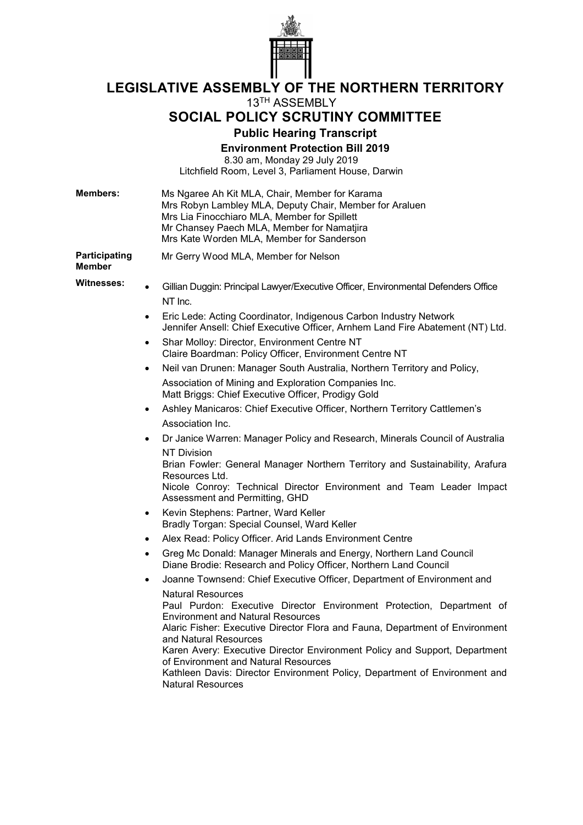

**LEGISLATIVE ASSEMBLY OF THE NORTHERN TERRITORY**

# 13TH ASSEMBLY

# **SOCIAL POLICY SCRUTINY COMMITTEE**

**Public Hearing Transcript**

**Environment Protection Bill 2019**

8.30 am, Monday 29 July 2019 Litchfield Room, Level 3, Parliament House, Darwin

| <b>Members:</b>                       |           | Ms Ngaree Ah Kit MLA, Chair, Member for Karama<br>Mrs Robyn Lambley MLA, Deputy Chair, Member for Araluen<br>Mrs Lia Finocchiaro MLA, Member for Spillett<br>Mr Chansey Paech MLA, Member for Namatjira<br>Mrs Kate Worden MLA, Member for Sanderson                                                                                                                                                                                                                                   |
|---------------------------------------|-----------|----------------------------------------------------------------------------------------------------------------------------------------------------------------------------------------------------------------------------------------------------------------------------------------------------------------------------------------------------------------------------------------------------------------------------------------------------------------------------------------|
| <b>Participating</b><br><b>Member</b> |           | Mr Gerry Wood MLA, Member for Nelson                                                                                                                                                                                                                                                                                                                                                                                                                                                   |
| <b>Witnesses:</b>                     | $\bullet$ | Gillian Duggin: Principal Lawyer/Executive Officer, Environmental Defenders Office                                                                                                                                                                                                                                                                                                                                                                                                     |
|                                       |           | NT Inc.                                                                                                                                                                                                                                                                                                                                                                                                                                                                                |
|                                       | ٠         | Eric Lede: Acting Coordinator, Indigenous Carbon Industry Network<br>Jennifer Ansell: Chief Executive Officer, Arnhem Land Fire Abatement (NT) Ltd.                                                                                                                                                                                                                                                                                                                                    |
|                                       | ٠         | Shar Molloy: Director, Environment Centre NT<br>Claire Boardman: Policy Officer, Environment Centre NT                                                                                                                                                                                                                                                                                                                                                                                 |
|                                       | ٠         | Neil van Drunen: Manager South Australia, Northern Territory and Policy,                                                                                                                                                                                                                                                                                                                                                                                                               |
|                                       |           | Association of Mining and Exploration Companies Inc.<br>Matt Briggs: Chief Executive Officer, Prodigy Gold                                                                                                                                                                                                                                                                                                                                                                             |
|                                       | ٠         | Ashley Manicaros: Chief Executive Officer, Northern Territory Cattlemen's                                                                                                                                                                                                                                                                                                                                                                                                              |
|                                       |           | Association Inc.                                                                                                                                                                                                                                                                                                                                                                                                                                                                       |
|                                       | ٠         | Dr Janice Warren: Manager Policy and Research, Minerals Council of Australia                                                                                                                                                                                                                                                                                                                                                                                                           |
|                                       |           | <b>NT Division</b><br>Brian Fowler: General Manager Northern Territory and Sustainability, Arafura<br>Resources Ltd.<br>Nicole Conroy: Technical Director Environment and Team Leader Impact<br>Assessment and Permitting, GHD                                                                                                                                                                                                                                                         |
|                                       | ٠         | Kevin Stephens: Partner, Ward Keller<br>Bradly Torgan: Special Counsel, Ward Keller                                                                                                                                                                                                                                                                                                                                                                                                    |
|                                       | ٠         | Alex Read: Policy Officer. Arid Lands Environment Centre                                                                                                                                                                                                                                                                                                                                                                                                                               |
|                                       | $\bullet$ | Greg Mc Donald: Manager Minerals and Energy, Northern Land Council<br>Diane Brodie: Research and Policy Officer, Northern Land Council                                                                                                                                                                                                                                                                                                                                                 |
|                                       | ٠         | Joanne Townsend: Chief Executive Officer, Department of Environment and                                                                                                                                                                                                                                                                                                                                                                                                                |
|                                       |           | <b>Natural Resources</b><br>Paul Purdon: Executive Director Environment Protection, Department of<br><b>Environment and Natural Resources</b><br>Alaric Fisher: Executive Director Flora and Fauna, Department of Environment<br>and Natural Resources<br>Karen Avery: Executive Director Environment Policy and Support, Department<br>of Environment and Natural Resources<br>Kathleen Davis: Director Environment Policy, Department of Environment and<br><b>Natural Resources</b> |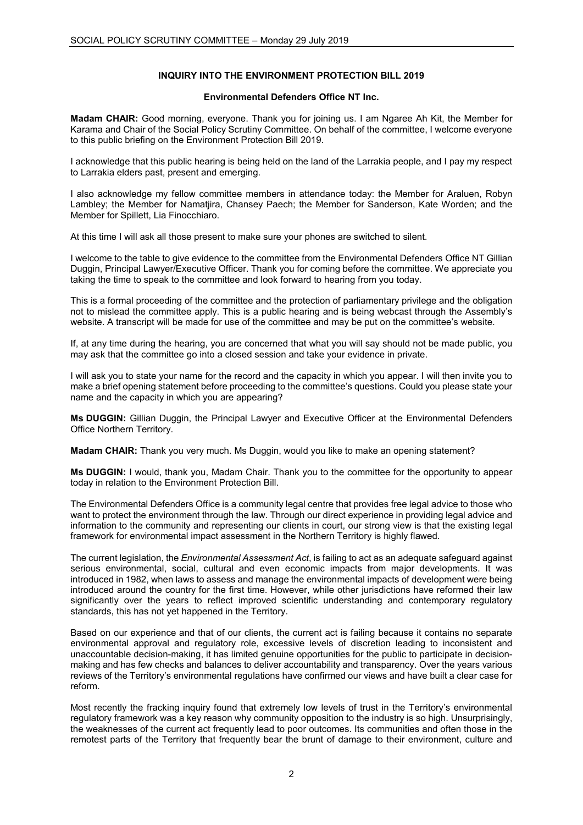# **INQUIRY INTO THE ENVIRONMENT PROTECTION BILL 2019**

# **Environmental Defenders Office NT Inc.**

**Madam CHAIR:** Good morning, everyone. Thank you for joining us. I am Ngaree Ah Kit, the Member for Karama and Chair of the Social Policy Scrutiny Committee. On behalf of the committee, I welcome everyone to this public briefing on the Environment Protection Bill 2019.

I acknowledge that this public hearing is being held on the land of the Larrakia people, and I pay my respect to Larrakia elders past, present and emerging.

I also acknowledge my fellow committee members in attendance today: the Member for Araluen, Robyn Lambley; the Member for Namatjira, Chansey Paech; the Member for Sanderson, Kate Worden; and the Member for Spillett, Lia Finocchiaro.

At this time I will ask all those present to make sure your phones are switched to silent.

I welcome to the table to give evidence to the committee from the Environmental Defenders Office NT Gillian Duggin, Principal Lawyer/Executive Officer. Thank you for coming before the committee. We appreciate you taking the time to speak to the committee and look forward to hearing from you today.

This is a formal proceeding of the committee and the protection of parliamentary privilege and the obligation not to mislead the committee apply. This is a public hearing and is being webcast through the Assembly's website. A transcript will be made for use of the committee and may be put on the committee's website.

If, at any time during the hearing, you are concerned that what you will say should not be made public, you may ask that the committee go into a closed session and take your evidence in private.

I will ask you to state your name for the record and the capacity in which you appear. I will then invite you to make a brief opening statement before proceeding to the committee's questions. Could you please state your name and the capacity in which you are appearing?

**Ms DUGGIN:** Gillian Duggin, the Principal Lawyer and Executive Officer at the Environmental Defenders Office Northern Territory.

**Madam CHAIR:** Thank you very much. Ms Duggin, would you like to make an opening statement?

**Ms DUGGIN:** I would, thank you, Madam Chair. Thank you to the committee for the opportunity to appear today in relation to the Environment Protection Bill.

The Environmental Defenders Office is a community legal centre that provides free legal advice to those who want to protect the environment through the law. Through our direct experience in providing legal advice and information to the community and representing our clients in court, our strong view is that the existing legal framework for environmental impact assessment in the Northern Territory is highly flawed.

The current legislation, the *Environmental Assessment Act*, is failing to act as an adequate safeguard against serious environmental, social, cultural and even economic impacts from major developments. It was introduced in 1982, when laws to assess and manage the environmental impacts of development were being introduced around the country for the first time. However, while other jurisdictions have reformed their law significantly over the years to reflect improved scientific understanding and contemporary regulatory standards, this has not yet happened in the Territory.

Based on our experience and that of our clients, the current act is failing because it contains no separate environmental approval and regulatory role, excessive levels of discretion leading to inconsistent and unaccountable decision-making, it has limited genuine opportunities for the public to participate in decisionmaking and has few checks and balances to deliver accountability and transparency. Over the years various reviews of the Territory's environmental regulations have confirmed our views and have built a clear case for reform.

Most recently the fracking inquiry found that extremely low levels of trust in the Territory's environmental regulatory framework was a key reason why community opposition to the industry is so high. Unsurprisingly, the weaknesses of the current act frequently lead to poor outcomes. Its communities and often those in the remotest parts of the Territory that frequently bear the brunt of damage to their environment, culture and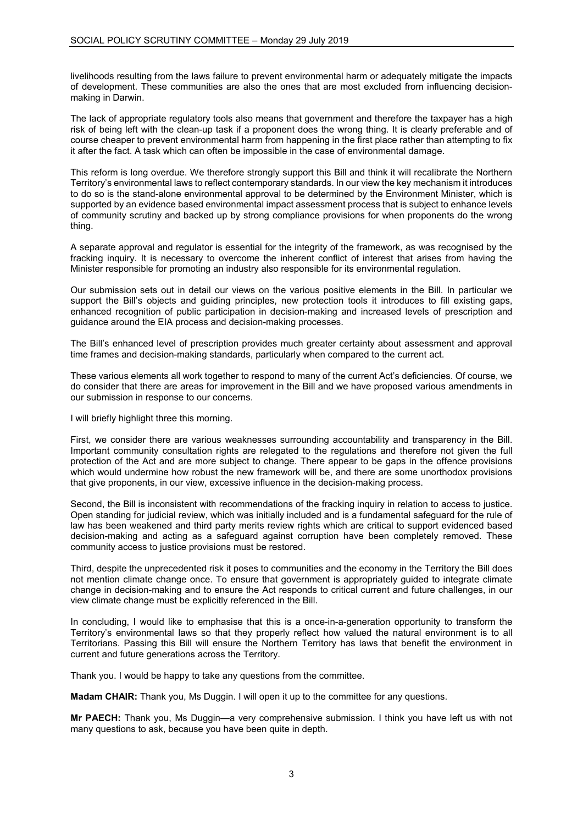livelihoods resulting from the laws failure to prevent environmental harm or adequately mitigate the impacts of development. These communities are also the ones that are most excluded from influencing decisionmaking in Darwin.

The lack of appropriate regulatory tools also means that government and therefore the taxpayer has a high risk of being left with the clean-up task if a proponent does the wrong thing. It is clearly preferable and of course cheaper to prevent environmental harm from happening in the first place rather than attempting to fix it after the fact. A task which can often be impossible in the case of environmental damage.

This reform is long overdue. We therefore strongly support this Bill and think it will recalibrate the Northern Territory's environmental laws to reflect contemporary standards. In our view the key mechanism it introduces to do so is the stand-alone environmental approval to be determined by the Environment Minister, which is supported by an evidence based environmental impact assessment process that is subject to enhance levels of community scrutiny and backed up by strong compliance provisions for when proponents do the wrong thing.

A separate approval and regulator is essential for the integrity of the framework, as was recognised by the fracking inquiry. It is necessary to overcome the inherent conflict of interest that arises from having the Minister responsible for promoting an industry also responsible for its environmental regulation.

Our submission sets out in detail our views on the various positive elements in the Bill. In particular we support the Bill's objects and guiding principles, new protection tools it introduces to fill existing gaps, enhanced recognition of public participation in decision-making and increased levels of prescription and guidance around the EIA process and decision-making processes.

The Bill's enhanced level of prescription provides much greater certainty about assessment and approval time frames and decision-making standards, particularly when compared to the current act.

These various elements all work together to respond to many of the current Act's deficiencies. Of course, we do consider that there are areas for improvement in the Bill and we have proposed various amendments in our submission in response to our concerns.

I will briefly highlight three this morning.

First, we consider there are various weaknesses surrounding accountability and transparency in the Bill. Important community consultation rights are relegated to the regulations and therefore not given the full protection of the Act and are more subject to change. There appear to be gaps in the offence provisions which would undermine how robust the new framework will be, and there are some unorthodox provisions that give proponents, in our view, excessive influence in the decision-making process.

Second, the Bill is inconsistent with recommendations of the fracking inquiry in relation to access to justice. Open standing for judicial review, which was initially included and is a fundamental safeguard for the rule of law has been weakened and third party merits review rights which are critical to support evidenced based decision-making and acting as a safeguard against corruption have been completely removed. These community access to justice provisions must be restored.

Third, despite the unprecedented risk it poses to communities and the economy in the Territory the Bill does not mention climate change once. To ensure that government is appropriately guided to integrate climate change in decision-making and to ensure the Act responds to critical current and future challenges, in our view climate change must be explicitly referenced in the Bill.

In concluding, I would like to emphasise that this is a once-in-a-generation opportunity to transform the Territory's environmental laws so that they properly reflect how valued the natural environment is to all Territorians. Passing this Bill will ensure the Northern Territory has laws that benefit the environment in current and future generations across the Territory.

Thank you. I would be happy to take any questions from the committee.

**Madam CHAIR:** Thank you, Ms Duggin. I will open it up to the committee for any questions.

**Mr PAECH:** Thank you, Ms Duggin—a very comprehensive submission. I think you have left us with not many questions to ask, because you have been quite in depth.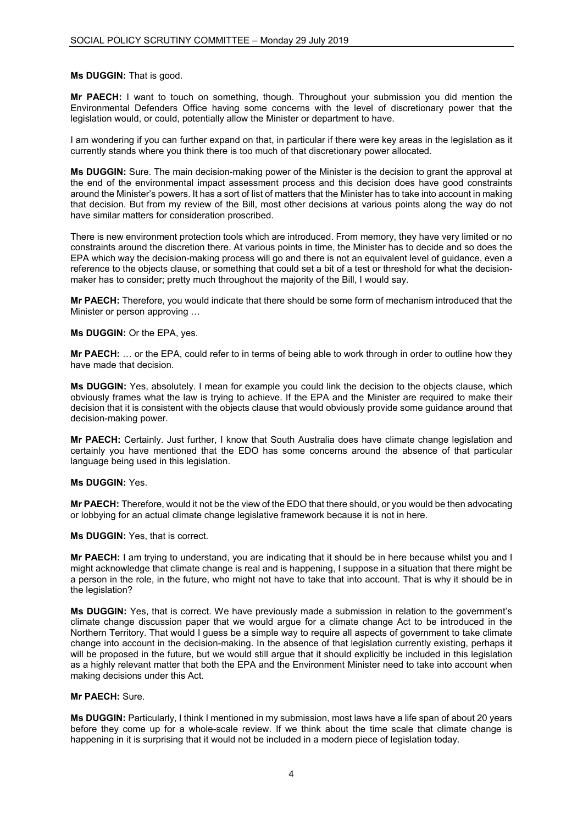# **Ms DUGGIN:** That is good.

**Mr PAECH:** I want to touch on something, though. Throughout your submission you did mention the Environmental Defenders Office having some concerns with the level of discretionary power that the legislation would, or could, potentially allow the Minister or department to have.

I am wondering if you can further expand on that, in particular if there were key areas in the legislation as it currently stands where you think there is too much of that discretionary power allocated.

**Ms DUGGIN:** Sure. The main decision-making power of the Minister is the decision to grant the approval at the end of the environmental impact assessment process and this decision does have good constraints around the Minister's powers. It has a sort of list of matters that the Minister has to take into account in making that decision. But from my review of the Bill, most other decisions at various points along the way do not have similar matters for consideration proscribed.

There is new environment protection tools which are introduced. From memory, they have very limited or no constraints around the discretion there. At various points in time, the Minister has to decide and so does the EPA which way the decision-making process will go and there is not an equivalent level of guidance, even a reference to the objects clause, or something that could set a bit of a test or threshold for what the decisionmaker has to consider; pretty much throughout the majority of the Bill, I would say.

**Mr PAECH:** Therefore, you would indicate that there should be some form of mechanism introduced that the Minister or person approving …

# **Ms DUGGIN:** Or the EPA, yes.

**Mr PAECH:** … or the EPA, could refer to in terms of being able to work through in order to outline how they have made that decision.

**Ms DUGGIN:** Yes, absolutely. I mean for example you could link the decision to the objects clause, which obviously frames what the law is trying to achieve. If the EPA and the Minister are required to make their decision that it is consistent with the objects clause that would obviously provide some guidance around that decision-making power.

**Mr PAECH:** Certainly. Just further, I know that South Australia does have climate change legislation and certainly you have mentioned that the EDO has some concerns around the absence of that particular language being used in this legislation.

#### **Ms DUGGIN:** Yes.

**Mr PAECH:** Therefore, would it not be the view of the EDO that there should, or you would be then advocating or lobbying for an actual climate change legislative framework because it is not in here.

**Ms DUGGIN:** Yes, that is correct.

**Mr PAECH:** I am trying to understand, you are indicating that it should be in here because whilst you and I might acknowledge that climate change is real and is happening, I suppose in a situation that there might be a person in the role, in the future, who might not have to take that into account. That is why it should be in the legislation?

**Ms DUGGIN:** Yes, that is correct. We have previously made a submission in relation to the government's climate change discussion paper that we would argue for a climate change Act to be introduced in the Northern Territory. That would I guess be a simple way to require all aspects of government to take climate change into account in the decision-making. In the absence of that legislation currently existing, perhaps it will be proposed in the future, but we would still argue that it should explicitly be included in this legislation as a highly relevant matter that both the EPA and the Environment Minister need to take into account when making decisions under this Act.

# **Mr PAECH:** Sure.

**Ms DUGGIN:** Particularly, I think I mentioned in my submission, most laws have a life span of about 20 years before they come up for a whole-scale review. If we think about the time scale that climate change is happening in it is surprising that it would not be included in a modern piece of legislation today.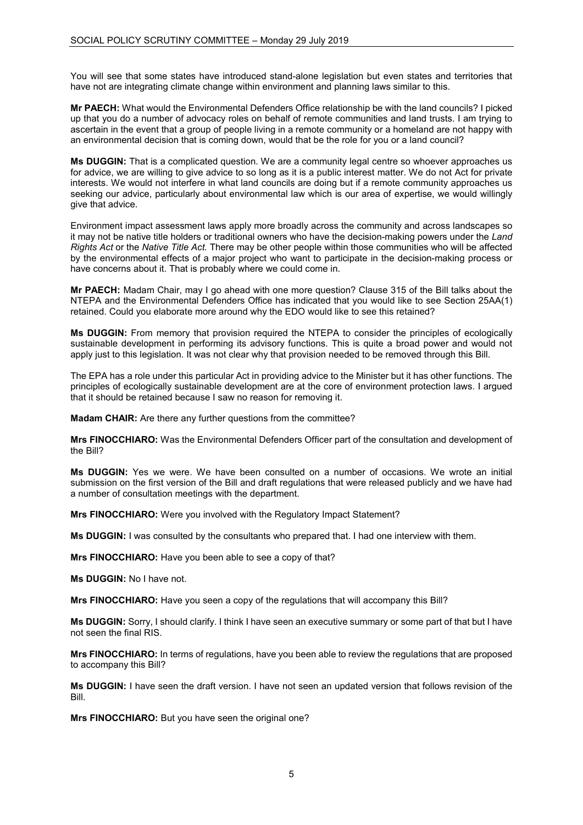You will see that some states have introduced stand-alone legislation but even states and territories that have not are integrating climate change within environment and planning laws similar to this.

**Mr PAECH:** What would the Environmental Defenders Office relationship be with the land councils? I picked up that you do a number of advocacy roles on behalf of remote communities and land trusts. I am trying to ascertain in the event that a group of people living in a remote community or a homeland are not happy with an environmental decision that is coming down, would that be the role for you or a land council?

**Ms DUGGIN:** That is a complicated question. We are a community legal centre so whoever approaches us for advice, we are willing to give advice to so long as it is a public interest matter. We do not Act for private interests. We would not interfere in what land councils are doing but if a remote community approaches us seeking our advice, particularly about environmental law which is our area of expertise, we would willingly give that advice.

Environment impact assessment laws apply more broadly across the community and across landscapes so it may not be native title holders or traditional owners who have the decision-making powers under the *Land Rights Act* or the *Native Title Act.* There may be other people within those communities who will be affected by the environmental effects of a major project who want to participate in the decision-making process or have concerns about it. That is probably where we could come in.

**Mr PAECH:** Madam Chair, may I go ahead with one more question? Clause 315 of the Bill talks about the NTEPA and the Environmental Defenders Office has indicated that you would like to see Section 25AA(1) retained. Could you elaborate more around why the EDO would like to see this retained?

**Ms DUGGIN:** From memory that provision required the NTEPA to consider the principles of ecologically sustainable development in performing its advisory functions. This is quite a broad power and would not apply just to this legislation. It was not clear why that provision needed to be removed through this Bill.

The EPA has a role under this particular Act in providing advice to the Minister but it has other functions. The principles of ecologically sustainable development are at the core of environment protection laws. I argued that it should be retained because I saw no reason for removing it.

**Madam CHAIR:** Are there any further questions from the committee?

**Mrs FINOCCHIARO:** Was the Environmental Defenders Officer part of the consultation and development of the Bill?

**Ms DUGGIN:** Yes we were. We have been consulted on a number of occasions. We wrote an initial submission on the first version of the Bill and draft regulations that were released publicly and we have had a number of consultation meetings with the department.

**Mrs FINOCCHIARO:** Were you involved with the Regulatory Impact Statement?

**Ms DUGGIN:** I was consulted by the consultants who prepared that. I had one interview with them.

**Mrs FINOCCHIARO:** Have you been able to see a copy of that?

**Ms DUGGIN:** No I have not.

**Mrs FINOCCHIARO:** Have you seen a copy of the regulations that will accompany this Bill?

**Ms DUGGIN:** Sorry, I should clarify. I think I have seen an executive summary or some part of that but I have not seen the final RIS.

**Mrs FINOCCHIARO:** In terms of regulations, have you been able to review the regulations that are proposed to accompany this Bill?

**Ms DUGGIN:** I have seen the draft version. I have not seen an updated version that follows revision of the Bill.

**Mrs FINOCCHIARO:** But you have seen the original one?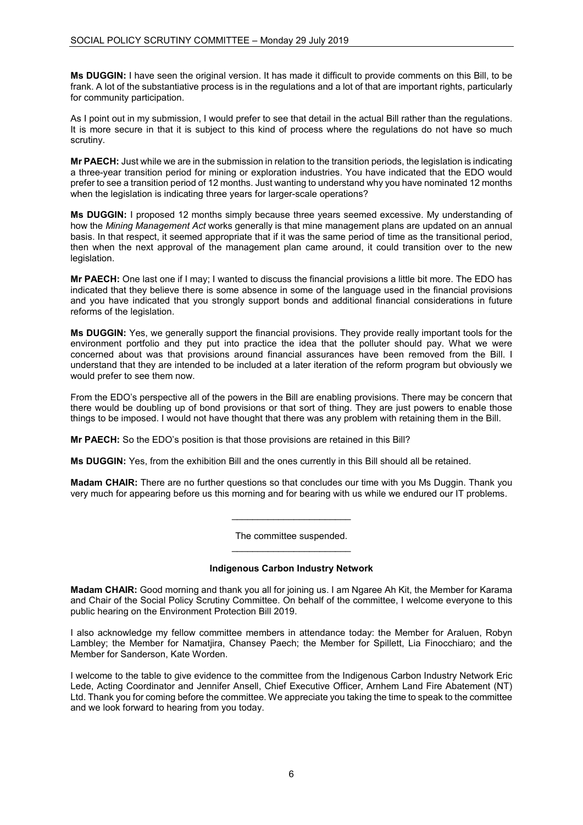**Ms DUGGIN:** I have seen the original version. It has made it difficult to provide comments on this Bill, to be frank. A lot of the substantiative process is in the regulations and a lot of that are important rights, particularly for community participation.

As I point out in my submission, I would prefer to see that detail in the actual Bill rather than the regulations. It is more secure in that it is subject to this kind of process where the regulations do not have so much scrutiny.

**Mr PAECH:** Just while we are in the submission in relation to the transition periods, the legislation is indicating a three-year transition period for mining or exploration industries. You have indicated that the EDO would prefer to see a transition period of 12 months. Just wanting to understand why you have nominated 12 months when the legislation is indicating three years for larger-scale operations?

**Ms DUGGIN:** I proposed 12 months simply because three years seemed excessive. My understanding of how the *Mining Management Act* works generally is that mine management plans are updated on an annual basis. In that respect, it seemed appropriate that if it was the same period of time as the transitional period, then when the next approval of the management plan came around, it could transition over to the new legislation.

**Mr PAECH:** One last one if I may; I wanted to discuss the financial provisions a little bit more. The EDO has indicated that they believe there is some absence in some of the language used in the financial provisions and you have indicated that you strongly support bonds and additional financial considerations in future reforms of the legislation.

**Ms DUGGIN:** Yes, we generally support the financial provisions. They provide really important tools for the environment portfolio and they put into practice the idea that the polluter should pay. What we were concerned about was that provisions around financial assurances have been removed from the Bill. I understand that they are intended to be included at a later iteration of the reform program but obviously we would prefer to see them now.

From the EDO's perspective all of the powers in the Bill are enabling provisions. There may be concern that there would be doubling up of bond provisions or that sort of thing. They are just powers to enable those things to be imposed. I would not have thought that there was any problem with retaining them in the Bill.

**Mr PAECH:** So the EDO's position is that those provisions are retained in this Bill?

**Ms DUGGIN:** Yes, from the exhibition Bill and the ones currently in this Bill should all be retained.

**Madam CHAIR:** There are no further questions so that concludes our time with you Ms Duggin. Thank you very much for appearing before us this morning and for bearing with us while we endured our IT problems.

> The committee suspended. \_\_\_\_\_\_\_\_\_\_\_\_\_\_\_\_\_\_\_\_\_\_\_

> $\overline{\phantom{a}}$  , and the set of the set of the set of the set of the set of the set of the set of the set of the set of the set of the set of the set of the set of the set of the set of the set of the set of the set of the s

#### **Indigenous Carbon Industry Network**

**Madam CHAIR:** Good morning and thank you all for joining us. I am Ngaree Ah Kit, the Member for Karama and Chair of the Social Policy Scrutiny Committee. On behalf of the committee, I welcome everyone to this public hearing on the Environment Protection Bill 2019.

I also acknowledge my fellow committee members in attendance today: the Member for Araluen, Robyn Lambley; the Member for Namatjira, Chansey Paech; the Member for Spillett, Lia Finocchiaro; and the Member for Sanderson, Kate Worden.

I welcome to the table to give evidence to the committee from the Indigenous Carbon Industry Network Eric Lede, Acting Coordinator and Jennifer Ansell, Chief Executive Officer, Arnhem Land Fire Abatement (NT) Ltd. Thank you for coming before the committee. We appreciate you taking the time to speak to the committee and we look forward to hearing from you today.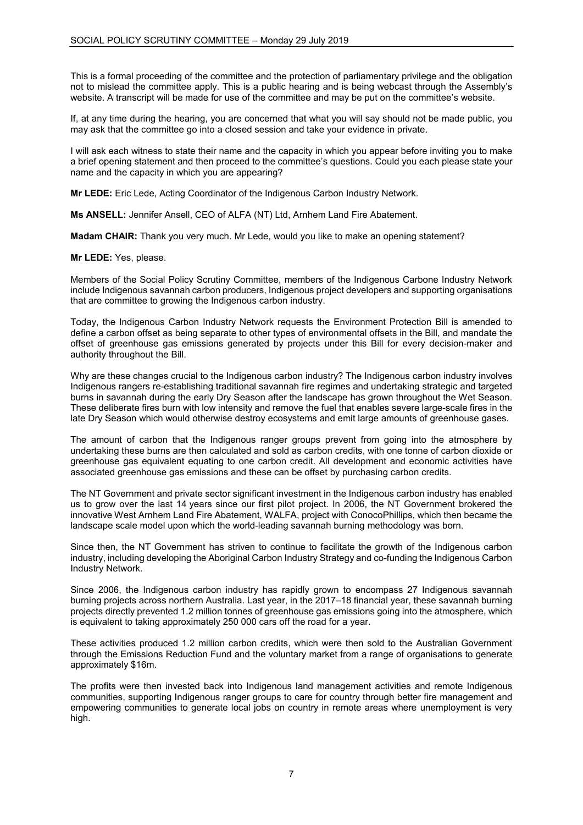This is a formal proceeding of the committee and the protection of parliamentary privilege and the obligation not to mislead the committee apply. This is a public hearing and is being webcast through the Assembly's website. A transcript will be made for use of the committee and may be put on the committee's website.

If, at any time during the hearing, you are concerned that what you will say should not be made public, you may ask that the committee go into a closed session and take your evidence in private.

I will ask each witness to state their name and the capacity in which you appear before inviting you to make a brief opening statement and then proceed to the committee's questions. Could you each please state your name and the capacity in which you are appearing?

**Mr LEDE:** Eric Lede, Acting Coordinator of the Indigenous Carbon Industry Network.

**Ms ANSELL:** Jennifer Ansell, CEO of ALFA (NT) Ltd, Arnhem Land Fire Abatement.

**Madam CHAIR:** Thank you very much. Mr Lede, would you like to make an opening statement?

**Mr LEDE:** Yes, please.

Members of the Social Policy Scrutiny Committee, members of the Indigenous Carbone Industry Network include Indigenous savannah carbon producers, Indigenous project developers and supporting organisations that are committee to growing the Indigenous carbon industry.

Today, the Indigenous Carbon Industry Network requests the Environment Protection Bill is amended to define a carbon offset as being separate to other types of environmental offsets in the Bill, and mandate the offset of greenhouse gas emissions generated by projects under this Bill for every decision-maker and authority throughout the Bill.

Why are these changes crucial to the Indigenous carbon industry? The Indigenous carbon industry involves Indigenous rangers re-establishing traditional savannah fire regimes and undertaking strategic and targeted burns in savannah during the early Dry Season after the landscape has grown throughout the Wet Season. These deliberate fires burn with low intensity and remove the fuel that enables severe large-scale fires in the late Dry Season which would otherwise destroy ecosystems and emit large amounts of greenhouse gases.

The amount of carbon that the Indigenous ranger groups prevent from going into the atmosphere by undertaking these burns are then calculated and sold as carbon credits, with one tonne of carbon dioxide or greenhouse gas equivalent equating to one carbon credit. All development and economic activities have associated greenhouse gas emissions and these can be offset by purchasing carbon credits.

The NT Government and private sector significant investment in the Indigenous carbon industry has enabled us to grow over the last 14 years since our first pilot project. In 2006, the NT Government brokered the innovative West Arnhem Land Fire Abatement, WALFA, project with ConocoPhillips, which then became the landscape scale model upon which the world-leading savannah burning methodology was born.

Since then, the NT Government has striven to continue to facilitate the growth of the Indigenous carbon industry, including developing the Aboriginal Carbon Industry Strategy and co-funding the Indigenous Carbon Industry Network.

Since 2006, the Indigenous carbon industry has rapidly grown to encompass 27 Indigenous savannah burning projects across northern Australia. Last year, in the 2017–18 financial year, these savannah burning projects directly prevented 1.2 million tonnes of greenhouse gas emissions going into the atmosphere, which is equivalent to taking approximately 250 000 cars off the road for a year.

These activities produced 1.2 million carbon credits, which were then sold to the Australian Government through the Emissions Reduction Fund and the voluntary market from a range of organisations to generate approximately \$16m.

The profits were then invested back into Indigenous land management activities and remote Indigenous communities, supporting Indigenous ranger groups to care for country through better fire management and empowering communities to generate local jobs on country in remote areas where unemployment is very high.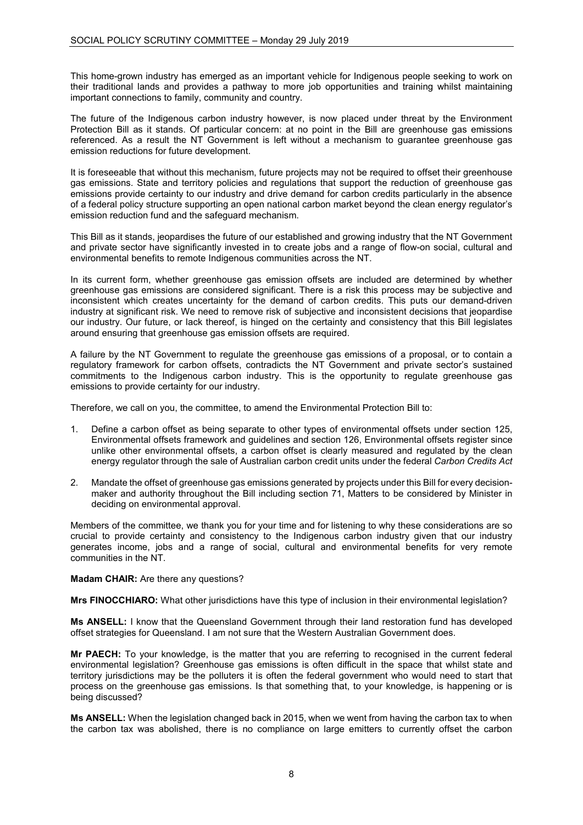This home-grown industry has emerged as an important vehicle for Indigenous people seeking to work on their traditional lands and provides a pathway to more job opportunities and training whilst maintaining important connections to family, community and country.

The future of the Indigenous carbon industry however, is now placed under threat by the Environment Protection Bill as it stands. Of particular concern: at no point in the Bill are greenhouse gas emissions referenced. As a result the NT Government is left without a mechanism to guarantee greenhouse gas emission reductions for future development.

It is foreseeable that without this mechanism, future projects may not be required to offset their greenhouse gas emissions. State and territory policies and regulations that support the reduction of greenhouse gas emissions provide certainty to our industry and drive demand for carbon credits particularly in the absence of a federal policy structure supporting an open national carbon market beyond the clean energy regulator's emission reduction fund and the safeguard mechanism.

This Bill as it stands, jeopardises the future of our established and growing industry that the NT Government and private sector have significantly invested in to create jobs and a range of flow-on social, cultural and environmental benefits to remote Indigenous communities across the NT.

In its current form, whether greenhouse gas emission offsets are included are determined by whether greenhouse gas emissions are considered significant. There is a risk this process may be subjective and inconsistent which creates uncertainty for the demand of carbon credits. This puts our demand-driven industry at significant risk. We need to remove risk of subjective and inconsistent decisions that jeopardise our industry. Our future, or lack thereof, is hinged on the certainty and consistency that this Bill legislates around ensuring that greenhouse gas emission offsets are required.

A failure by the NT Government to regulate the greenhouse gas emissions of a proposal, or to contain a regulatory framework for carbon offsets, contradicts the NT Government and private sector's sustained commitments to the Indigenous carbon industry. This is the opportunity to regulate greenhouse gas emissions to provide certainty for our industry.

Therefore, we call on you, the committee, to amend the Environmental Protection Bill to:

- 1. Define a carbon offset as being separate to other types of environmental offsets under section 125, Environmental offsets framework and guidelines and section 126, Environmental offsets register since unlike other environmental offsets, a carbon offset is clearly measured and regulated by the clean energy regulator through the sale of Australian carbon credit units under the federal *Carbon Credits Act*
- 2. Mandate the offset of greenhouse gas emissions generated by projects under this Bill for every decisionmaker and authority throughout the Bill including section 71, Matters to be considered by Minister in deciding on environmental approval.

Members of the committee, we thank you for your time and for listening to why these considerations are so crucial to provide certainty and consistency to the Indigenous carbon industry given that our industry generates income, jobs and a range of social, cultural and environmental benefits for very remote communities in the NT.

#### **Madam CHAIR:** Are there any questions?

**Mrs FINOCCHIARO:** What other jurisdictions have this type of inclusion in their environmental legislation?

**Ms ANSELL:** I know that the Queensland Government through their land restoration fund has developed offset strategies for Queensland. I am not sure that the Western Australian Government does.

**Mr PAECH:** To your knowledge, is the matter that you are referring to recognised in the current federal environmental legislation? Greenhouse gas emissions is often difficult in the space that whilst state and territory jurisdictions may be the polluters it is often the federal government who would need to start that process on the greenhouse gas emissions. Is that something that, to your knowledge, is happening or is being discussed?

**Ms ANSELL:** When the legislation changed back in 2015, when we went from having the carbon tax to when the carbon tax was abolished, there is no compliance on large emitters to currently offset the carbon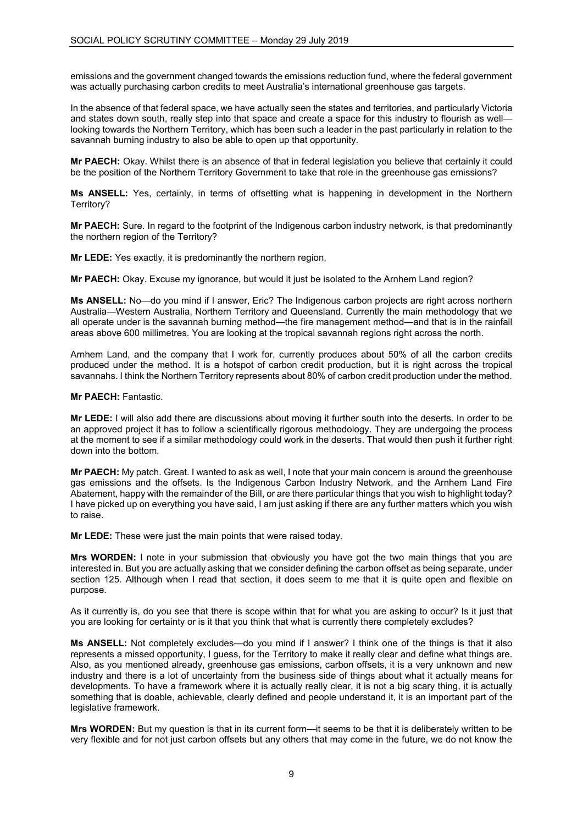emissions and the government changed towards the emissions reduction fund, where the federal government was actually purchasing carbon credits to meet Australia's international greenhouse gas targets.

In the absence of that federal space, we have actually seen the states and territories, and particularly Victoria and states down south, really step into that space and create a space for this industry to flourish as well looking towards the Northern Territory, which has been such a leader in the past particularly in relation to the savannah burning industry to also be able to open up that opportunity.

**Mr PAECH:** Okay. Whilst there is an absence of that in federal legislation you believe that certainly it could be the position of the Northern Territory Government to take that role in the greenhouse gas emissions?

**Ms ANSELL:** Yes, certainly, in terms of offsetting what is happening in development in the Northern Territory?

**Mr PAECH:** Sure. In regard to the footprint of the Indigenous carbon industry network, is that predominantly the northern region of the Territory?

**Mr LEDE:** Yes exactly, it is predominantly the northern region,

**Mr PAECH:** Okay. Excuse my ignorance, but would it just be isolated to the Arnhem Land region?

**Ms ANSELL:** No—do you mind if I answer, Eric? The Indigenous carbon projects are right across northern Australia—Western Australia, Northern Territory and Queensland. Currently the main methodology that we all operate under is the savannah burning method—the fire management method—and that is in the rainfall areas above 600 millimetres. You are looking at the tropical savannah regions right across the north.

Arnhem Land, and the company that I work for, currently produces about 50% of all the carbon credits produced under the method. It is a hotspot of carbon credit production, but it is right across the tropical savannahs. I think the Northern Territory represents about 80% of carbon credit production under the method.

**Mr PAECH:** Fantastic.

**Mr LEDE:** I will also add there are discussions about moving it further south into the deserts. In order to be an approved project it has to follow a scientifically rigorous methodology. They are undergoing the process at the moment to see if a similar methodology could work in the deserts. That would then push it further right down into the bottom.

**Mr PAECH:** My patch. Great. I wanted to ask as well, I note that your main concern is around the greenhouse gas emissions and the offsets. Is the Indigenous Carbon Industry Network, and the Arnhem Land Fire Abatement, happy with the remainder of the Bill, or are there particular things that you wish to highlight today? I have picked up on everything you have said, I am just asking if there are any further matters which you wish to raise.

**Mr LEDE:** These were just the main points that were raised today.

**Mrs WORDEN:** I note in your submission that obviously you have got the two main things that you are interested in. But you are actually asking that we consider defining the carbon offset as being separate, under section 125. Although when I read that section, it does seem to me that it is quite open and flexible on purpose.

As it currently is, do you see that there is scope within that for what you are asking to occur? Is it just that you are looking for certainty or is it that you think that what is currently there completely excludes?

**Ms ANSELL:** Not completely excludes—do you mind if I answer? I think one of the things is that it also represents a missed opportunity, I guess, for the Territory to make it really clear and define what things are. Also, as you mentioned already, greenhouse gas emissions, carbon offsets, it is a very unknown and new industry and there is a lot of uncertainty from the business side of things about what it actually means for developments. To have a framework where it is actually really clear, it is not a big scary thing, it is actually something that is doable, achievable, clearly defined and people understand it, it is an important part of the legislative framework.

**Mrs WORDEN:** But my question is that in its current form—it seems to be that it is deliberately written to be very flexible and for not just carbon offsets but any others that may come in the future, we do not know the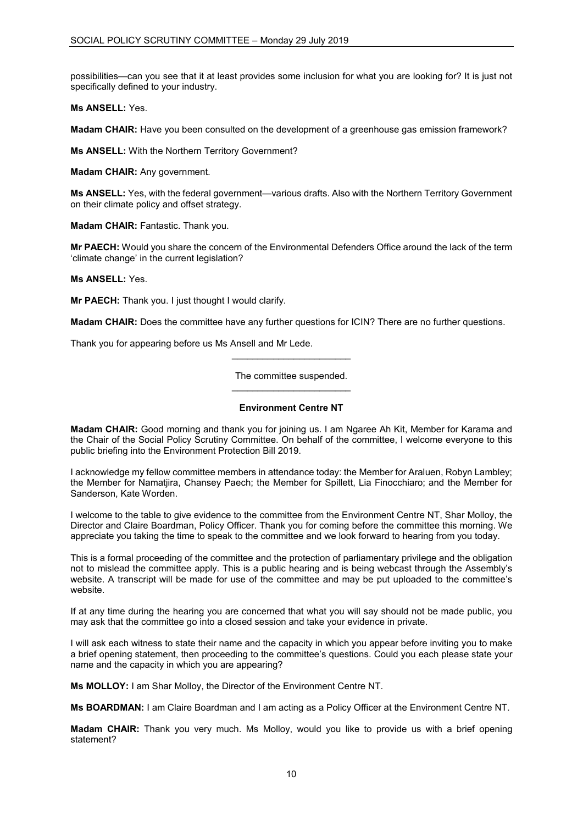possibilities—can you see that it at least provides some inclusion for what you are looking for? It is just not specifically defined to your industry.

**Ms ANSELL:** Yes.

**Madam CHAIR:** Have you been consulted on the development of a greenhouse gas emission framework?

**Ms ANSELL:** With the Northern Territory Government?

**Madam CHAIR:** Any government.

**Ms ANSELL:** Yes, with the federal government—various drafts. Also with the Northern Territory Government on their climate policy and offset strategy.

**Madam CHAIR: Fantastic. Thank you.** 

**Mr PAECH:** Would you share the concern of the Environmental Defenders Office around the lack of the term 'climate change' in the current legislation?

**Ms ANSELL:** Yes.

**Mr PAECH:** Thank you. I just thought I would clarify.

**Madam CHAIR:** Does the committee have any further questions for ICIN? There are no further questions.

Thank you for appearing before us Ms Ansell and Mr Lede.

# The committee suspended. \_\_\_\_\_\_\_\_\_\_\_\_\_\_\_\_\_\_\_\_\_\_\_

\_\_\_\_\_\_\_\_\_\_\_\_\_\_\_\_\_\_\_\_\_\_\_

# **Environment Centre NT**

**Madam CHAIR:** Good morning and thank you for joining us. I am Ngaree Ah Kit, Member for Karama and the Chair of the Social Policy Scrutiny Committee. On behalf of the committee, I welcome everyone to this public briefing into the Environment Protection Bill 2019.

I acknowledge my fellow committee members in attendance today: the Member for Araluen, Robyn Lambley; the Member for Namatjira, Chansey Paech; the Member for Spillett, Lia Finocchiaro; and the Member for Sanderson, Kate Worden.

I welcome to the table to give evidence to the committee from the Environment Centre NT, Shar Molloy, the Director and Claire Boardman, Policy Officer. Thank you for coming before the committee this morning. We appreciate you taking the time to speak to the committee and we look forward to hearing from you today.

This is a formal proceeding of the committee and the protection of parliamentary privilege and the obligation not to mislead the committee apply. This is a public hearing and is being webcast through the Assembly's website. A transcript will be made for use of the committee and may be put uploaded to the committee's website.

If at any time during the hearing you are concerned that what you will say should not be made public, you may ask that the committee go into a closed session and take your evidence in private.

I will ask each witness to state their name and the capacity in which you appear before inviting you to make a brief opening statement, then proceeding to the committee's questions. Could you each please state your name and the capacity in which you are appearing?

**Ms MOLLOY:** I am Shar Molloy, the Director of the Environment Centre NT.

**Ms BOARDMAN:** I am Claire Boardman and I am acting as a Policy Officer at the Environment Centre NT.

**Madam CHAIR:** Thank you very much. Ms Molloy, would you like to provide us with a brief opening statement?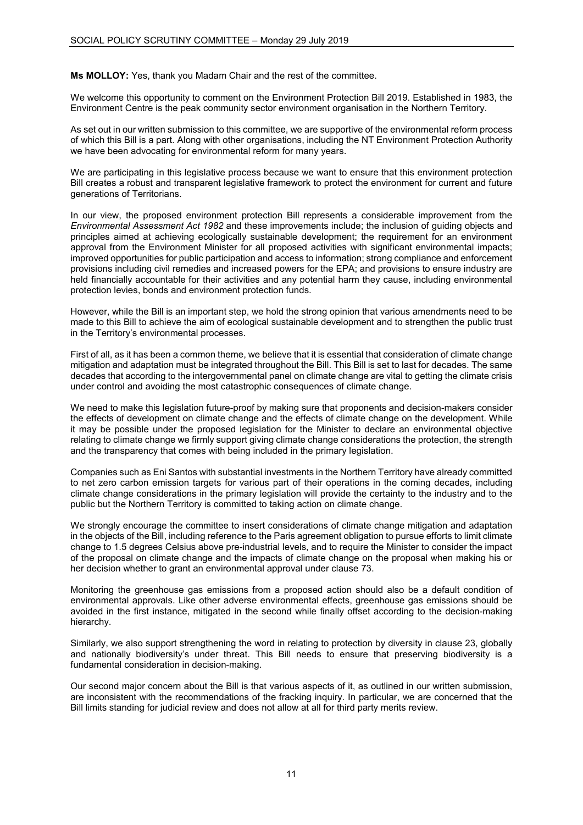**Ms MOLLOY:** Yes, thank you Madam Chair and the rest of the committee.

We welcome this opportunity to comment on the Environment Protection Bill 2019. Established in 1983, the Environment Centre is the peak community sector environment organisation in the Northern Territory.

As set out in our written submission to this committee, we are supportive of the environmental reform process of which this Bill is a part. Along with other organisations, including the NT Environment Protection Authority we have been advocating for environmental reform for many years.

We are participating in this legislative process because we want to ensure that this environment protection Bill creates a robust and transparent legislative framework to protect the environment for current and future generations of Territorians.

In our view, the proposed environment protection Bill represents a considerable improvement from the *Environmental Assessment Act 1982* and these improvements include; the inclusion of guiding objects and principles aimed at achieving ecologically sustainable development; the requirement for an environment approval from the Environment Minister for all proposed activities with significant environmental impacts; improved opportunities for public participation and access to information; strong compliance and enforcement provisions including civil remedies and increased powers for the EPA; and provisions to ensure industry are held financially accountable for their activities and any potential harm they cause, including environmental protection levies, bonds and environment protection funds.

However, while the Bill is an important step, we hold the strong opinion that various amendments need to be made to this Bill to achieve the aim of ecological sustainable development and to strengthen the public trust in the Territory's environmental processes.

First of all, as it has been a common theme, we believe that it is essential that consideration of climate change mitigation and adaptation must be integrated throughout the Bill. This Bill is set to last for decades. The same decades that according to the intergovernmental panel on climate change are vital to getting the climate crisis under control and avoiding the most catastrophic consequences of climate change.

We need to make this legislation future-proof by making sure that proponents and decision-makers consider the effects of development on climate change and the effects of climate change on the development. While it may be possible under the proposed legislation for the Minister to declare an environmental objective relating to climate change we firmly support giving climate change considerations the protection, the strength and the transparency that comes with being included in the primary legislation.

Companies such as Eni Santos with substantial investments in the Northern Territory have already committed to net zero carbon emission targets for various part of their operations in the coming decades, including climate change considerations in the primary legislation will provide the certainty to the industry and to the public but the Northern Territory is committed to taking action on climate change.

We strongly encourage the committee to insert considerations of climate change mitigation and adaptation in the objects of the Bill, including reference to the Paris agreement obligation to pursue efforts to limit climate change to 1.5 degrees Celsius above pre-industrial levels, and to require the Minister to consider the impact of the proposal on climate change and the impacts of climate change on the proposal when making his or her decision whether to grant an environmental approval under clause 73.

Monitoring the greenhouse gas emissions from a proposed action should also be a default condition of environmental approvals. Like other adverse environmental effects, greenhouse gas emissions should be avoided in the first instance, mitigated in the second while finally offset according to the decision-making hierarchy.

Similarly, we also support strengthening the word in relating to protection by diversity in clause 23, globally and nationally biodiversity's under threat. This Bill needs to ensure that preserving biodiversity is a fundamental consideration in decision-making.

Our second major concern about the Bill is that various aspects of it, as outlined in our written submission, are inconsistent with the recommendations of the fracking inquiry. In particular, we are concerned that the Bill limits standing for judicial review and does not allow at all for third party merits review.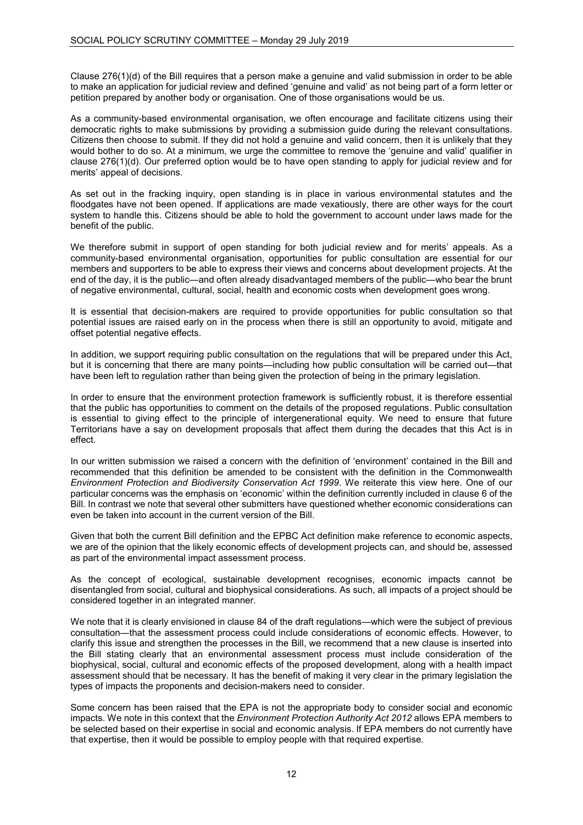Clause 276(1)(d) of the Bill requires that a person make a genuine and valid submission in order to be able to make an application for judicial review and defined 'genuine and valid' as not being part of a form letter or petition prepared by another body or organisation. One of those organisations would be us.

As a community-based environmental organisation, we often encourage and facilitate citizens using their democratic rights to make submissions by providing a submission guide during the relevant consultations. Citizens then choose to submit. If they did not hold a genuine and valid concern, then it is unlikely that they would bother to do so. At a minimum, we urge the committee to remove the 'genuine and valid' qualifier in clause 276(1)(d). Our preferred option would be to have open standing to apply for judicial review and for merits' appeal of decisions.

As set out in the fracking inquiry, open standing is in place in various environmental statutes and the floodgates have not been opened. If applications are made vexatiously, there are other ways for the court system to handle this. Citizens should be able to hold the government to account under laws made for the benefit of the public.

We therefore submit in support of open standing for both judicial review and for merits' appeals. As a community-based environmental organisation, opportunities for public consultation are essential for our members and supporters to be able to express their views and concerns about development projects. At the end of the day, it is the public—and often already disadvantaged members of the public—who bear the brunt of negative environmental, cultural, social, health and economic costs when development goes wrong.

It is essential that decision-makers are required to provide opportunities for public consultation so that potential issues are raised early on in the process when there is still an opportunity to avoid, mitigate and offset potential negative effects.

In addition, we support requiring public consultation on the regulations that will be prepared under this Act, but it is concerning that there are many points—including how public consultation will be carried out—that have been left to regulation rather than being given the protection of being in the primary legislation.

In order to ensure that the environment protection framework is sufficiently robust, it is therefore essential that the public has opportunities to comment on the details of the proposed regulations. Public consultation is essential to giving effect to the principle of intergenerational equity. We need to ensure that future Territorians have a say on development proposals that affect them during the decades that this Act is in effect.

In our written submission we raised a concern with the definition of 'environment' contained in the Bill and recommended that this definition be amended to be consistent with the definition in the Commonwealth *Environment Protection and Biodiversity Conservation Act 1999*. We reiterate this view here. One of our particular concerns was the emphasis on 'economic' within the definition currently included in clause 6 of the Bill. In contrast we note that several other submitters have questioned whether economic considerations can even be taken into account in the current version of the Bill.

Given that both the current Bill definition and the EPBC Act definition make reference to economic aspects, we are of the opinion that the likely economic effects of development projects can, and should be, assessed as part of the environmental impact assessment process.

As the concept of ecological, sustainable development recognises, economic impacts cannot be disentangled from social, cultural and biophysical considerations. As such, all impacts of a project should be considered together in an integrated manner.

We note that it is clearly envisioned in clause 84 of the draft regulations—which were the subject of previous consultation—that the assessment process could include considerations of economic effects. However, to clarify this issue and strengthen the processes in the Bill, we recommend that a new clause is inserted into the Bill stating clearly that an environmental assessment process must include consideration of the biophysical, social, cultural and economic effects of the proposed development, along with a health impact assessment should that be necessary. It has the benefit of making it very clear in the primary legislation the types of impacts the proponents and decision-makers need to consider.

Some concern has been raised that the EPA is not the appropriate body to consider social and economic impacts. We note in this context that the *Environment Protection Authority Act 2012* allows EPA members to be selected based on their expertise in social and economic analysis. If EPA members do not currently have that expertise, then it would be possible to employ people with that required expertise.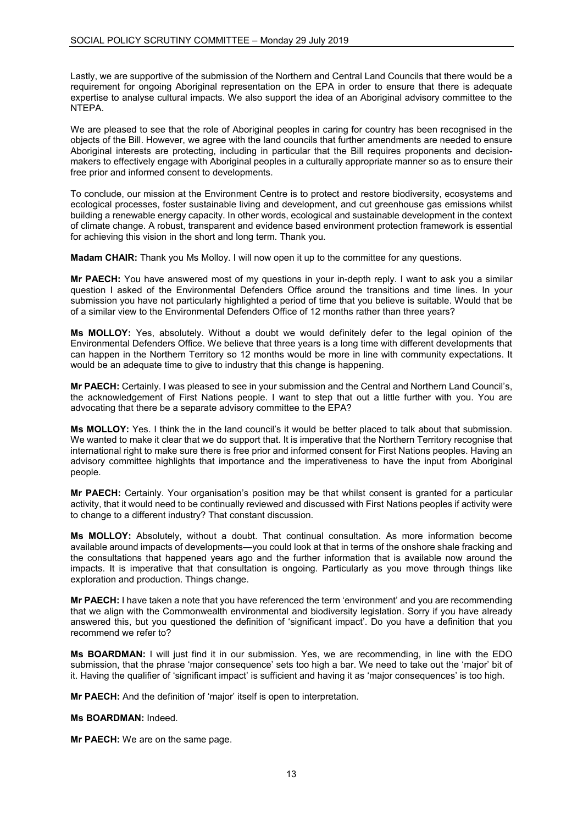Lastly, we are supportive of the submission of the Northern and Central Land Councils that there would be a requirement for ongoing Aboriginal representation on the EPA in order to ensure that there is adequate expertise to analyse cultural impacts. We also support the idea of an Aboriginal advisory committee to the NTEPA.

We are pleased to see that the role of Aboriginal peoples in caring for country has been recognised in the objects of the Bill. However, we agree with the land councils that further amendments are needed to ensure Aboriginal interests are protecting, including in particular that the Bill requires proponents and decisionmakers to effectively engage with Aboriginal peoples in a culturally appropriate manner so as to ensure their free prior and informed consent to developments.

To conclude, our mission at the Environment Centre is to protect and restore biodiversity, ecosystems and ecological processes, foster sustainable living and development, and cut greenhouse gas emissions whilst building a renewable energy capacity. In other words, ecological and sustainable development in the context of climate change. A robust, transparent and evidence based environment protection framework is essential for achieving this vision in the short and long term. Thank you.

**Madam CHAIR:** Thank you Ms Molloy. I will now open it up to the committee for any questions.

**Mr PAECH:** You have answered most of my questions in your in-depth reply. I want to ask you a similar question I asked of the Environmental Defenders Office around the transitions and time lines. In your submission you have not particularly highlighted a period of time that you believe is suitable. Would that be of a similar view to the Environmental Defenders Office of 12 months rather than three years?

**Ms MOLLOY:** Yes, absolutely. Without a doubt we would definitely defer to the legal opinion of the Environmental Defenders Office. We believe that three years is a long time with different developments that can happen in the Northern Territory so 12 months would be more in line with community expectations. It would be an adequate time to give to industry that this change is happening.

**Mr PAECH:** Certainly. I was pleased to see in your submission and the Central and Northern Land Council's, the acknowledgement of First Nations people. I want to step that out a little further with you. You are advocating that there be a separate advisory committee to the EPA?

**Ms MOLLOY:** Yes. I think the in the land council's it would be better placed to talk about that submission. We wanted to make it clear that we do support that. It is imperative that the Northern Territory recognise that international right to make sure there is free prior and informed consent for First Nations peoples. Having an advisory committee highlights that importance and the imperativeness to have the input from Aboriginal people.

**Mr PAECH:** Certainly. Your organisation's position may be that whilst consent is granted for a particular activity, that it would need to be continually reviewed and discussed with First Nations peoples if activity were to change to a different industry? That constant discussion.

**Ms MOLLOY:** Absolutely, without a doubt. That continual consultation. As more information become available around impacts of developments—you could look at that in terms of the onshore shale fracking and the consultations that happened years ago and the further information that is available now around the impacts. It is imperative that that consultation is ongoing. Particularly as you move through things like exploration and production. Things change.

**Mr PAECH:** I have taken a note that you have referenced the term 'environment' and you are recommending that we align with the Commonwealth environmental and biodiversity legislation. Sorry if you have already answered this, but you questioned the definition of 'significant impact'. Do you have a definition that you recommend we refer to?

**Ms BOARDMAN:** I will just find it in our submission. Yes, we are recommending, in line with the EDO submission, that the phrase 'major consequence' sets too high a bar. We need to take out the 'major' bit of it. Having the qualifier of 'significant impact' is sufficient and having it as 'major consequences' is too high.

**Mr PAECH:** And the definition of 'major' itself is open to interpretation.

**Ms BOARDMAN:** Indeed.

**Mr PAECH:** We are on the same page.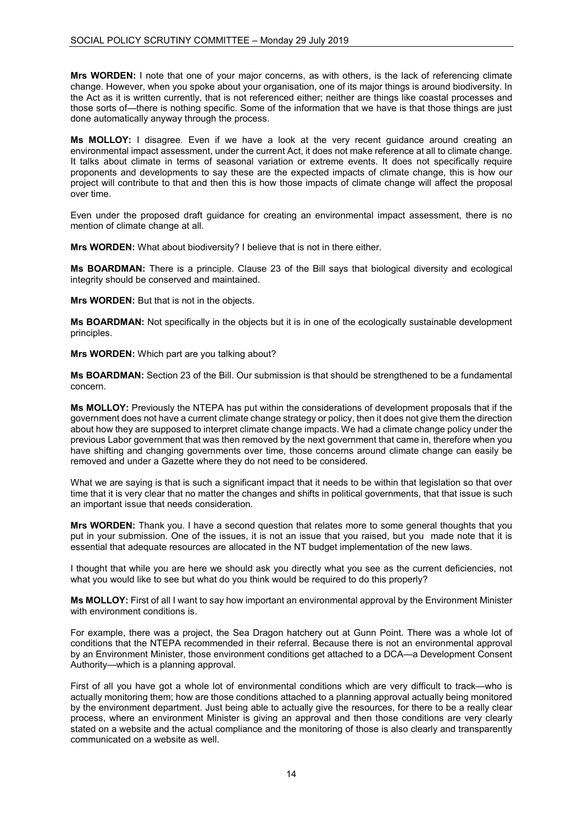**Mrs WORDEN:** I note that one of your major concerns, as with others, is the lack of referencing climate change. However, when you spoke about your organisation, one of its major things is around biodiversity. In the Act as it is written currently, that is not referenced either; neither are things like coastal processes and those sorts of—there is nothing specific. Some of the information that we have is that those things are just done automatically anyway through the process.

**Ms MOLLOY:** I disagree. Even if we have a look at the very recent guidance around creating an environmental impact assessment, under the current Act, it does not make reference at all to climate change. It talks about climate in terms of seasonal variation or extreme events. It does not specifically require proponents and developments to say these are the expected impacts of climate change, this is how our project will contribute to that and then this is how those impacts of climate change will affect the proposal over time.

Even under the proposed draft guidance for creating an environmental impact assessment, there is no mention of climate change at all.

**Mrs WORDEN:** What about biodiversity? I believe that is not in there either.

**Ms BOARDMAN:** There is a principle. Clause 23 of the Bill says that biological diversity and ecological integrity should be conserved and maintained.

**Mrs WORDEN:** But that is not in the objects.

**Ms BOARDMAN:** Not specifically in the objects but it is in one of the ecologically sustainable development principles.

**Mrs WORDEN:** Which part are you talking about?

**Ms BOARDMAN:** Section 23 of the Bill. Our submission is that should be strengthened to be a fundamental concern.

**Ms MOLLOY:** Previously the NTEPA has put within the considerations of development proposals that if the government does not have a current climate change strategy or policy, then it does not give them the direction about how they are supposed to interpret climate change impacts. We had a climate change policy under the previous Labor government that was then removed by the next government that came in, therefore when you have shifting and changing governments over time, those concerns around climate change can easily be removed and under a Gazette where they do not need to be considered.

What we are saying is that is such a significant impact that it needs to be within that legislation so that over time that it is very clear that no matter the changes and shifts in political governments, that that issue is such an important issue that needs consideration.

**Mrs WORDEN:** Thank you. I have a second question that relates more to some general thoughts that you put in your submission. One of the issues, it is not an issue that you raised, but you made note that it is essential that adequate resources are allocated in the NT budget implementation of the new laws.

I thought that while you are here we should ask you directly what you see as the current deficiencies, not what you would like to see but what do you think would be required to do this properly?

**Ms MOLLOY:** First of all I want to say how important an environmental approval by the Environment Minister with environment conditions is.

For example, there was a project, the Sea Dragon hatchery out at Gunn Point. There was a whole lot of conditions that the NTEPA recommended in their referral. Because there is not an environmental approval by an Environment Minister, those environment conditions get attached to a DCA—a Development Consent Authority—which is a planning approval.

First of all you have got a whole lot of environmental conditions which are very difficult to track—who is actually monitoring them; how are those conditions attached to a planning approval actually being monitored by the environment department. Just being able to actually give the resources, for there to be a really clear process, where an environment Minister is giving an approval and then those conditions are very clearly stated on a website and the actual compliance and the monitoring of those is also clearly and transparently communicated on a website as well.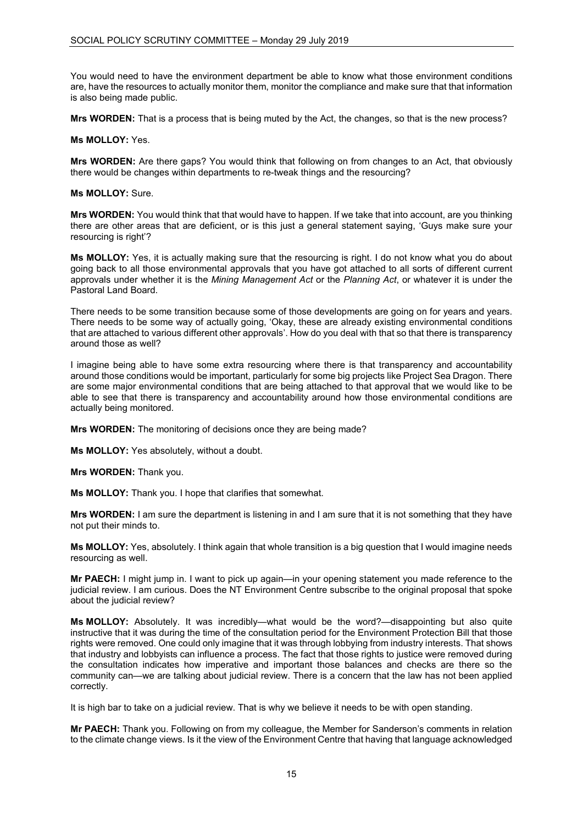You would need to have the environment department be able to know what those environment conditions are, have the resources to actually monitor them, monitor the compliance and make sure that that information is also being made public.

**Mrs WORDEN:** That is a process that is being muted by the Act, the changes, so that is the new process?

#### **Ms MOLLOY:** Yes.

**Mrs WORDEN:** Are there gaps? You would think that following on from changes to an Act, that obviously there would be changes within departments to re-tweak things and the resourcing?

### **Ms MOLLOY:** Sure.

**Mrs WORDEN:** You would think that that would have to happen. If we take that into account, are you thinking there are other areas that are deficient, or is this just a general statement saying, 'Guys make sure your resourcing is right'?

**Ms MOLLOY:** Yes, it is actually making sure that the resourcing is right. I do not know what you do about going back to all those environmental approvals that you have got attached to all sorts of different current approvals under whether it is the *Mining Management Act* or the *Planning Act*, or whatever it is under the Pastoral Land Board.

There needs to be some transition because some of those developments are going on for years and years. There needs to be some way of actually going, 'Okay, these are already existing environmental conditions that are attached to various different other approvals'. How do you deal with that so that there is transparency around those as well?

I imagine being able to have some extra resourcing where there is that transparency and accountability around those conditions would be important, particularly for some big projects like Project Sea Dragon. There are some major environmental conditions that are being attached to that approval that we would like to be able to see that there is transparency and accountability around how those environmental conditions are actually being monitored.

**Mrs WORDEN:** The monitoring of decisions once they are being made?

**Ms MOLLOY:** Yes absolutely, without a doubt.

**Mrs WORDEN:** Thank you.

**Ms MOLLOY:** Thank you. I hope that clarifies that somewhat.

**Mrs WORDEN:** I am sure the department is listening in and I am sure that it is not something that they have not put their minds to.

**Ms MOLLOY:** Yes, absolutely. I think again that whole transition is a big question that I would imagine needs resourcing as well.

**Mr PAECH:** I might jump in. I want to pick up again—in your opening statement you made reference to the judicial review. I am curious. Does the NT Environment Centre subscribe to the original proposal that spoke about the judicial review?

**Ms MOLLOY:** Absolutely. It was incredibly—what would be the word?—disappointing but also quite instructive that it was during the time of the consultation period for the Environment Protection Bill that those rights were removed. One could only imagine that it was through lobbying from industry interests. That shows that industry and lobbyists can influence a process. The fact that those rights to justice were removed during the consultation indicates how imperative and important those balances and checks are there so the community can—we are talking about judicial review. There is a concern that the law has not been applied correctly.

It is high bar to take on a judicial review. That is why we believe it needs to be with open standing.

**Mr PAECH:** Thank you. Following on from my colleague, the Member for Sanderson's comments in relation to the climate change views. Is it the view of the Environment Centre that having that language acknowledged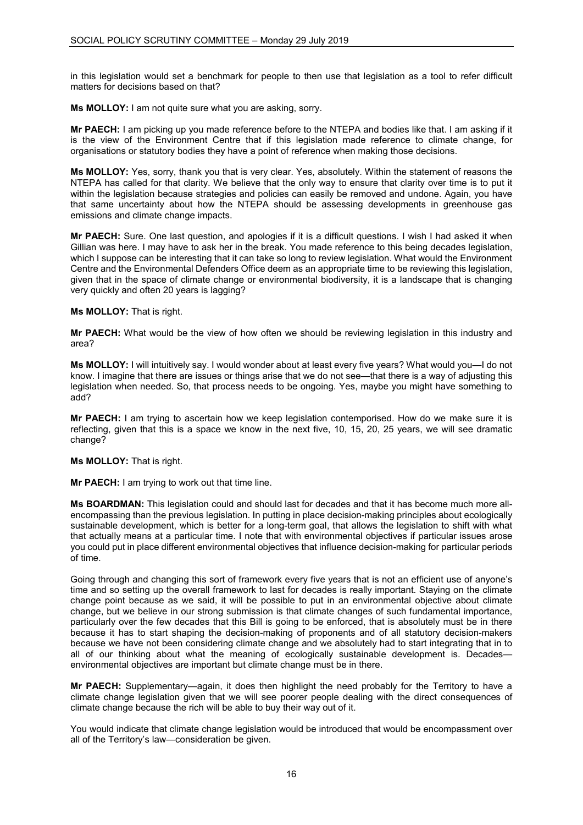in this legislation would set a benchmark for people to then use that legislation as a tool to refer difficult matters for decisions based on that?

**Ms MOLLOY:** I am not quite sure what you are asking, sorry.

**Mr PAECH:** I am picking up you made reference before to the NTEPA and bodies like that. I am asking if it is the view of the Environment Centre that if this legislation made reference to climate change, for organisations or statutory bodies they have a point of reference when making those decisions.

**Ms MOLLOY:** Yes, sorry, thank you that is very clear. Yes, absolutely. Within the statement of reasons the NTEPA has called for that clarity. We believe that the only way to ensure that clarity over time is to put it within the legislation because strategies and policies can easily be removed and undone. Again, you have that same uncertainty about how the NTEPA should be assessing developments in greenhouse gas emissions and climate change impacts.

**Mr PAECH:** Sure. One last question, and apologies if it is a difficult questions. I wish I had asked it when Gillian was here. I may have to ask her in the break. You made reference to this being decades legislation, which I suppose can be interesting that it can take so long to review legislation. What would the Environment Centre and the Environmental Defenders Office deem as an appropriate time to be reviewing this legislation, given that in the space of climate change or environmental biodiversity, it is a landscape that is changing very quickly and often 20 years is lagging?

# **Ms MOLLOY:** That is right.

**Mr PAECH:** What would be the view of how often we should be reviewing legislation in this industry and area?

**Ms MOLLOY:** I will intuitively say. I would wonder about at least every five years? What would you—I do not know. I imagine that there are issues or things arise that we do not see—that there is a way of adjusting this legislation when needed. So, that process needs to be ongoing. Yes, maybe you might have something to add?

**Mr PAECH:** I am trying to ascertain how we keep legislation contemporised. How do we make sure it is reflecting, given that this is a space we know in the next five, 10, 15, 20, 25 years, we will see dramatic change?

# **Ms MOLLOY:** That is right.

**Mr PAECH:** I am trying to work out that time line.

**Ms BOARDMAN:** This legislation could and should last for decades and that it has become much more allencompassing than the previous legislation. In putting in place decision-making principles about ecologically sustainable development, which is better for a long-term goal, that allows the legislation to shift with what that actually means at a particular time. I note that with environmental objectives if particular issues arose you could put in place different environmental objectives that influence decision-making for particular periods of time.

Going through and changing this sort of framework every five years that is not an efficient use of anyone's time and so setting up the overall framework to last for decades is really important. Staying on the climate change point because as we said, it will be possible to put in an environmental objective about climate change, but we believe in our strong submission is that climate changes of such fundamental importance, particularly over the few decades that this Bill is going to be enforced, that is absolutely must be in there because it has to start shaping the decision-making of proponents and of all statutory decision-makers because we have not been considering climate change and we absolutely had to start integrating that in to all of our thinking about what the meaning of ecologically sustainable development is. Decades environmental objectives are important but climate change must be in there.

**Mr PAECH:** Supplementary—again, it does then highlight the need probably for the Territory to have a climate change legislation given that we will see poorer people dealing with the direct consequences of climate change because the rich will be able to buy their way out of it.

You would indicate that climate change legislation would be introduced that would be encompassment over all of the Territory's law—consideration be given.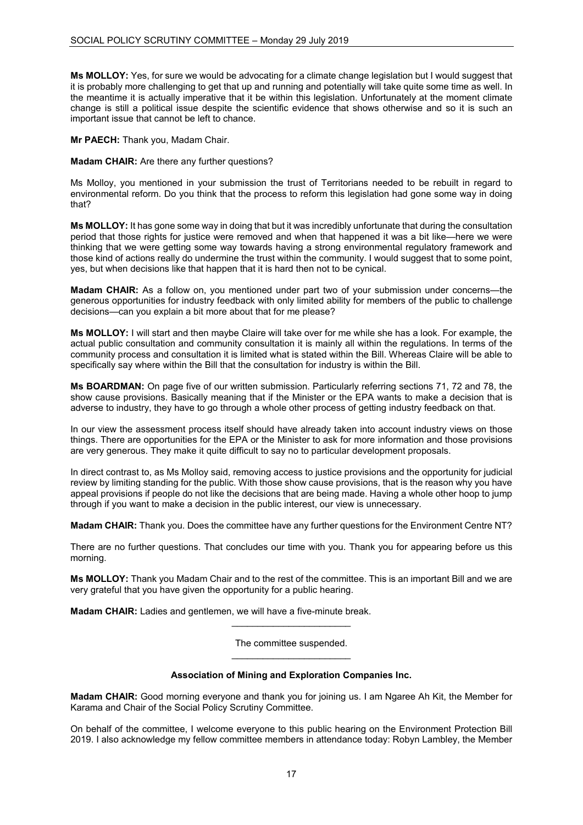**Ms MOLLOY:** Yes, for sure we would be advocating for a climate change legislation but I would suggest that it is probably more challenging to get that up and running and potentially will take quite some time as well. In the meantime it is actually imperative that it be within this legislation. Unfortunately at the moment climate change is still a political issue despite the scientific evidence that shows otherwise and so it is such an important issue that cannot be left to chance.

**Mr PAECH:** Thank you, Madam Chair.

**Madam CHAIR:** Are there any further questions?

Ms Molloy, you mentioned in your submission the trust of Territorians needed to be rebuilt in regard to environmental reform. Do you think that the process to reform this legislation had gone some way in doing that?

**Ms MOLLOY:** It has gone some way in doing that but it was incredibly unfortunate that during the consultation period that those rights for justice were removed and when that happened it was a bit like—here we were thinking that we were getting some way towards having a strong environmental regulatory framework and those kind of actions really do undermine the trust within the community. I would suggest that to some point, yes, but when decisions like that happen that it is hard then not to be cynical.

**Madam CHAIR:** As a follow on, you mentioned under part two of your submission under concerns—the generous opportunities for industry feedback with only limited ability for members of the public to challenge decisions—can you explain a bit more about that for me please?

**Ms MOLLOY:** I will start and then maybe Claire will take over for me while she has a look. For example, the actual public consultation and community consultation it is mainly all within the regulations. In terms of the community process and consultation it is limited what is stated within the Bill. Whereas Claire will be able to specifically say where within the Bill that the consultation for industry is within the Bill.

**Ms BOARDMAN:** On page five of our written submission. Particularly referring sections 71, 72 and 78, the show cause provisions. Basically meaning that if the Minister or the EPA wants to make a decision that is adverse to industry, they have to go through a whole other process of getting industry feedback on that.

In our view the assessment process itself should have already taken into account industry views on those things. There are opportunities for the EPA or the Minister to ask for more information and those provisions are very generous. They make it quite difficult to say no to particular development proposals.

In direct contrast to, as Ms Molloy said, removing access to justice provisions and the opportunity for judicial review by limiting standing for the public. With those show cause provisions, that is the reason why you have appeal provisions if people do not like the decisions that are being made. Having a whole other hoop to jump through if you want to make a decision in the public interest, our view is unnecessary.

**Madam CHAIR:** Thank you. Does the committee have any further questions for the Environment Centre NT?

There are no further questions. That concludes our time with you. Thank you for appearing before us this morning.

**Ms MOLLOY:** Thank you Madam Chair and to the rest of the committee. This is an important Bill and we are very grateful that you have given the opportunity for a public hearing.

**Madam CHAIR:** Ladies and gentlemen, we will have a five-minute break.

The committee suspended.  $\overline{\phantom{a}}$  , and the set of the set of the set of the set of the set of the set of the set of the set of the set of the set of the set of the set of the set of the set of the set of the set of the set of the set of the s

\_\_\_\_\_\_\_\_\_\_\_\_\_\_\_\_\_\_\_\_\_\_\_

# **Association of Mining and Exploration Companies Inc.**

**Madam CHAIR:** Good morning everyone and thank you for joining us. I am Ngaree Ah Kit, the Member for Karama and Chair of the Social Policy Scrutiny Committee.

On behalf of the committee, I welcome everyone to this public hearing on the Environment Protection Bill 2019. I also acknowledge my fellow committee members in attendance today: Robyn Lambley, the Member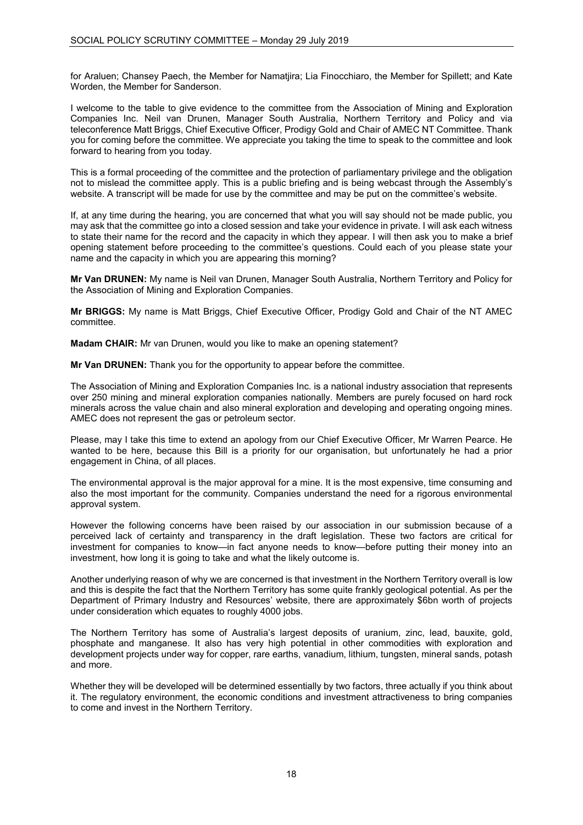for Araluen; Chansey Paech, the Member for Namatjira; Lia Finocchiaro, the Member for Spillett; and Kate Worden, the Member for Sanderson.

I welcome to the table to give evidence to the committee from the Association of Mining and Exploration Companies Inc. Neil van Drunen, Manager South Australia, Northern Territory and Policy and via teleconference Matt Briggs, Chief Executive Officer, Prodigy Gold and Chair of AMEC NT Committee. Thank you for coming before the committee. We appreciate you taking the time to speak to the committee and look forward to hearing from you today.

This is a formal proceeding of the committee and the protection of parliamentary privilege and the obligation not to mislead the committee apply. This is a public briefing and is being webcast through the Assembly's website. A transcript will be made for use by the committee and may be put on the committee's website.

If, at any time during the hearing, you are concerned that what you will say should not be made public, you may ask that the committee go into a closed session and take your evidence in private. I will ask each witness to state their name for the record and the capacity in which they appear. I will then ask you to make a brief opening statement before proceeding to the committee's questions. Could each of you please state your name and the capacity in which you are appearing this morning?

**Mr Van DRUNEN:** My name is Neil van Drunen, Manager South Australia, Northern Territory and Policy for the Association of Mining and Exploration Companies.

**Mr BRIGGS:** My name is Matt Briggs, Chief Executive Officer, Prodigy Gold and Chair of the NT AMEC committee.

**Madam CHAIR:** Mr van Drunen, would you like to make an opening statement?

**Mr Van DRUNEN:** Thank you for the opportunity to appear before the committee.

The Association of Mining and Exploration Companies Inc. is a national industry association that represents over 250 mining and mineral exploration companies nationally. Members are purely focused on hard rock minerals across the value chain and also mineral exploration and developing and operating ongoing mines. AMEC does not represent the gas or petroleum sector.

Please, may I take this time to extend an apology from our Chief Executive Officer, Mr Warren Pearce. He wanted to be here, because this Bill is a priority for our organisation, but unfortunately he had a prior engagement in China, of all places.

The environmental approval is the major approval for a mine. It is the most expensive, time consuming and also the most important for the community. Companies understand the need for a rigorous environmental approval system.

However the following concerns have been raised by our association in our submission because of a perceived lack of certainty and transparency in the draft legislation. These two factors are critical for investment for companies to know—in fact anyone needs to know—before putting their money into an investment, how long it is going to take and what the likely outcome is.

Another underlying reason of why we are concerned is that investment in the Northern Territory overall is low and this is despite the fact that the Northern Territory has some quite frankly geological potential. As per the Department of Primary Industry and Resources' website, there are approximately \$6bn worth of projects under consideration which equates to roughly 4000 jobs.

The Northern Territory has some of Australia's largest deposits of uranium, zinc, lead, bauxite, gold, phosphate and manganese. It also has very high potential in other commodities with exploration and development projects under way for copper, rare earths, vanadium, lithium, tungsten, mineral sands, potash and more.

Whether they will be developed will be determined essentially by two factors, three actually if you think about it. The regulatory environment, the economic conditions and investment attractiveness to bring companies to come and invest in the Northern Territory.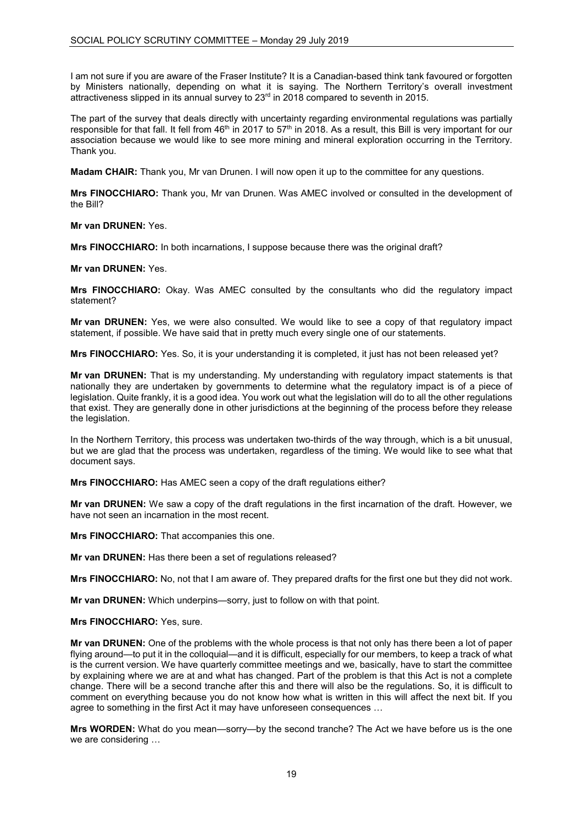I am not sure if you are aware of the Fraser Institute? It is a Canadian-based think tank favoured or forgotten by Ministers nationally, depending on what it is saying. The Northern Territory's overall investment attractiveness slipped in its annual survey to 23rd in 2018 compared to seventh in 2015.

The part of the survey that deals directly with uncertainty regarding environmental regulations was partially responsible for that fall. It fell from 46<sup>th</sup> in 2017 to 57<sup>th</sup> in 2018. As a result, this Bill is very important for our association because we would like to see more mining and mineral exploration occurring in the Territory. Thank you.

**Madam CHAIR:** Thank you, Mr van Drunen. I will now open it up to the committee for any questions.

**Mrs FINOCCHIARO:** Thank you, Mr van Drunen. Was AMEC involved or consulted in the development of the Bill?

**Mr van DRUNEN:** Yes.

**Mrs FINOCCHIARO:** In both incarnations, I suppose because there was the original draft?

**Mr van DRUNEN:** Yes.

**Mrs FINOCCHIARO:** Okay. Was AMEC consulted by the consultants who did the regulatory impact statement?

**Mr van DRUNEN:** Yes, we were also consulted. We would like to see a copy of that regulatory impact statement, if possible. We have said that in pretty much every single one of our statements.

**Mrs FINOCCHIARO:** Yes. So, it is your understanding it is completed, it just has not been released yet?

**Mr van DRUNEN:** That is my understanding. My understanding with regulatory impact statements is that nationally they are undertaken by governments to determine what the regulatory impact is of a piece of legislation. Quite frankly, it is a good idea. You work out what the legislation will do to all the other regulations that exist. They are generally done in other jurisdictions at the beginning of the process before they release the legislation.

In the Northern Territory, this process was undertaken two-thirds of the way through, which is a bit unusual, but we are glad that the process was undertaken, regardless of the timing. We would like to see what that document says.

**Mrs FINOCCHIARO:** Has AMEC seen a copy of the draft regulations either?

**Mr van DRUNEN:** We saw a copy of the draft regulations in the first incarnation of the draft. However, we have not seen an incarnation in the most recent.

**Mrs FINOCCHIARO:** That accompanies this one.

**Mr van DRUNEN:** Has there been a set of regulations released?

**Mrs FINOCCHIARO:** No, not that I am aware of. They prepared drafts for the first one but they did not work.

**Mr van DRUNEN:** Which underpins—sorry, just to follow on with that point.

**Mrs FINOCCHIARO:** Yes, sure.

**Mr van DRUNEN:** One of the problems with the whole process is that not only has there been a lot of paper flying around—to put it in the colloquial—and it is difficult, especially for our members, to keep a track of what is the current version. We have quarterly committee meetings and we, basically, have to start the committee by explaining where we are at and what has changed. Part of the problem is that this Act is not a complete change. There will be a second tranche after this and there will also be the regulations. So, it is difficult to comment on everything because you do not know how what is written in this will affect the next bit. If you agree to something in the first Act it may have unforeseen consequences …

**Mrs WORDEN:** What do you mean—sorry—by the second tranche? The Act we have before us is the one we are considering …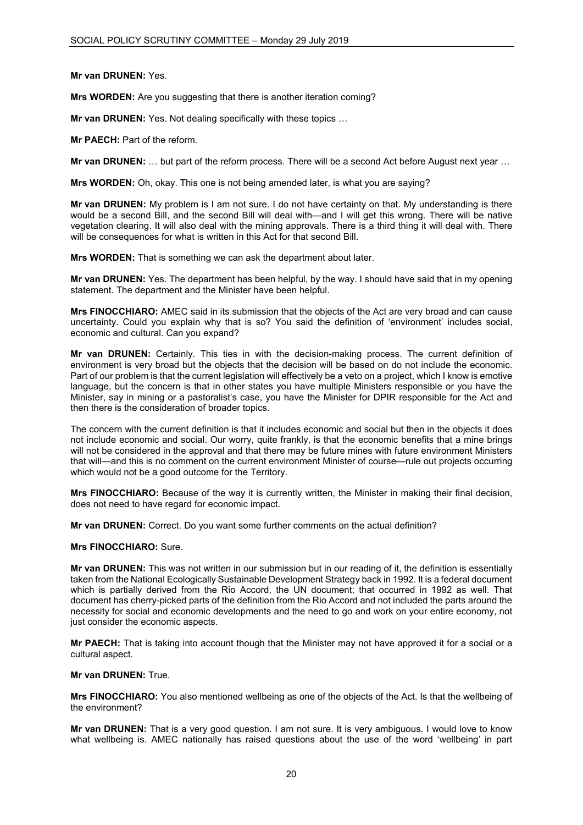# **Mr van DRUNEN:** Yes.

**Mrs WORDEN:** Are you suggesting that there is another iteration coming?

**Mr van DRUNEN:** Yes. Not dealing specifically with these topics …

**Mr PAECH:** Part of the reform.

**Mr van DRUNEN:** … but part of the reform process. There will be a second Act before August next year …

**Mrs WORDEN:** Oh, okay. This one is not being amended later, is what you are saying?

**Mr van DRUNEN:** My problem is I am not sure. I do not have certainty on that. My understanding is there would be a second Bill, and the second Bill will deal with—and I will get this wrong. There will be native vegetation clearing. It will also deal with the mining approvals. There is a third thing it will deal with. There will be consequences for what is written in this Act for that second Bill.

**Mrs WORDEN:** That is something we can ask the department about later.

**Mr van DRUNEN:** Yes. The department has been helpful, by the way. I should have said that in my opening statement. The department and the Minister have been helpful.

**Mrs FINOCCHIARO:** AMEC said in its submission that the objects of the Act are very broad and can cause uncertainty. Could you explain why that is so? You said the definition of 'environment' includes social, economic and cultural. Can you expand?

**Mr van DRUNEN:** Certainly. This ties in with the decision-making process. The current definition of environment is very broad but the objects that the decision will be based on do not include the economic. Part of our problem is that the current legislation will effectively be a veto on a project, which I know is emotive language, but the concern is that in other states you have multiple Ministers responsible or you have the Minister, say in mining or a pastoralist's case, you have the Minister for DPIR responsible for the Act and then there is the consideration of broader topics.

The concern with the current definition is that it includes economic and social but then in the objects it does not include economic and social. Our worry, quite frankly, is that the economic benefits that a mine brings will not be considered in the approval and that there may be future mines with future environment Ministers that will—and this is no comment on the current environment Minister of course—rule out projects occurring which would not be a good outcome for the Territory.

**Mrs FINOCCHIARO:** Because of the way it is currently written, the Minister in making their final decision, does not need to have regard for economic impact.

**Mr van DRUNEN:** Correct. Do you want some further comments on the actual definition?

#### **Mrs FINOCCHIARO:** Sure.

**Mr van DRUNEN:** This was not written in our submission but in our reading of it, the definition is essentially taken from the National Ecologically Sustainable Development Strategy back in 1992. It is a federal document which is partially derived from the Rio Accord, the UN document; that occurred in 1992 as well. That document has cherry-picked parts of the definition from the Rio Accord and not included the parts around the necessity for social and economic developments and the need to go and work on your entire economy, not just consider the economic aspects.

**Mr PAECH:** That is taking into account though that the Minister may not have approved it for a social or a cultural aspect.

#### **Mr van DRUNEN:** True.

**Mrs FINOCCHIARO:** You also mentioned wellbeing as one of the objects of the Act. Is that the wellbeing of the environment?

**Mr van DRUNEN:** That is a very good question. I am not sure. It is very ambiguous. I would love to know what wellbeing is. AMEC nationally has raised questions about the use of the word 'wellbeing' in part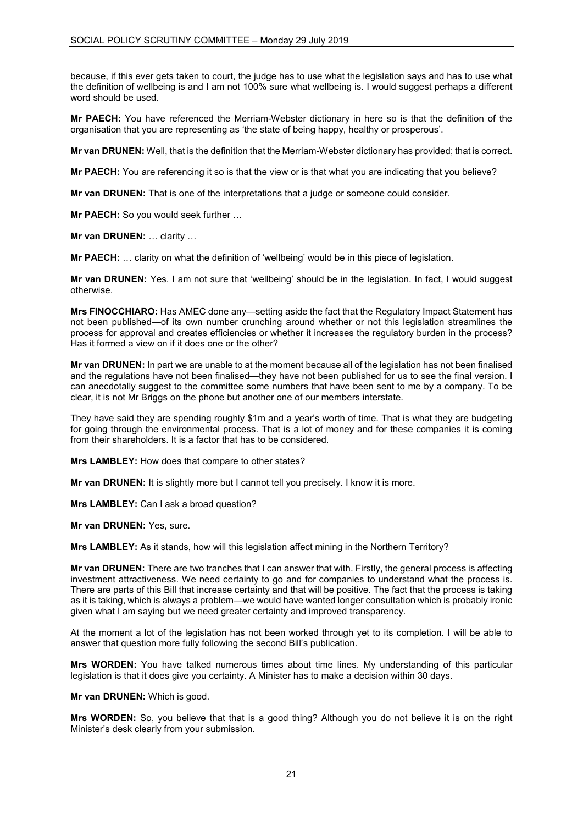because, if this ever gets taken to court, the judge has to use what the legislation says and has to use what the definition of wellbeing is and I am not 100% sure what wellbeing is. I would suggest perhaps a different word should be used.

**Mr PAECH:** You have referenced the Merriam-Webster dictionary in here so is that the definition of the organisation that you are representing as 'the state of being happy, healthy or prosperous'.

**Mr van DRUNEN:** Well, that is the definition that the Merriam-Webster dictionary has provided; that is correct.

**Mr PAECH:** You are referencing it so is that the view or is that what you are indicating that you believe?

**Mr van DRUNEN:** That is one of the interpretations that a judge or someone could consider.

**Mr PAECH:** So you would seek further …

**Mr van DRUNEN:** … clarity …

**Mr PAECH:** … clarity on what the definition of 'wellbeing' would be in this piece of legislation.

**Mr van DRUNEN:** Yes. I am not sure that 'wellbeing' should be in the legislation. In fact, I would suggest otherwise.

**Mrs FINOCCHIARO:** Has AMEC done any—setting aside the fact that the Regulatory Impact Statement has not been published—of its own number crunching around whether or not this legislation streamlines the process for approval and creates efficiencies or whether it increases the regulatory burden in the process? Has it formed a view on if it does one or the other?

**Mr van DRUNEN:** In part we are unable to at the moment because all of the legislation has not been finalised and the regulations have not been finalised—they have not been published for us to see the final version. I can anecdotally suggest to the committee some numbers that have been sent to me by a company. To be clear, it is not Mr Briggs on the phone but another one of our members interstate.

They have said they are spending roughly \$1m and a year's worth of time. That is what they are budgeting for going through the environmental process. That is a lot of money and for these companies it is coming from their shareholders. It is a factor that has to be considered.

**Mrs LAMBLEY:** How does that compare to other states?

**Mr van DRUNEN:** It is slightly more but I cannot tell you precisely. I know it is more.

**Mrs LAMBLEY:** Can I ask a broad question?

**Mr van DRUNEN:** Yes, sure.

**Mrs LAMBLEY:** As it stands, how will this legislation affect mining in the Northern Territory?

**Mr van DRUNEN:** There are two tranches that I can answer that with. Firstly, the general process is affecting investment attractiveness. We need certainty to go and for companies to understand what the process is. There are parts of this Bill that increase certainty and that will be positive. The fact that the process is taking as it is taking, which is always a problem—we would have wanted longer consultation which is probably ironic given what I am saying but we need greater certainty and improved transparency.

At the moment a lot of the legislation has not been worked through yet to its completion. I will be able to answer that question more fully following the second Bill's publication.

**Mrs WORDEN:** You have talked numerous times about time lines. My understanding of this particular legislation is that it does give you certainty. A Minister has to make a decision within 30 days.

**Mr van DRUNEN:** Which is good.

**Mrs WORDEN:** So, you believe that that is a good thing? Although you do not believe it is on the right Minister's desk clearly from your submission.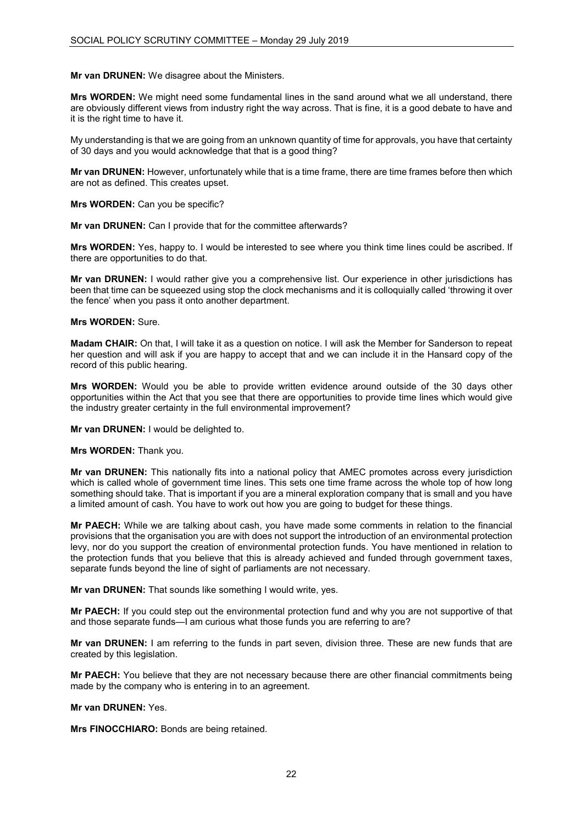# **Mr van DRUNEN:** We disagree about the Ministers.

**Mrs WORDEN:** We might need some fundamental lines in the sand around what we all understand, there are obviously different views from industry right the way across. That is fine, it is a good debate to have and it is the right time to have it.

My understanding is that we are going from an unknown quantity of time for approvals, you have that certainty of 30 days and you would acknowledge that that is a good thing?

**Mr van DRUNEN:** However, unfortunately while that is a time frame, there are time frames before then which are not as defined. This creates upset.

**Mrs WORDEN:** Can you be specific?

**Mr van DRUNEN:** Can I provide that for the committee afterwards?

**Mrs WORDEN:** Yes, happy to. I would be interested to see where you think time lines could be ascribed. If there are opportunities to do that.

**Mr van DRUNEN:** I would rather give you a comprehensive list. Our experience in other jurisdictions has been that time can be squeezed using stop the clock mechanisms and it is colloquially called 'throwing it over the fence' when you pass it onto another department.

### **Mrs WORDEN:** Sure.

**Madam CHAIR:** On that, I will take it as a question on notice. I will ask the Member for Sanderson to repeat her question and will ask if you are happy to accept that and we can include it in the Hansard copy of the record of this public hearing.

**Mrs WORDEN:** Would you be able to provide written evidence around outside of the 30 days other opportunities within the Act that you see that there are opportunities to provide time lines which would give the industry greater certainty in the full environmental improvement?

**Mr van DRUNEN:** I would be delighted to.

**Mrs WORDEN:** Thank you.

**Mr van DRUNEN:** This nationally fits into a national policy that AMEC promotes across every jurisdiction which is called whole of government time lines. This sets one time frame across the whole top of how long something should take. That is important if you are a mineral exploration company that is small and you have a limited amount of cash. You have to work out how you are going to budget for these things.

**Mr PAECH:** While we are talking about cash, you have made some comments in relation to the financial provisions that the organisation you are with does not support the introduction of an environmental protection levy, nor do you support the creation of environmental protection funds. You have mentioned in relation to the protection funds that you believe that this is already achieved and funded through government taxes, separate funds beyond the line of sight of parliaments are not necessary.

**Mr van DRUNEN:** That sounds like something I would write, yes.

**Mr PAECH:** If you could step out the environmental protection fund and why you are not supportive of that and those separate funds—I am curious what those funds you are referring to are?

**Mr van DRUNEN:** I am referring to the funds in part seven, division three. These are new funds that are created by this legislation.

**Mr PAECH:** You believe that they are not necessary because there are other financial commitments being made by the company who is entering in to an agreement.

**Mr van DRUNEN:** Yes.

**Mrs FINOCCHIARO:** Bonds are being retained.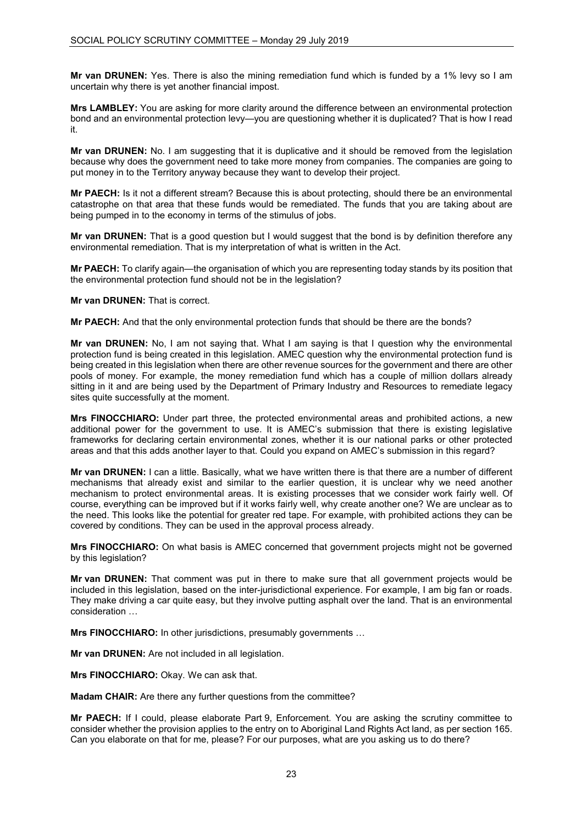**Mr van DRUNEN:** Yes. There is also the mining remediation fund which is funded by a 1% levy so I am uncertain why there is yet another financial impost.

**Mrs LAMBLEY:** You are asking for more clarity around the difference between an environmental protection bond and an environmental protection levy—you are questioning whether it is duplicated? That is how I read it.

**Mr van DRUNEN:** No. I am suggesting that it is duplicative and it should be removed from the legislation because why does the government need to take more money from companies. The companies are going to put money in to the Territory anyway because they want to develop their project.

**Mr PAECH:** Is it not a different stream? Because this is about protecting, should there be an environmental catastrophe on that area that these funds would be remediated. The funds that you are taking about are being pumped in to the economy in terms of the stimulus of jobs.

**Mr van DRUNEN:** That is a good question but I would suggest that the bond is by definition therefore any environmental remediation. That is my interpretation of what is written in the Act.

**Mr PAECH:** To clarify again—the organisation of which you are representing today stands by its position that the environmental protection fund should not be in the legislation?

**Mr van DRUNEN:** That is correct.

**Mr PAECH:** And that the only environmental protection funds that should be there are the bonds?

**Mr van DRUNEN:** No, I am not saying that. What I am saying is that I question why the environmental protection fund is being created in this legislation. AMEC question why the environmental protection fund is being created in this legislation when there are other revenue sources for the government and there are other pools of money. For example, the money remediation fund which has a couple of million dollars already sitting in it and are being used by the Department of Primary Industry and Resources to remediate legacy sites quite successfully at the moment.

**Mrs FINOCCHIARO:** Under part three, the protected environmental areas and prohibited actions, a new additional power for the government to use. It is AMEC's submission that there is existing legislative frameworks for declaring certain environmental zones, whether it is our national parks or other protected areas and that this adds another layer to that. Could you expand on AMEC's submission in this regard?

**Mr van DRUNEN:** I can a little. Basically, what we have written there is that there are a number of different mechanisms that already exist and similar to the earlier question, it is unclear why we need another mechanism to protect environmental areas. It is existing processes that we consider work fairly well. Of course, everything can be improved but if it works fairly well, why create another one? We are unclear as to the need. This looks like the potential for greater red tape. For example, with prohibited actions they can be covered by conditions. They can be used in the approval process already.

**Mrs FINOCCHIARO:** On what basis is AMEC concerned that government projects might not be governed by this legislation?

**Mr van DRUNEN:** That comment was put in there to make sure that all government projects would be included in this legislation, based on the inter-jurisdictional experience. For example, I am big fan or roads. They make driving a car quite easy, but they involve putting asphalt over the land. That is an environmental consideration …

**Mrs FINOCCHIARO:** In other jurisdictions, presumably governments …

**Mr van DRUNEN:** Are not included in all legislation.

**Mrs FINOCCHIARO:** Okay. We can ask that.

**Madam CHAIR:** Are there any further questions from the committee?

**Mr PAECH:** If I could, please elaborate Part 9, Enforcement. You are asking the scrutiny committee to consider whether the provision applies to the entry on to Aboriginal Land Rights Act land, as per section 165. Can you elaborate on that for me, please? For our purposes, what are you asking us to do there?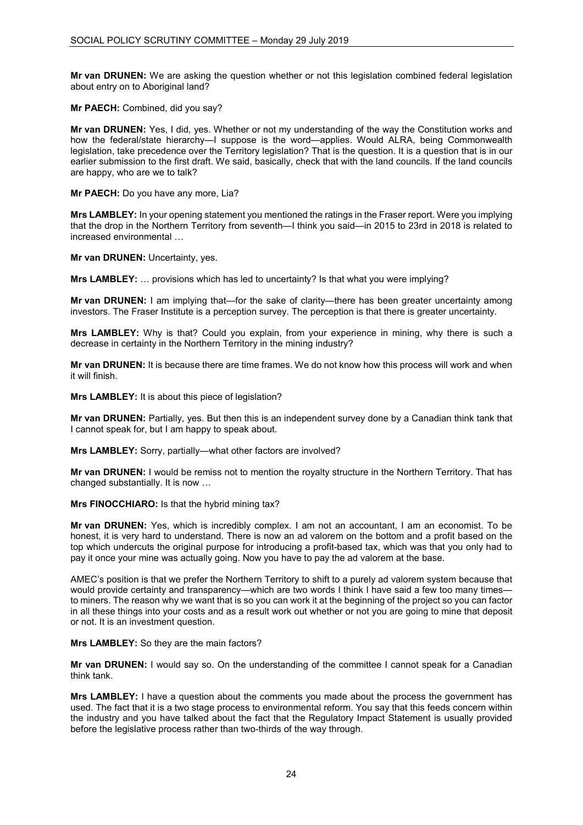**Mr van DRUNEN:** We are asking the question whether or not this legislation combined federal legislation about entry on to Aboriginal land?

**Mr PAECH:** Combined, did you say?

**Mr van DRUNEN:** Yes, I did, yes. Whether or not my understanding of the way the Constitution works and how the federal/state hierarchy—I suppose is the word—applies. Would ALRA, being Commonwealth legislation, take precedence over the Territory legislation? That is the question. It is a question that is in our earlier submission to the first draft. We said, basically, check that with the land councils. If the land councils are happy, who are we to talk?

**Mr PAECH:** Do you have any more, Lia?

**Mrs LAMBLEY:** In your opening statement you mentioned the ratings in the Fraser report. Were you implying that the drop in the Northern Territory from seventh—I think you said—in 2015 to 23rd in 2018 is related to increased environmental …

**Mr van DRUNEN:** Uncertainty, yes.

**Mrs LAMBLEY:** … provisions which has led to uncertainty? Is that what you were implying?

**Mr van DRUNEN:** I am implying that—for the sake of clarity—there has been greater uncertainty among investors. The Fraser Institute is a perception survey. The perception is that there is greater uncertainty.

**Mrs LAMBLEY:** Why is that? Could you explain, from your experience in mining, why there is such a decrease in certainty in the Northern Territory in the mining industry?

**Mr van DRUNEN:** It is because there are time frames. We do not know how this process will work and when it will finish.

**Mrs LAMBLEY:** It is about this piece of legislation?

**Mr van DRUNEN:** Partially, yes. But then this is an independent survey done by a Canadian think tank that I cannot speak for, but I am happy to speak about.

**Mrs LAMBLEY:** Sorry, partially—what other factors are involved?

**Mr van DRUNEN:** I would be remiss not to mention the royalty structure in the Northern Territory. That has changed substantially. It is now …

**Mrs FINOCCHIARO:** Is that the hybrid mining tax?

**Mr van DRUNEN:** Yes, which is incredibly complex. I am not an accountant, I am an economist. To be honest, it is very hard to understand. There is now an ad valorem on the bottom and a profit based on the top which undercuts the original purpose for introducing a profit-based tax, which was that you only had to pay it once your mine was actually going. Now you have to pay the ad valorem at the base.

AMEC's position is that we prefer the Northern Territory to shift to a purely ad valorem system because that would provide certainty and transparency—which are two words I think I have said a few too many times to miners. The reason why we want that is so you can work it at the beginning of the project so you can factor in all these things into your costs and as a result work out whether or not you are going to mine that deposit or not. It is an investment question.

**Mrs LAMBLEY:** So they are the main factors?

**Mr van DRUNEN:** I would say so. On the understanding of the committee I cannot speak for a Canadian think tank.

**Mrs LAMBLEY:** I have a question about the comments you made about the process the government has used. The fact that it is a two stage process to environmental reform. You say that this feeds concern within the industry and you have talked about the fact that the Regulatory Impact Statement is usually provided before the legislative process rather than two-thirds of the way through.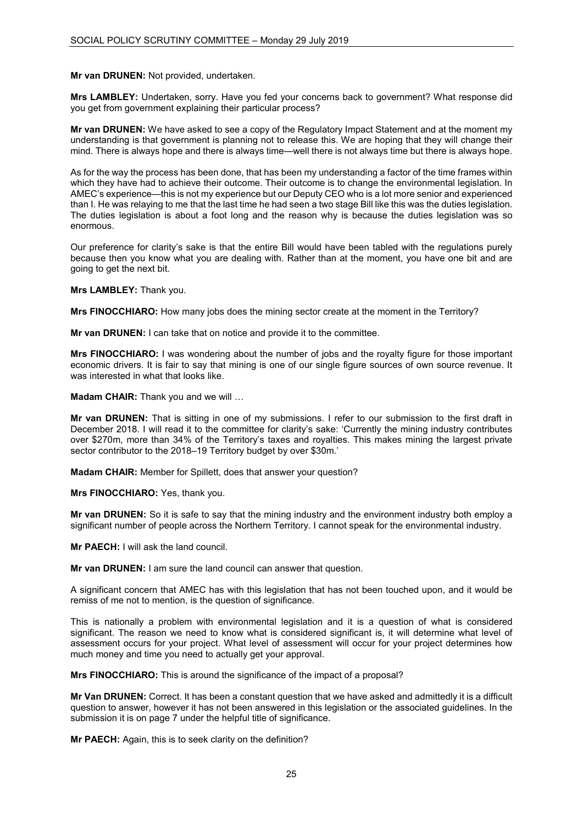# **Mr van DRUNEN:** Not provided, undertaken.

**Mrs LAMBLEY:** Undertaken, sorry. Have you fed your concerns back to government? What response did you get from government explaining their particular process?

**Mr van DRUNEN:** We have asked to see a copy of the Regulatory Impact Statement and at the moment my understanding is that government is planning not to release this. We are hoping that they will change their mind. There is always hope and there is always time—well there is not always time but there is always hope.

As for the way the process has been done, that has been my understanding a factor of the time frames within which they have had to achieve their outcome. Their outcome is to change the environmental legislation. In AMEC's experience—this is not my experience but our Deputy CEO who is a lot more senior and experienced than I. He was relaying to me that the last time he had seen a two stage Bill like this was the duties legislation. The duties legislation is about a foot long and the reason why is because the duties legislation was so enormous.

Our preference for clarity's sake is that the entire Bill would have been tabled with the regulations purely because then you know what you are dealing with. Rather than at the moment, you have one bit and are going to get the next bit.

**Mrs LAMBLEY:** Thank you.

**Mrs FINOCCHIARO:** How many jobs does the mining sector create at the moment in the Territory?

**Mr van DRUNEN:** I can take that on notice and provide it to the committee.

**Mrs FINOCCHIARO:** I was wondering about the number of jobs and the royalty figure for those important economic drivers. It is fair to say that mining is one of our single figure sources of own source revenue. It was interested in what that looks like.

**Madam CHAIR:** Thank you and we will ...

**Mr van DRUNEN:** That is sitting in one of my submissions. I refer to our submission to the first draft in December 2018. I will read it to the committee for clarity's sake: 'Currently the mining industry contributes over \$270m, more than 34% of the Territory's taxes and royalties. This makes mining the largest private sector contributor to the 2018–19 Territory budget by over \$30m.'

**Madam CHAIR:** Member for Spillett, does that answer your question?

**Mrs FINOCCHIARO:** Yes, thank you.

**Mr van DRUNEN:** So it is safe to say that the mining industry and the environment industry both employ a significant number of people across the Northern Territory. I cannot speak for the environmental industry.

**Mr PAECH:** I will ask the land council.

**Mr van DRUNEN:** I am sure the land council can answer that question.

A significant concern that AMEC has with this legislation that has not been touched upon, and it would be remiss of me not to mention, is the question of significance.

This is nationally a problem with environmental legislation and it is a question of what is considered significant. The reason we need to know what is considered significant is, it will determine what level of assessment occurs for your project. What level of assessment will occur for your project determines how much money and time you need to actually get your approval.

**Mrs FINOCCHIARO:** This is around the significance of the impact of a proposal?

**Mr Van DRUNEN:** Correct. It has been a constant question that we have asked and admittedly it is a difficult question to answer, however it has not been answered in this legislation or the associated guidelines. In the submission it is on page 7 under the helpful title of significance.

**Mr PAECH:** Again, this is to seek clarity on the definition?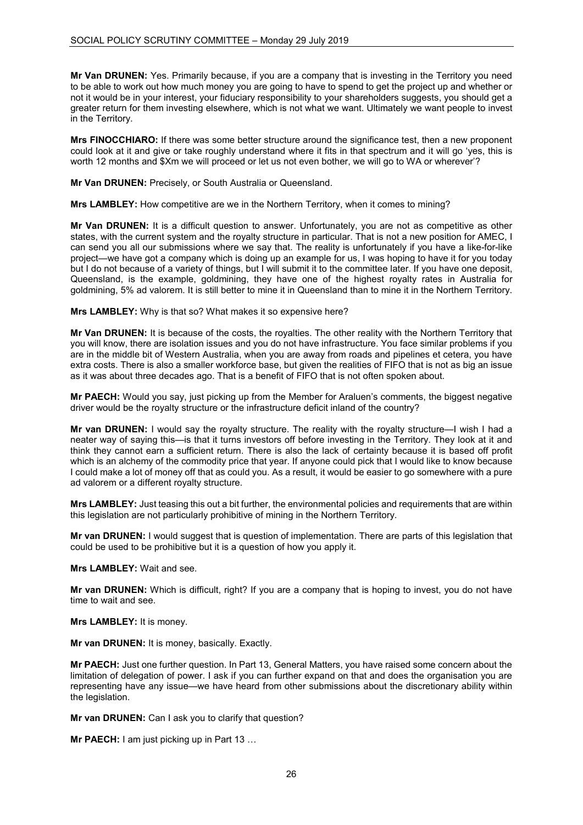**Mr Van DRUNEN:** Yes. Primarily because, if you are a company that is investing in the Territory you need to be able to work out how much money you are going to have to spend to get the project up and whether or not it would be in your interest, your fiduciary responsibility to your shareholders suggests, you should get a greater return for them investing elsewhere, which is not what we want. Ultimately we want people to invest in the Territory.

**Mrs FINOCCHIARO:** If there was some better structure around the significance test, then a new proponent could look at it and give or take roughly understand where it fits in that spectrum and it will go 'yes, this is worth 12 months and \$Xm we will proceed or let us not even bother, we will go to WA or wherever'?

**Mr Van DRUNEN:** Precisely, or South Australia or Queensland.

**Mrs LAMBLEY:** How competitive are we in the Northern Territory, when it comes to mining?

**Mr Van DRUNEN:** It is a difficult question to answer. Unfortunately, you are not as competitive as other states, with the current system and the royalty structure in particular. That is not a new position for AMEC, I can send you all our submissions where we say that. The reality is unfortunately if you have a like-for-like project—we have got a company which is doing up an example for us, I was hoping to have it for you today but I do not because of a variety of things, but I will submit it to the committee later. If you have one deposit, Queensland, is the example, goldmining, they have one of the highest royalty rates in Australia for goldmining, 5% ad valorem. It is still better to mine it in Queensland than to mine it in the Northern Territory.

**Mrs LAMBLEY:** Why is that so? What makes it so expensive here?

**Mr Van DRUNEN:** It is because of the costs, the royalties. The other reality with the Northern Territory that you will know, there are isolation issues and you do not have infrastructure. You face similar problems if you are in the middle bit of Western Australia, when you are away from roads and pipelines et cetera, you have extra costs. There is also a smaller workforce base, but given the realities of FIFO that is not as big an issue as it was about three decades ago. That is a benefit of FIFO that is not often spoken about.

**Mr PAECH:** Would you say, just picking up from the Member for Araluen's comments, the biggest negative driver would be the royalty structure or the infrastructure deficit inland of the country?

**Mr van DRUNEN:** I would say the royalty structure. The reality with the royalty structure—I wish I had a neater way of saying this—is that it turns investors off before investing in the Territory. They look at it and think they cannot earn a sufficient return. There is also the lack of certainty because it is based off profit which is an alchemy of the commodity price that year. If anyone could pick that I would like to know because I could make a lot of money off that as could you. As a result, it would be easier to go somewhere with a pure ad valorem or a different royalty structure.

**Mrs LAMBLEY:** Just teasing this out a bit further, the environmental policies and requirements that are within this legislation are not particularly prohibitive of mining in the Northern Territory.

**Mr van DRUNEN:** I would suggest that is question of implementation. There are parts of this legislation that could be used to be prohibitive but it is a question of how you apply it.

**Mrs LAMBLEY:** Wait and see.

**Mr van DRUNEN:** Which is difficult, right? If you are a company that is hoping to invest, you do not have time to wait and see.

**Mrs LAMBLEY:** It is money.

**Mr van DRUNEN:** It is money, basically. Exactly.

**Mr PAECH:** Just one further question. In Part 13, General Matters, you have raised some concern about the limitation of delegation of power. I ask if you can further expand on that and does the organisation you are representing have any issue—we have heard from other submissions about the discretionary ability within the legislation.

**Mr van DRUNEN:** Can I ask you to clarify that question?

**Mr PAECH:** I am just picking up in Part 13 …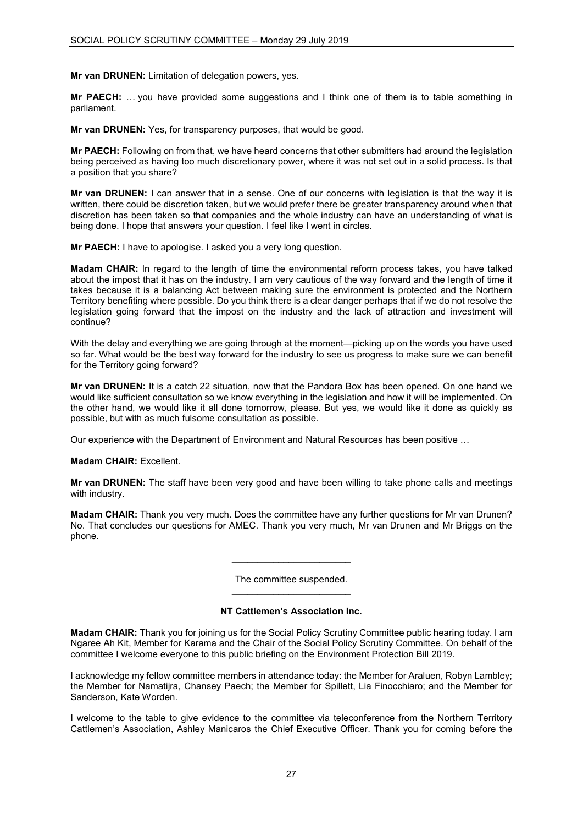**Mr van DRUNEN:** Limitation of delegation powers, yes.

**Mr PAECH:** … you have provided some suggestions and I think one of them is to table something in parliament.

**Mr van DRUNEN:** Yes, for transparency purposes, that would be good.

**Mr PAECH:** Following on from that, we have heard concerns that other submitters had around the legislation being perceived as having too much discretionary power, where it was not set out in a solid process. Is that a position that you share?

**Mr van DRUNEN:** I can answer that in a sense. One of our concerns with legislation is that the way it is written, there could be discretion taken, but we would prefer there be greater transparency around when that discretion has been taken so that companies and the whole industry can have an understanding of what is being done. I hope that answers your question. I feel like I went in circles.

**Mr PAECH:** I have to apologise. I asked you a very long question.

**Madam CHAIR:** In regard to the length of time the environmental reform process takes, you have talked about the impost that it has on the industry. I am very cautious of the way forward and the length of time it takes because it is a balancing Act between making sure the environment is protected and the Northern Territory benefiting where possible. Do you think there is a clear danger perhaps that if we do not resolve the legislation going forward that the impost on the industry and the lack of attraction and investment will continue?

With the delay and everything we are going through at the moment—picking up on the words you have used so far. What would be the best way forward for the industry to see us progress to make sure we can benefit for the Territory going forward?

**Mr van DRUNEN:** It is a catch 22 situation, now that the Pandora Box has been opened. On one hand we would like sufficient consultation so we know everything in the legislation and how it will be implemented. On the other hand, we would like it all done tomorrow, please. But yes, we would like it done as quickly as possible, but with as much fulsome consultation as possible.

Our experience with the Department of Environment and Natural Resources has been positive …

#### **Madam CHAIR:** Excellent.

**Mr van DRUNEN:** The staff have been very good and have been willing to take phone calls and meetings with industry.

**Madam CHAIR:** Thank you very much. Does the committee have any further questions for Mr van Drunen? No. That concludes our questions for AMEC. Thank you very much, Mr van Drunen and Mr Briggs on the phone.

> The committee suspended. \_\_\_\_\_\_\_\_\_\_\_\_\_\_\_\_\_\_\_\_\_\_\_

> \_\_\_\_\_\_\_\_\_\_\_\_\_\_\_\_\_\_\_\_\_\_\_

# **NT Cattlemen's Association Inc.**

**Madam CHAIR:** Thank you for joining us for the Social Policy Scrutiny Committee public hearing today. I am Ngaree Ah Kit, Member for Karama and the Chair of the Social Policy Scrutiny Committee. On behalf of the committee I welcome everyone to this public briefing on the Environment Protection Bill 2019.

I acknowledge my fellow committee members in attendance today: the Member for Araluen, Robyn Lambley; the Member for Namatijra, Chansey Paech; the Member for Spillett, Lia Finocchiaro; and the Member for Sanderson, Kate Worden.

I welcome to the table to give evidence to the committee via teleconference from the Northern Territory Cattlemen's Association, Ashley Manicaros the Chief Executive Officer. Thank you for coming before the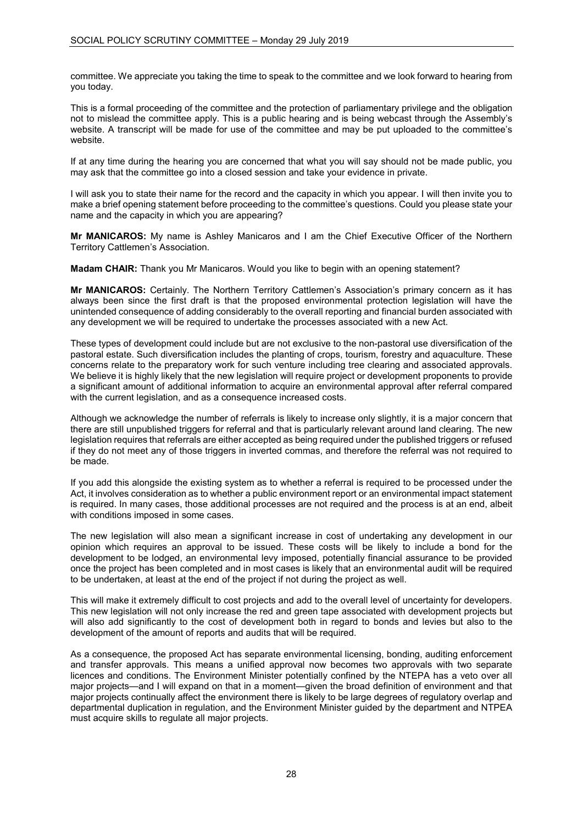committee. We appreciate you taking the time to speak to the committee and we look forward to hearing from you today.

This is a formal proceeding of the committee and the protection of parliamentary privilege and the obligation not to mislead the committee apply. This is a public hearing and is being webcast through the Assembly's website. A transcript will be made for use of the committee and may be put uploaded to the committee's website.

If at any time during the hearing you are concerned that what you will say should not be made public, you may ask that the committee go into a closed session and take your evidence in private.

I will ask you to state their name for the record and the capacity in which you appear. I will then invite you to make a brief opening statement before proceeding to the committee's questions. Could you please state your name and the capacity in which you are appearing?

**Mr MANICAROS:** My name is Ashley Manicaros and I am the Chief Executive Officer of the Northern Territory Cattlemen's Association.

**Madam CHAIR:** Thank you Mr Manicaros. Would you like to begin with an opening statement?

**Mr MANICAROS:** Certainly. The Northern Territory Cattlemen's Association's primary concern as it has always been since the first draft is that the proposed environmental protection legislation will have the unintended consequence of adding considerably to the overall reporting and financial burden associated with any development we will be required to undertake the processes associated with a new Act.

These types of development could include but are not exclusive to the non-pastoral use diversification of the pastoral estate. Such diversification includes the planting of crops, tourism, forestry and aquaculture. These concerns relate to the preparatory work for such venture including tree clearing and associated approvals. We believe it is highly likely that the new legislation will require project or development proponents to provide a significant amount of additional information to acquire an environmental approval after referral compared with the current legislation, and as a consequence increased costs.

Although we acknowledge the number of referrals is likely to increase only slightly, it is a major concern that there are still unpublished triggers for referral and that is particularly relevant around land clearing. The new legislation requires that referrals are either accepted as being required under the published triggers or refused if they do not meet any of those triggers in inverted commas, and therefore the referral was not required to be made.

If you add this alongside the existing system as to whether a referral is required to be processed under the Act, it involves consideration as to whether a public environment report or an environmental impact statement is required. In many cases, those additional processes are not required and the process is at an end, albeit with conditions imposed in some cases.

The new legislation will also mean a significant increase in cost of undertaking any development in our opinion which requires an approval to be issued. These costs will be likely to include a bond for the development to be lodged, an environmental levy imposed, potentially financial assurance to be provided once the project has been completed and in most cases is likely that an environmental audit will be required to be undertaken, at least at the end of the project if not during the project as well.

This will make it extremely difficult to cost projects and add to the overall level of uncertainty for developers. This new legislation will not only increase the red and green tape associated with development projects but will also add significantly to the cost of development both in regard to bonds and levies but also to the development of the amount of reports and audits that will be required.

As a consequence, the proposed Act has separate environmental licensing, bonding, auditing enforcement and transfer approvals. This means a unified approval now becomes two approvals with two separate licences and conditions. The Environment Minister potentially confined by the NTEPA has a veto over all major projects—and I will expand on that in a moment—given the broad definition of environment and that major projects continually affect the environment there is likely to be large degrees of regulatory overlap and departmental duplication in regulation, and the Environment Minister guided by the department and NTPEA must acquire skills to regulate all major projects.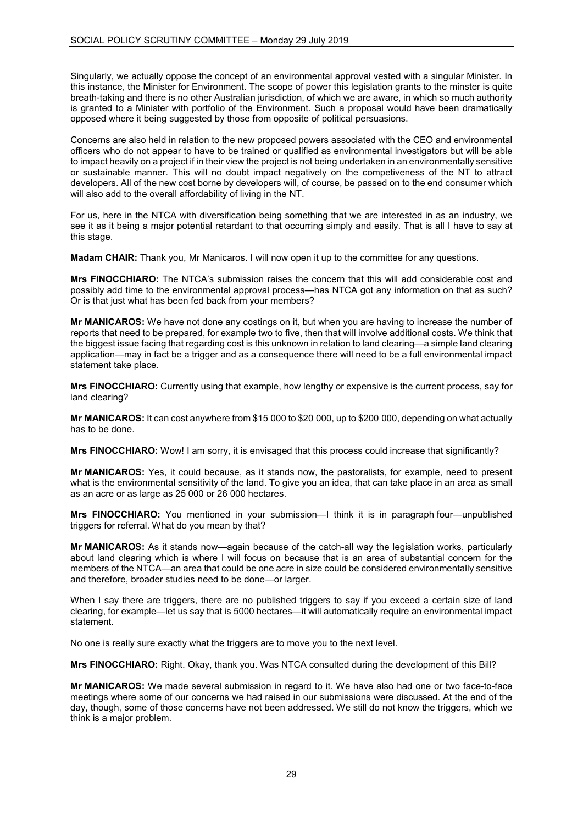Singularly, we actually oppose the concept of an environmental approval vested with a singular Minister. In this instance, the Minister for Environment. The scope of power this legislation grants to the minster is quite breath-taking and there is no other Australian jurisdiction, of which we are aware, in which so much authority is granted to a Minister with portfolio of the Environment. Such a proposal would have been dramatically opposed where it being suggested by those from opposite of political persuasions.

Concerns are also held in relation to the new proposed powers associated with the CEO and environmental officers who do not appear to have to be trained or qualified as environmental investigators but will be able to impact heavily on a project if in their view the project is not being undertaken in an environmentally sensitive or sustainable manner. This will no doubt impact negatively on the competiveness of the NT to attract developers. All of the new cost borne by developers will, of course, be passed on to the end consumer which will also add to the overall affordability of living in the NT.

For us, here in the NTCA with diversification being something that we are interested in as an industry, we see it as it being a major potential retardant to that occurring simply and easily. That is all I have to say at this stage.

**Madam CHAIR:** Thank you, Mr Manicaros. I will now open it up to the committee for any questions.

**Mrs FINOCCHIARO:** The NTCA's submission raises the concern that this will add considerable cost and possibly add time to the environmental approval process—has NTCA got any information on that as such? Or is that just what has been fed back from your members?

**Mr MANICAROS:** We have not done any costings on it, but when you are having to increase the number of reports that need to be prepared, for example two to five, then that will involve additional costs. We think that the biggest issue facing that regarding cost is this unknown in relation to land clearing—a simple land clearing application—may in fact be a trigger and as a consequence there will need to be a full environmental impact statement take place.

**Mrs FINOCCHIARO:** Currently using that example, how lengthy or expensive is the current process, say for land clearing?

**Mr MANICAROS:** It can cost anywhere from \$15 000 to \$20 000, up to \$200 000, depending on what actually has to be done.

**Mrs FINOCCHIARO:** Wow! I am sorry, it is envisaged that this process could increase that significantly?

**Mr MANICAROS:** Yes, it could because, as it stands now, the pastoralists, for example, need to present what is the environmental sensitivity of the land. To give you an idea, that can take place in an area as small as an acre or as large as 25 000 or 26 000 hectares.

**Mrs FINOCCHIARO:** You mentioned in your submission—I think it is in paragraph four—unpublished triggers for referral. What do you mean by that?

**Mr MANICAROS:** As it stands now—again because of the catch-all way the legislation works, particularly about land clearing which is where I will focus on because that is an area of substantial concern for the members of the NTCA—an area that could be one acre in size could be considered environmentally sensitive and therefore, broader studies need to be done—or larger.

When I say there are triggers, there are no published triggers to say if you exceed a certain size of land clearing, for example—let us say that is 5000 hectares—it will automatically require an environmental impact statement.

No one is really sure exactly what the triggers are to move you to the next level.

**Mrs FINOCCHIARO:** Right. Okay, thank you. Was NTCA consulted during the development of this Bill?

**Mr MANICAROS:** We made several submission in regard to it. We have also had one or two face-to-face meetings where some of our concerns we had raised in our submissions were discussed. At the end of the day, though, some of those concerns have not been addressed. We still do not know the triggers, which we think is a major problem.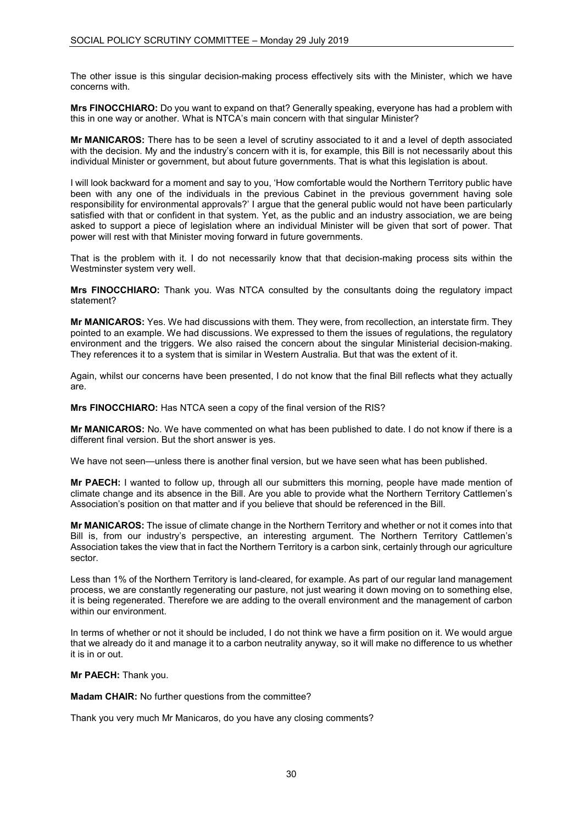The other issue is this singular decision-making process effectively sits with the Minister, which we have concerns with.

**Mrs FINOCCHIARO:** Do you want to expand on that? Generally speaking, everyone has had a problem with this in one way or another. What is NTCA's main concern with that singular Minister?

**Mr MANICAROS:** There has to be seen a level of scrutiny associated to it and a level of depth associated with the decision. My and the industry's concern with it is, for example, this Bill is not necessarily about this individual Minister or government, but about future governments. That is what this legislation is about.

I will look backward for a moment and say to you, 'How comfortable would the Northern Territory public have been with any one of the individuals in the previous Cabinet in the previous government having sole responsibility for environmental approvals?' I argue that the general public would not have been particularly satisfied with that or confident in that system. Yet, as the public and an industry association, we are being asked to support a piece of legislation where an individual Minister will be given that sort of power. That power will rest with that Minister moving forward in future governments.

That is the problem with it. I do not necessarily know that that decision-making process sits within the Westminster system very well.

**Mrs FINOCCHIARO:** Thank you. Was NTCA consulted by the consultants doing the regulatory impact statement?

**Mr MANICAROS:** Yes. We had discussions with them. They were, from recollection, an interstate firm. They pointed to an example. We had discussions. We expressed to them the issues of regulations, the regulatory environment and the triggers. We also raised the concern about the singular Ministerial decision-making. They references it to a system that is similar in Western Australia. But that was the extent of it.

Again, whilst our concerns have been presented, I do not know that the final Bill reflects what they actually are.

**Mrs FINOCCHIARO:** Has NTCA seen a copy of the final version of the RIS?

**Mr MANICAROS:** No. We have commented on what has been published to date. I do not know if there is a different final version. But the short answer is yes.

We have not seen—unless there is another final version, but we have seen what has been published.

**Mr PAECH:** I wanted to follow up, through all our submitters this morning, people have made mention of climate change and its absence in the Bill. Are you able to provide what the Northern Territory Cattlemen's Association's position on that matter and if you believe that should be referenced in the Bill.

**Mr MANICAROS:** The issue of climate change in the Northern Territory and whether or not it comes into that Bill is, from our industry's perspective, an interesting argument. The Northern Territory Cattlemen's Association takes the view that in fact the Northern Territory is a carbon sink, certainly through our agriculture sector.

Less than 1% of the Northern Territory is land-cleared, for example. As part of our regular land management process, we are constantly regenerating our pasture, not just wearing it down moving on to something else, it is being regenerated. Therefore we are adding to the overall environment and the management of carbon within our environment.

In terms of whether or not it should be included, I do not think we have a firm position on it. We would argue that we already do it and manage it to a carbon neutrality anyway, so it will make no difference to us whether it is in or out.

**Mr PAECH:** Thank you.

**Madam CHAIR:** No further questions from the committee?

Thank you very much Mr Manicaros, do you have any closing comments?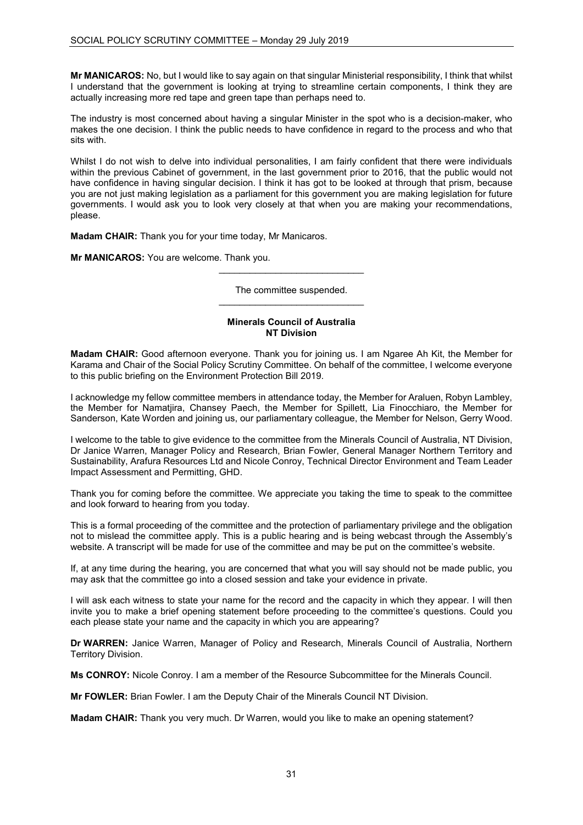**Mr MANICAROS:** No, but I would like to say again on that singular Ministerial responsibility, I think that whilst I understand that the government is looking at trying to streamline certain components, I think they are actually increasing more red tape and green tape than perhaps need to.

The industry is most concerned about having a singular Minister in the spot who is a decision-maker, who makes the one decision. I think the public needs to have confidence in regard to the process and who that sits with.

Whilst I do not wish to delve into individual personalities, I am fairly confident that there were individuals within the previous Cabinet of government, in the last government prior to 2016, that the public would not have confidence in having singular decision. I think it has got to be looked at through that prism, because you are not just making legislation as a parliament for this government you are making legislation for future governments. I would ask you to look very closely at that when you are making your recommendations, please.

**Madam CHAIR:** Thank you for your time today, Mr Manicaros.

**Mr MANICAROS:** You are welcome. Thank you.

The committee suspended. \_\_\_\_\_\_\_\_\_\_\_\_\_\_\_\_\_\_\_\_\_\_\_\_\_\_\_\_

\_\_\_\_\_\_\_\_\_\_\_\_\_\_\_\_\_\_\_\_\_\_\_\_\_\_\_\_

# **Minerals Council of Australia NT Division**

**Madam CHAIR:** Good afternoon everyone. Thank you for joining us. I am Ngaree Ah Kit, the Member for Karama and Chair of the Social Policy Scrutiny Committee. On behalf of the committee, I welcome everyone to this public briefing on the Environment Protection Bill 2019.

I acknowledge my fellow committee members in attendance today, the Member for Araluen, Robyn Lambley, the Member for Namatjira, Chansey Paech, the Member for Spillett, Lia Finocchiaro, the Member for Sanderson, Kate Worden and joining us, our parliamentary colleague, the Member for Nelson, Gerry Wood.

I welcome to the table to give evidence to the committee from the Minerals Council of Australia, NT Division, Dr Janice Warren, Manager Policy and Research, Brian Fowler, General Manager Northern Territory and Sustainability, Arafura Resources Ltd and Nicole Conroy, Technical Director Environment and Team Leader Impact Assessment and Permitting, GHD.

Thank you for coming before the committee. We appreciate you taking the time to speak to the committee and look forward to hearing from you today.

This is a formal proceeding of the committee and the protection of parliamentary privilege and the obligation not to mislead the committee apply. This is a public hearing and is being webcast through the Assembly's website. A transcript will be made for use of the committee and may be put on the committee's website.

If, at any time during the hearing, you are concerned that what you will say should not be made public, you may ask that the committee go into a closed session and take your evidence in private.

I will ask each witness to state your name for the record and the capacity in which they appear. I will then invite you to make a brief opening statement before proceeding to the committee's questions. Could you each please state your name and the capacity in which you are appearing?

**Dr WARREN:** Janice Warren, Manager of Policy and Research, Minerals Council of Australia, Northern Territory Division.

**Ms CONROY:** Nicole Conroy. I am a member of the Resource Subcommittee for the Minerals Council.

**Mr FOWLER:** Brian Fowler. I am the Deputy Chair of the Minerals Council NT Division.

**Madam CHAIR:** Thank you very much. Dr Warren, would you like to make an opening statement?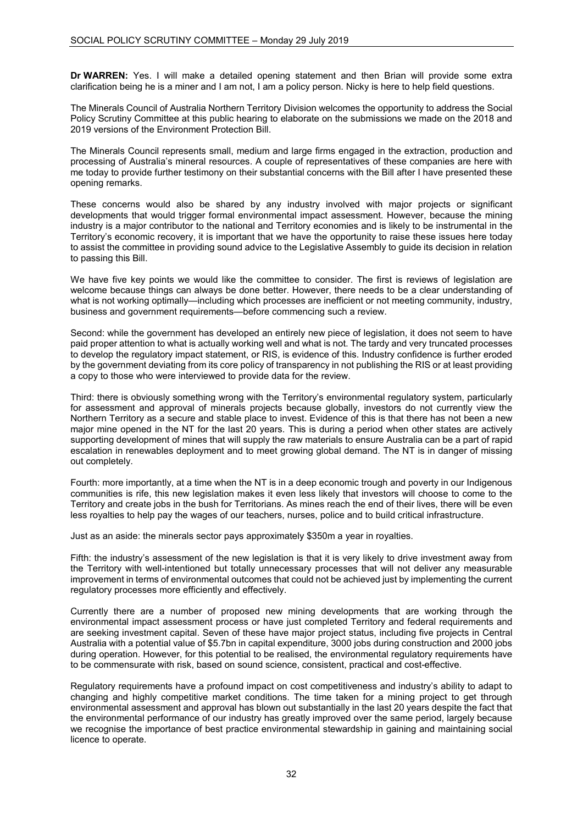**Dr WARREN:** Yes. I will make a detailed opening statement and then Brian will provide some extra clarification being he is a miner and I am not, I am a policy person. Nicky is here to help field questions.

The Minerals Council of Australia Northern Territory Division welcomes the opportunity to address the Social Policy Scrutiny Committee at this public hearing to elaborate on the submissions we made on the 2018 and 2019 versions of the Environment Protection Bill.

The Minerals Council represents small, medium and large firms engaged in the extraction, production and processing of Australia's mineral resources. A couple of representatives of these companies are here with me today to provide further testimony on their substantial concerns with the Bill after I have presented these opening remarks.

These concerns would also be shared by any industry involved with major projects or significant developments that would trigger formal environmental impact assessment. However, because the mining industry is a major contributor to the national and Territory economies and is likely to be instrumental in the Territory's economic recovery, it is important that we have the opportunity to raise these issues here today to assist the committee in providing sound advice to the Legislative Assembly to guide its decision in relation to passing this Bill.

We have five key points we would like the committee to consider. The first is reviews of legislation are welcome because things can always be done better. However, there needs to be a clear understanding of what is not working optimally—including which processes are inefficient or not meeting community, industry, business and government requirements—before commencing such a review.

Second: while the government has developed an entirely new piece of legislation, it does not seem to have paid proper attention to what is actually working well and what is not. The tardy and very truncated processes to develop the regulatory impact statement, or RIS, is evidence of this. Industry confidence is further eroded by the government deviating from its core policy of transparency in not publishing the RIS or at least providing a copy to those who were interviewed to provide data for the review.

Third: there is obviously something wrong with the Territory's environmental regulatory system, particularly for assessment and approval of minerals projects because globally, investors do not currently view the Northern Territory as a secure and stable place to invest. Evidence of this is that there has not been a new major mine opened in the NT for the last 20 years. This is during a period when other states are actively supporting development of mines that will supply the raw materials to ensure Australia can be a part of rapid escalation in renewables deployment and to meet growing global demand. The NT is in danger of missing out completely.

Fourth: more importantly, at a time when the NT is in a deep economic trough and poverty in our Indigenous communities is rife, this new legislation makes it even less likely that investors will choose to come to the Territory and create jobs in the bush for Territorians. As mines reach the end of their lives, there will be even less royalties to help pay the wages of our teachers, nurses, police and to build critical infrastructure.

Just as an aside: the minerals sector pays approximately \$350m a year in royalties.

Fifth: the industry's assessment of the new legislation is that it is very likely to drive investment away from the Territory with well-intentioned but totally unnecessary processes that will not deliver any measurable improvement in terms of environmental outcomes that could not be achieved just by implementing the current regulatory processes more efficiently and effectively.

Currently there are a number of proposed new mining developments that are working through the environmental impact assessment process or have just completed Territory and federal requirements and are seeking investment capital. Seven of these have major project status, including five projects in Central Australia with a potential value of \$5.7bn in capital expenditure, 3000 jobs during construction and 2000 jobs during operation. However, for this potential to be realised, the environmental regulatory requirements have to be commensurate with risk, based on sound science, consistent, practical and cost-effective.

Regulatory requirements have a profound impact on cost competitiveness and industry's ability to adapt to changing and highly competitive market conditions. The time taken for a mining project to get through environmental assessment and approval has blown out substantially in the last 20 years despite the fact that the environmental performance of our industry has greatly improved over the same period, largely because we recognise the importance of best practice environmental stewardship in gaining and maintaining social licence to operate.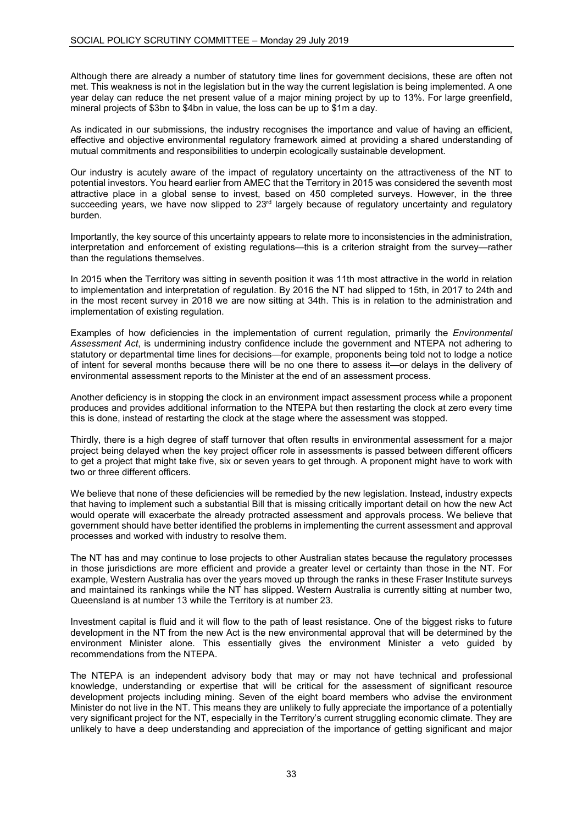Although there are already a number of statutory time lines for government decisions, these are often not met. This weakness is not in the legislation but in the way the current legislation is being implemented. A one year delay can reduce the net present value of a major mining project by up to 13%. For large greenfield, mineral projects of \$3bn to \$4bn in value, the loss can be up to \$1m a day.

As indicated in our submissions, the industry recognises the importance and value of having an efficient, effective and objective environmental regulatory framework aimed at providing a shared understanding of mutual commitments and responsibilities to underpin ecologically sustainable development.

Our industry is acutely aware of the impact of regulatory uncertainty on the attractiveness of the NT to potential investors. You heard earlier from AMEC that the Territory in 2015 was considered the seventh most attractive place in a global sense to invest, based on 450 completed surveys. However, in the three succeeding years, we have now slipped to 23<sup>rd</sup> largely because of regulatory uncertainty and regulatory burden.

Importantly, the key source of this uncertainty appears to relate more to inconsistencies in the administration, interpretation and enforcement of existing regulations—this is a criterion straight from the survey—rather than the regulations themselves.

In 2015 when the Territory was sitting in seventh position it was 11th most attractive in the world in relation to implementation and interpretation of regulation. By 2016 the NT had slipped to 15th, in 2017 to 24th and in the most recent survey in 2018 we are now sitting at 34th. This is in relation to the administration and implementation of existing regulation.

Examples of how deficiencies in the implementation of current regulation, primarily the *Environmental Assessment Act*, is undermining industry confidence include the government and NTEPA not adhering to statutory or departmental time lines for decisions—for example, proponents being told not to lodge a notice of intent for several months because there will be no one there to assess it—or delays in the delivery of environmental assessment reports to the Minister at the end of an assessment process.

Another deficiency is in stopping the clock in an environment impact assessment process while a proponent produces and provides additional information to the NTEPA but then restarting the clock at zero every time this is done, instead of restarting the clock at the stage where the assessment was stopped.

Thirdly, there is a high degree of staff turnover that often results in environmental assessment for a major project being delayed when the key project officer role in assessments is passed between different officers to get a project that might take five, six or seven years to get through. A proponent might have to work with two or three different officers.

We believe that none of these deficiencies will be remedied by the new legislation. Instead, industry expects that having to implement such a substantial Bill that is missing critically important detail on how the new Act would operate will exacerbate the already protracted assessment and approvals process. We believe that government should have better identified the problems in implementing the current assessment and approval processes and worked with industry to resolve them.

The NT has and may continue to lose projects to other Australian states because the regulatory processes in those jurisdictions are more efficient and provide a greater level or certainty than those in the NT. For example, Western Australia has over the years moved up through the ranks in these Fraser Institute surveys and maintained its rankings while the NT has slipped. Western Australia is currently sitting at number two, Queensland is at number 13 while the Territory is at number 23.

Investment capital is fluid and it will flow to the path of least resistance. One of the biggest risks to future development in the NT from the new Act is the new environmental approval that will be determined by the environment Minister alone. This essentially gives the environment Minister a veto guided by recommendations from the NTEPA.

The NTEPA is an independent advisory body that may or may not have technical and professional knowledge, understanding or expertise that will be critical for the assessment of significant resource development projects including mining. Seven of the eight board members who advise the environment Minister do not live in the NT. This means they are unlikely to fully appreciate the importance of a potentially very significant project for the NT, especially in the Territory's current struggling economic climate. They are unlikely to have a deep understanding and appreciation of the importance of getting significant and major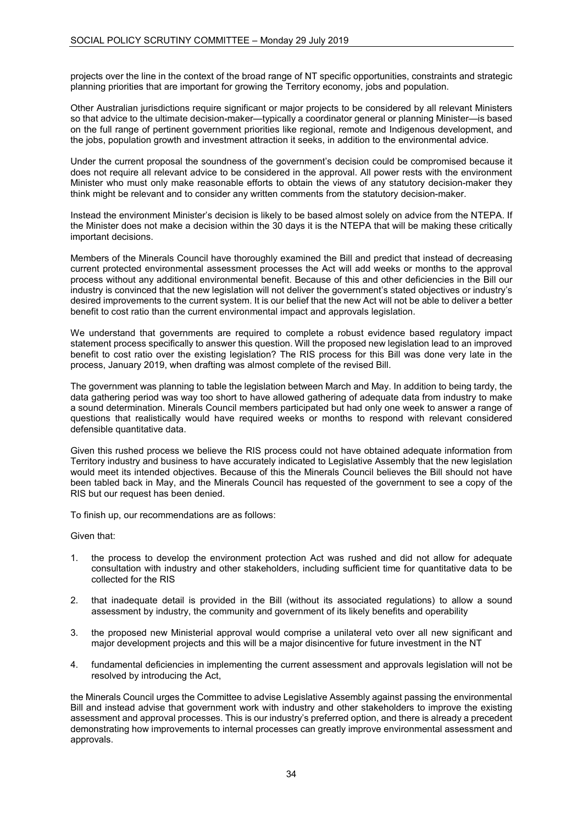projects over the line in the context of the broad range of NT specific opportunities, constraints and strategic planning priorities that are important for growing the Territory economy, jobs and population.

Other Australian jurisdictions require significant or major projects to be considered by all relevant Ministers so that advice to the ultimate decision-maker—typically a coordinator general or planning Minister—is based on the full range of pertinent government priorities like regional, remote and Indigenous development, and the jobs, population growth and investment attraction it seeks, in addition to the environmental advice.

Under the current proposal the soundness of the government's decision could be compromised because it does not require all relevant advice to be considered in the approval. All power rests with the environment Minister who must only make reasonable efforts to obtain the views of any statutory decision-maker they think might be relevant and to consider any written comments from the statutory decision-maker.

Instead the environment Minister's decision is likely to be based almost solely on advice from the NTEPA. If the Minister does not make a decision within the 30 days it is the NTEPA that will be making these critically important decisions.

Members of the Minerals Council have thoroughly examined the Bill and predict that instead of decreasing current protected environmental assessment processes the Act will add weeks or months to the approval process without any additional environmental benefit. Because of this and other deficiencies in the Bill our industry is convinced that the new legislation will not deliver the government's stated objectives or industry's desired improvements to the current system. It is our belief that the new Act will not be able to deliver a better benefit to cost ratio than the current environmental impact and approvals legislation.

We understand that governments are required to complete a robust evidence based regulatory impact statement process specifically to answer this question. Will the proposed new legislation lead to an improved benefit to cost ratio over the existing legislation? The RIS process for this Bill was done very late in the process, January 2019, when drafting was almost complete of the revised Bill.

The government was planning to table the legislation between March and May. In addition to being tardy, the data gathering period was way too short to have allowed gathering of adequate data from industry to make a sound determination. Minerals Council members participated but had only one week to answer a range of questions that realistically would have required weeks or months to respond with relevant considered defensible quantitative data.

Given this rushed process we believe the RIS process could not have obtained adequate information from Territory industry and business to have accurately indicated to Legislative Assembly that the new legislation would meet its intended objectives. Because of this the Minerals Council believes the Bill should not have been tabled back in May, and the Minerals Council has requested of the government to see a copy of the RIS but our request has been denied.

To finish up, our recommendations are as follows:

Given that:

- 1. the process to develop the environment protection Act was rushed and did not allow for adequate consultation with industry and other stakeholders, including sufficient time for quantitative data to be collected for the RIS
- 2. that inadequate detail is provided in the Bill (without its associated regulations) to allow a sound assessment by industry, the community and government of its likely benefits and operability
- 3. the proposed new Ministerial approval would comprise a unilateral veto over all new significant and major development projects and this will be a major disincentive for future investment in the NT
- 4. fundamental deficiencies in implementing the current assessment and approvals legislation will not be resolved by introducing the Act,

the Minerals Council urges the Committee to advise Legislative Assembly against passing the environmental Bill and instead advise that government work with industry and other stakeholders to improve the existing assessment and approval processes. This is our industry's preferred option, and there is already a precedent demonstrating how improvements to internal processes can greatly improve environmental assessment and approvals.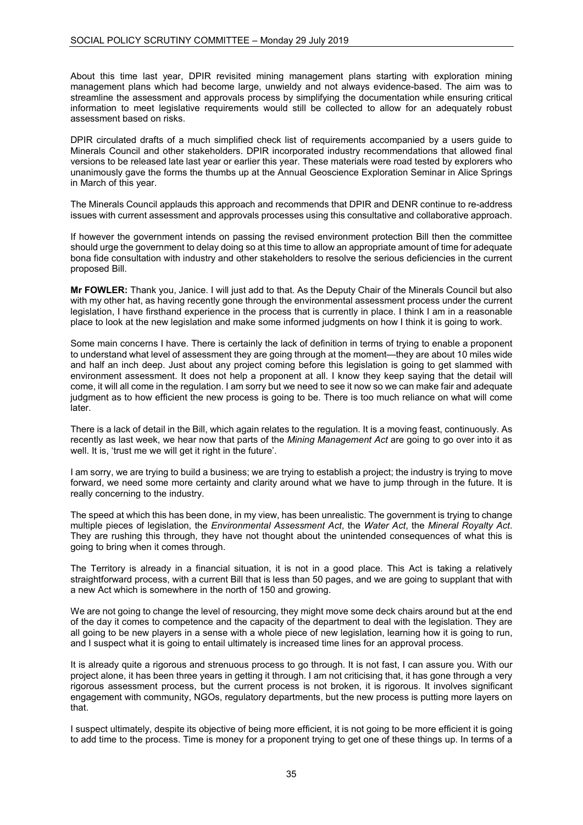About this time last year, DPIR revisited mining management plans starting with exploration mining management plans which had become large, unwieldy and not always evidence-based. The aim was to streamline the assessment and approvals process by simplifying the documentation while ensuring critical information to meet legislative requirements would still be collected to allow for an adequately robust assessment based on risks.

DPIR circulated drafts of a much simplified check list of requirements accompanied by a users guide to Minerals Council and other stakeholders. DPIR incorporated industry recommendations that allowed final versions to be released late last year or earlier this year. These materials were road tested by explorers who unanimously gave the forms the thumbs up at the Annual Geoscience Exploration Seminar in Alice Springs in March of this year.

The Minerals Council applauds this approach and recommends that DPIR and DENR continue to re-address issues with current assessment and approvals processes using this consultative and collaborative approach.

If however the government intends on passing the revised environment protection Bill then the committee should urge the government to delay doing so at this time to allow an appropriate amount of time for adequate bona fide consultation with industry and other stakeholders to resolve the serious deficiencies in the current proposed Bill.

**Mr FOWLER:** Thank you, Janice. I will just add to that. As the Deputy Chair of the Minerals Council but also with my other hat, as having recently gone through the environmental assessment process under the current legislation, I have firsthand experience in the process that is currently in place. I think I am in a reasonable place to look at the new legislation and make some informed judgments on how I think it is going to work.

Some main concerns I have. There is certainly the lack of definition in terms of trying to enable a proponent to understand what level of assessment they are going through at the moment—they are about 10 miles wide and half an inch deep. Just about any project coming before this legislation is going to get slammed with environment assessment. It does not help a proponent at all. I know they keep saying that the detail will come, it will all come in the regulation. I am sorry but we need to see it now so we can make fair and adequate judgment as to how efficient the new process is going to be. There is too much reliance on what will come later.

There is a lack of detail in the Bill, which again relates to the regulation. It is a moving feast, continuously. As recently as last week, we hear now that parts of the *Mining Management Act* are going to go over into it as well. It is, 'trust me we will get it right in the future'.

I am sorry, we are trying to build a business; we are trying to establish a project; the industry is trying to move forward, we need some more certainty and clarity around what we have to jump through in the future. It is really concerning to the industry.

The speed at which this has been done, in my view, has been unrealistic. The government is trying to change multiple pieces of legislation, the *Environmental Assessment Act*, the *Water Act*, the *Mineral Royalty Act*. They are rushing this through, they have not thought about the unintended consequences of what this is going to bring when it comes through.

The Territory is already in a financial situation, it is not in a good place. This Act is taking a relatively straightforward process, with a current Bill that is less than 50 pages, and we are going to supplant that with a new Act which is somewhere in the north of 150 and growing.

We are not going to change the level of resourcing, they might move some deck chairs around but at the end of the day it comes to competence and the capacity of the department to deal with the legislation. They are all going to be new players in a sense with a whole piece of new legislation, learning how it is going to run, and I suspect what it is going to entail ultimately is increased time lines for an approval process.

It is already quite a rigorous and strenuous process to go through. It is not fast, I can assure you. With our project alone, it has been three years in getting it through. I am not criticising that, it has gone through a very rigorous assessment process, but the current process is not broken, it is rigorous. It involves significant engagement with community, NGOs, regulatory departments, but the new process is putting more layers on that.

I suspect ultimately, despite its objective of being more efficient, it is not going to be more efficient it is going to add time to the process. Time is money for a proponent trying to get one of these things up. In terms of a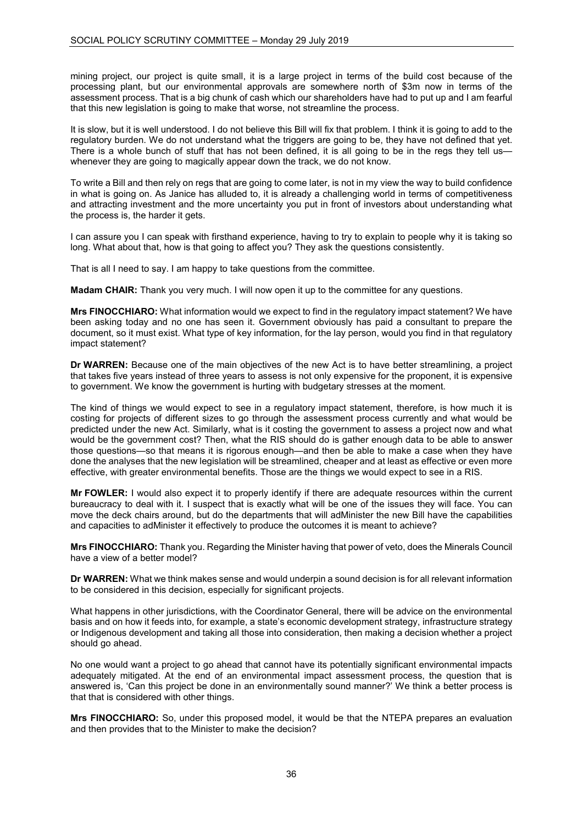mining project, our project is quite small, it is a large project in terms of the build cost because of the processing plant, but our environmental approvals are somewhere north of \$3m now in terms of the assessment process. That is a big chunk of cash which our shareholders have had to put up and I am fearful that this new legislation is going to make that worse, not streamline the process.

It is slow, but it is well understood. I do not believe this Bill will fix that problem. I think it is going to add to the regulatory burden. We do not understand what the triggers are going to be, they have not defined that yet. There is a whole bunch of stuff that has not been defined, it is all going to be in the regs they tell us whenever they are going to magically appear down the track, we do not know.

To write a Bill and then rely on regs that are going to come later, is not in my view the way to build confidence in what is going on. As Janice has alluded to, it is already a challenging world in terms of competitiveness and attracting investment and the more uncertainty you put in front of investors about understanding what the process is, the harder it gets.

I can assure you I can speak with firsthand experience, having to try to explain to people why it is taking so long. What about that, how is that going to affect you? They ask the questions consistently.

That is all I need to say. I am happy to take questions from the committee.

**Madam CHAIR:** Thank you very much. I will now open it up to the committee for any questions.

**Mrs FINOCCHIARO:** What information would we expect to find in the regulatory impact statement? We have been asking today and no one has seen it. Government obviously has paid a consultant to prepare the document, so it must exist. What type of key information, for the lay person, would you find in that regulatory impact statement?

**Dr WARREN:** Because one of the main objectives of the new Act is to have better streamlining, a project that takes five years instead of three years to assess is not only expensive for the proponent, it is expensive to government. We know the government is hurting with budgetary stresses at the moment.

The kind of things we would expect to see in a regulatory impact statement, therefore, is how much it is costing for projects of different sizes to go through the assessment process currently and what would be predicted under the new Act. Similarly, what is it costing the government to assess a project now and what would be the government cost? Then, what the RIS should do is gather enough data to be able to answer those questions—so that means it is rigorous enough—and then be able to make a case when they have done the analyses that the new legislation will be streamlined, cheaper and at least as effective or even more effective, with greater environmental benefits. Those are the things we would expect to see in a RIS.

**Mr FOWLER:** I would also expect it to properly identify if there are adequate resources within the current bureaucracy to deal with it. I suspect that is exactly what will be one of the issues they will face. You can move the deck chairs around, but do the departments that will adMinister the new Bill have the capabilities and capacities to adMinister it effectively to produce the outcomes it is meant to achieve?

**Mrs FINOCCHIARO:** Thank you. Regarding the Minister having that power of veto, does the Minerals Council have a view of a better model?

**Dr WARREN:** What we think makes sense and would underpin a sound decision is for all relevant information to be considered in this decision, especially for significant projects.

What happens in other jurisdictions, with the Coordinator General, there will be advice on the environmental basis and on how it feeds into, for example, a state's economic development strategy, infrastructure strategy or Indigenous development and taking all those into consideration, then making a decision whether a project should go ahead.

No one would want a project to go ahead that cannot have its potentially significant environmental impacts adequately mitigated. At the end of an environmental impact assessment process, the question that is answered is, 'Can this project be done in an environmentally sound manner?' We think a better process is that that is considered with other things.

**Mrs FINOCCHIARO:** So, under this proposed model, it would be that the NTEPA prepares an evaluation and then provides that to the Minister to make the decision?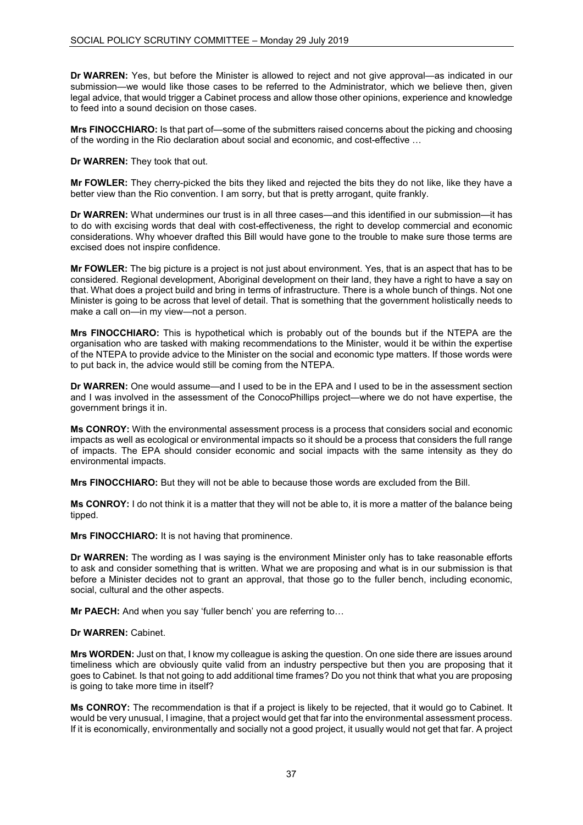**Dr WARREN:** Yes, but before the Minister is allowed to reject and not give approval—as indicated in our submission—we would like those cases to be referred to the Administrator, which we believe then, given legal advice, that would trigger a Cabinet process and allow those other opinions, experience and knowledge to feed into a sound decision on those cases.

**Mrs FINOCCHIARO:** Is that part of—some of the submitters raised concerns about the picking and choosing of the wording in the Rio declaration about social and economic, and cost-effective …

**Dr WARREN:** They took that out.

**Mr FOWLER:** They cherry-picked the bits they liked and rejected the bits they do not like, like they have a better view than the Rio convention. I am sorry, but that is pretty arrogant, quite frankly.

**Dr WARREN:** What undermines our trust is in all three cases—and this identified in our submission—it has to do with excising words that deal with cost-effectiveness, the right to develop commercial and economic considerations. Why whoever drafted this Bill would have gone to the trouble to make sure those terms are excised does not inspire confidence.

**Mr FOWLER:** The big picture is a project is not just about environment. Yes, that is an aspect that has to be considered. Regional development, Aboriginal development on their land, they have a right to have a say on that. What does a project build and bring in terms of infrastructure. There is a whole bunch of things. Not one Minister is going to be across that level of detail. That is something that the government holistically needs to make a call on—in my view—not a person.

**Mrs FINOCCHIARO:** This is hypothetical which is probably out of the bounds but if the NTEPA are the organisation who are tasked with making recommendations to the Minister, would it be within the expertise of the NTEPA to provide advice to the Minister on the social and economic type matters. If those words were to put back in, the advice would still be coming from the NTEPA.

**Dr WARREN:** One would assume—and I used to be in the EPA and I used to be in the assessment section and I was involved in the assessment of the ConocoPhillips project—where we do not have expertise, the government brings it in.

**Ms CONROY:** With the environmental assessment process is a process that considers social and economic impacts as well as ecological or environmental impacts so it should be a process that considers the full range of impacts. The EPA should consider economic and social impacts with the same intensity as they do environmental impacts.

**Mrs FINOCCHIARO:** But they will not be able to because those words are excluded from the Bill.

**Ms CONROY:** I do not think it is a matter that they will not be able to, it is more a matter of the balance being tipped.

**Mrs FINOCCHIARO:** It is not having that prominence.

**Dr WARREN:** The wording as I was saying is the environment Minister only has to take reasonable efforts to ask and consider something that is written. What we are proposing and what is in our submission is that before a Minister decides not to grant an approval, that those go to the fuller bench, including economic, social, cultural and the other aspects.

**Mr PAECH:** And when you say 'fuller bench' you are referring to…

### **Dr WARREN:** Cabinet.

**Mrs WORDEN:** Just on that, I know my colleague is asking the question. On one side there are issues around timeliness which are obviously quite valid from an industry perspective but then you are proposing that it goes to Cabinet. Is that not going to add additional time frames? Do you not think that what you are proposing is going to take more time in itself?

**Ms CONROY:** The recommendation is that if a project is likely to be rejected, that it would go to Cabinet. It would be very unusual, I imagine, that a project would get that far into the environmental assessment process. If it is economically, environmentally and socially not a good project, it usually would not get that far. A project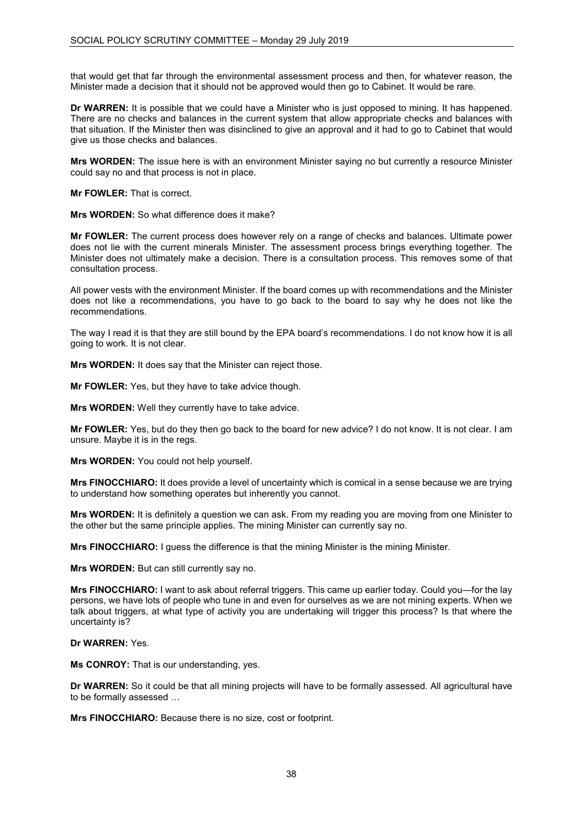that would get that far through the environmental assessment process and then, for whatever reason, the Minister made a decision that it should not be approved would then go to Cabinet. It would be rare.

**Dr WARREN:** It is possible that we could have a Minister who is just opposed to mining. It has happened. There are no checks and balances in the current system that allow appropriate checks and balances with that situation. If the Minister then was disinclined to give an approval and it had to go to Cabinet that would give us those checks and balances.

**Mrs WORDEN:** The issue here is with an environment Minister saying no but currently a resource Minister could say no and that process is not in place.

**Mr FOWLER:** That is correct.

**Mrs WORDEN:** So what difference does it make?

**Mr FOWLER:** The current process does however rely on a range of checks and balances. Ultimate power does not lie with the current minerals Minister. The assessment process brings everything together. The Minister does not ultimately make a decision. There is a consultation process. This removes some of that consultation process.

All power vests with the environment Minister. If the board comes up with recommendations and the Minister does not like a recommendations, you have to go back to the board to say why he does not like the recommendations.

The way I read it is that they are still bound by the EPA board's recommendations. I do not know how it is all going to work. It is not clear.

**Mrs WORDEN:** It does say that the Minister can reject those.

**Mr FOWLER:** Yes, but they have to take advice though.

**Mrs WORDEN:** Well they currently have to take advice.

**Mr FOWLER:** Yes, but do they then go back to the board for new advice? I do not know. It is not clear. I am unsure. Maybe it is in the regs.

**Mrs WORDEN:** You could not help yourself.

**Mrs FINOCCHIARO:** It does provide a level of uncertainty which is comical in a sense because we are trying to understand how something operates but inherently you cannot.

**Mrs WORDEN:** It is definitely a question we can ask. From my reading you are moving from one Minister to the other but the same principle applies. The mining Minister can currently say no.

**Mrs FINOCCHIARO:** I guess the difference is that the mining Minister is the mining Minister.

**Mrs WORDEN:** But can still currently say no.

**Mrs FINOCCHIARO:** I want to ask about referral triggers. This came up earlier today. Could you—for the lay persons, we have lots of people who tune in and even for ourselves as we are not mining experts. When we talk about triggers, at what type of activity you are undertaking will trigger this process? Is that where the uncertainty is?

# **Dr WARREN:** Yes.

**Ms CONROY:** That is our understanding, yes.

**Dr WARREN:** So it could be that all mining projects will have to be formally assessed. All agricultural have to be formally assessed …

**Mrs FINOCCHIARO:** Because there is no size, cost or footprint.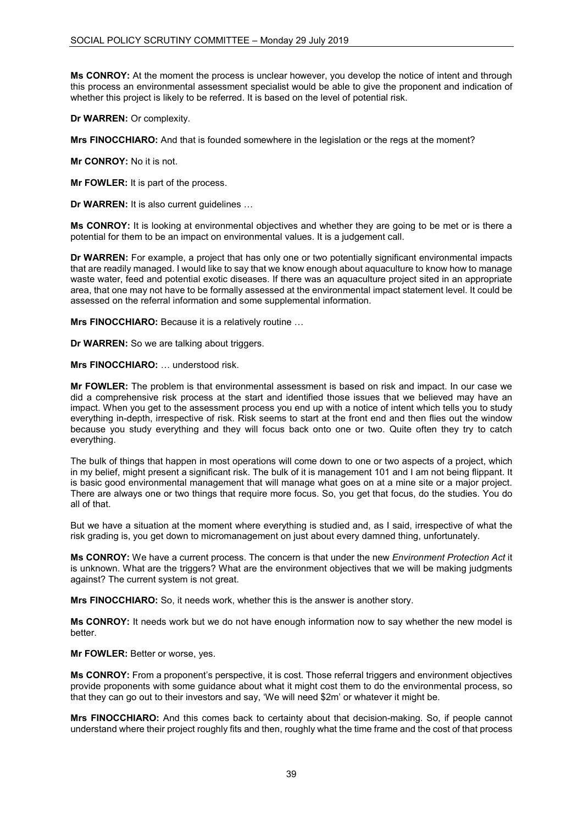**Ms CONROY:** At the moment the process is unclear however, you develop the notice of intent and through this process an environmental assessment specialist would be able to give the proponent and indication of whether this project is likely to be referred. It is based on the level of potential risk.

**Dr WARREN:** Or complexity.

**Mrs FINOCCHIARO:** And that is founded somewhere in the legislation or the regs at the moment?

**Mr CONROY:** No it is not.

**Mr FOWLER:** It is part of the process.

**Dr WARREN:** It is also current guidelines …

**Ms CONROY:** It is looking at environmental objectives and whether they are going to be met or is there a potential for them to be an impact on environmental values. It is a judgement call.

**Dr WARREN:** For example, a project that has only one or two potentially significant environmental impacts that are readily managed. I would like to say that we know enough about aquaculture to know how to manage waste water, feed and potential exotic diseases. If there was an aquaculture project sited in an appropriate area, that one may not have to be formally assessed at the environmental impact statement level. It could be assessed on the referral information and some supplemental information.

**Mrs FINOCCHIARO:** Because it is a relatively routine …

**Dr WARREN:** So we are talking about triggers.

**Mrs FINOCCHIARO:** … understood risk.

**Mr FOWLER:** The problem is that environmental assessment is based on risk and impact. In our case we did a comprehensive risk process at the start and identified those issues that we believed may have an impact. When you get to the assessment process you end up with a notice of intent which tells you to study everything in-depth, irrespective of risk. Risk seems to start at the front end and then flies out the window because you study everything and they will focus back onto one or two. Quite often they try to catch everything.

The bulk of things that happen in most operations will come down to one or two aspects of a project, which in my belief, might present a significant risk. The bulk of it is management 101 and I am not being flippant. It is basic good environmental management that will manage what goes on at a mine site or a major project. There are always one or two things that require more focus. So, you get that focus, do the studies. You do all of that.

But we have a situation at the moment where everything is studied and, as I said, irrespective of what the risk grading is, you get down to micromanagement on just about every damned thing, unfortunately.

**Ms CONROY:** We have a current process. The concern is that under the new *Environment Protection Act* it is unknown. What are the triggers? What are the environment objectives that we will be making judgments against? The current system is not great.

**Mrs FINOCCHIARO:** So, it needs work, whether this is the answer is another story.

**Ms CONROY:** It needs work but we do not have enough information now to say whether the new model is better.

**Mr FOWLER:** Better or worse, yes.

**Ms CONROY:** From a proponent's perspective, it is cost. Those referral triggers and environment objectives provide proponents with some guidance about what it might cost them to do the environmental process, so that they can go out to their investors and say, 'We will need \$2m' or whatever it might be.

**Mrs FINOCCHIARO:** And this comes back to certainty about that decision-making. So, if people cannot understand where their project roughly fits and then, roughly what the time frame and the cost of that process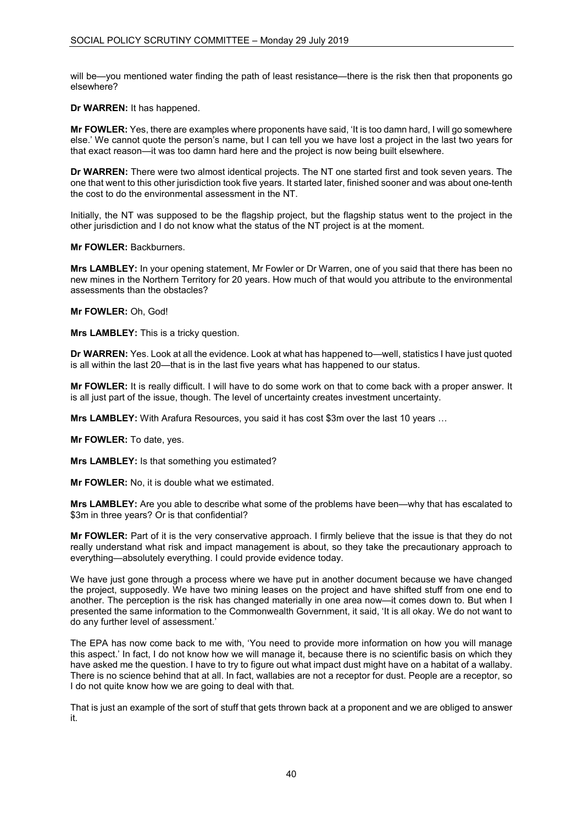will be—you mentioned water finding the path of least resistance—there is the risk then that proponents go elsewhere?

**Dr WARREN:** It has happened.

**Mr FOWLER:** Yes, there are examples where proponents have said, 'It is too damn hard, I will go somewhere else.' We cannot quote the person's name, but I can tell you we have lost a project in the last two years for that exact reason—it was too damn hard here and the project is now being built elsewhere.

**Dr WARREN:** There were two almost identical projects. The NT one started first and took seven years. The one that went to this other jurisdiction took five years. It started later, finished sooner and was about one-tenth the cost to do the environmental assessment in the NT.

Initially, the NT was supposed to be the flagship project, but the flagship status went to the project in the other jurisdiction and I do not know what the status of the NT project is at the moment.

**Mr FOWLER:** Backburners.

**Mrs LAMBLEY:** In your opening statement, Mr Fowler or Dr Warren, one of you said that there has been no new mines in the Northern Territory for 20 years. How much of that would you attribute to the environmental assessments than the obstacles?

**Mr FOWLER:** Oh, God!

**Mrs LAMBLEY:** This is a tricky question.

**Dr WARREN:** Yes. Look at all the evidence. Look at what has happened to—well, statistics I have just quoted is all within the last 20—that is in the last five years what has happened to our status.

**Mr FOWLER:** It is really difficult. I will have to do some work on that to come back with a proper answer. It is all just part of the issue, though. The level of uncertainty creates investment uncertainty.

**Mrs LAMBLEY:** With Arafura Resources, you said it has cost \$3m over the last 10 years …

**Mr FOWLER:** To date, yes.

**Mrs LAMBLEY:** Is that something you estimated?

**Mr FOWLER:** No, it is double what we estimated.

**Mrs LAMBLEY:** Are you able to describe what some of the problems have been—why that has escalated to \$3m in three years? Or is that confidential?

**Mr FOWLER:** Part of it is the very conservative approach. I firmly believe that the issue is that they do not really understand what risk and impact management is about, so they take the precautionary approach to everything—absolutely everything. I could provide evidence today.

We have just gone through a process where we have put in another document because we have changed the project, supposedly. We have two mining leases on the project and have shifted stuff from one end to another. The perception is the risk has changed materially in one area now—it comes down to. But when I presented the same information to the Commonwealth Government, it said, 'It is all okay. We do not want to do any further level of assessment.'

The EPA has now come back to me with, 'You need to provide more information on how you will manage this aspect.' In fact, I do not know how we will manage it, because there is no scientific basis on which they have asked me the question. I have to try to figure out what impact dust might have on a habitat of a wallaby. There is no science behind that at all. In fact, wallabies are not a receptor for dust. People are a receptor, so I do not quite know how we are going to deal with that.

That is just an example of the sort of stuff that gets thrown back at a proponent and we are obliged to answer it.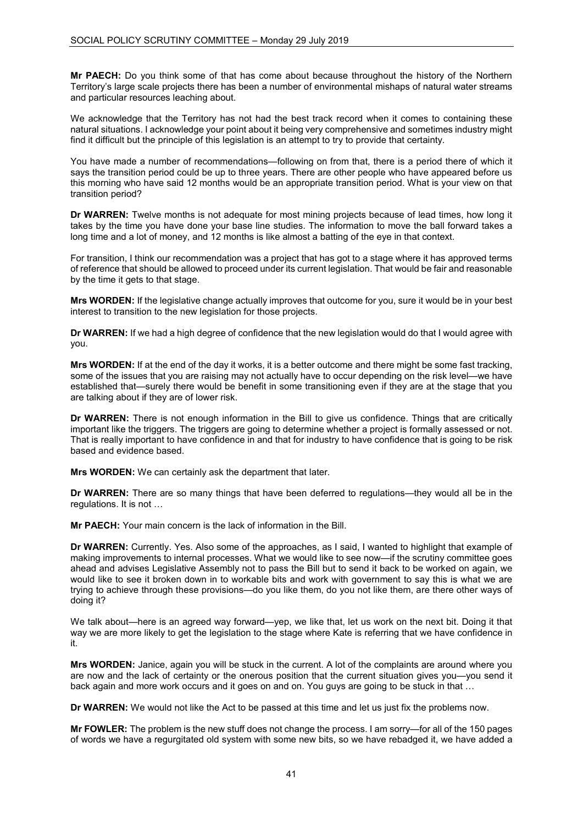**Mr PAECH:** Do you think some of that has come about because throughout the history of the Northern Territory's large scale projects there has been a number of environmental mishaps of natural water streams and particular resources leaching about.

We acknowledge that the Territory has not had the best track record when it comes to containing these natural situations. I acknowledge your point about it being very comprehensive and sometimes industry might find it difficult but the principle of this legislation is an attempt to try to provide that certainty.

You have made a number of recommendations—following on from that, there is a period there of which it says the transition period could be up to three years. There are other people who have appeared before us this morning who have said 12 months would be an appropriate transition period. What is your view on that transition period?

**Dr WARREN:** Twelve months is not adequate for most mining projects because of lead times, how long it takes by the time you have done your base line studies. The information to move the ball forward takes a long time and a lot of money, and 12 months is like almost a batting of the eye in that context.

For transition, I think our recommendation was a project that has got to a stage where it has approved terms of reference that should be allowed to proceed under its current legislation. That would be fair and reasonable by the time it gets to that stage.

**Mrs WORDEN:** If the legislative change actually improves that outcome for you, sure it would be in your best interest to transition to the new legislation for those projects.

**Dr WARREN:** If we had a high degree of confidence that the new legislation would do that I would agree with you.

**Mrs WORDEN:** If at the end of the day it works, it is a better outcome and there might be some fast tracking, some of the issues that you are raising may not actually have to occur depending on the risk level—we have established that—surely there would be benefit in some transitioning even if they are at the stage that you are talking about if they are of lower risk.

**Dr WARREN:** There is not enough information in the Bill to give us confidence. Things that are critically important like the triggers. The triggers are going to determine whether a project is formally assessed or not. That is really important to have confidence in and that for industry to have confidence that is going to be risk based and evidence based.

**Mrs WORDEN:** We can certainly ask the department that later.

**Dr WARREN:** There are so many things that have been deferred to regulations—they would all be in the regulations. It is not …

**Mr PAECH:** Your main concern is the lack of information in the Bill.

**Dr WARREN:** Currently. Yes. Also some of the approaches, as I said, I wanted to highlight that example of making improvements to internal processes. What we would like to see now—if the scrutiny committee goes ahead and advises Legislative Assembly not to pass the Bill but to send it back to be worked on again, we would like to see it broken down in to workable bits and work with government to say this is what we are trying to achieve through these provisions—do you like them, do you not like them, are there other ways of doing it?

We talk about—here is an agreed way forward—yep, we like that, let us work on the next bit. Doing it that way we are more likely to get the legislation to the stage where Kate is referring that we have confidence in it.

**Mrs WORDEN:** Janice, again you will be stuck in the current. A lot of the complaints are around where you are now and the lack of certainty or the onerous position that the current situation gives you—you send it back again and more work occurs and it goes on and on. You guys are going to be stuck in that …

**Dr WARREN:** We would not like the Act to be passed at this time and let us just fix the problems now.

**Mr FOWLER:** The problem is the new stuff does not change the process. I am sorry—for all of the 150 pages of words we have a regurgitated old system with some new bits, so we have rebadged it, we have added a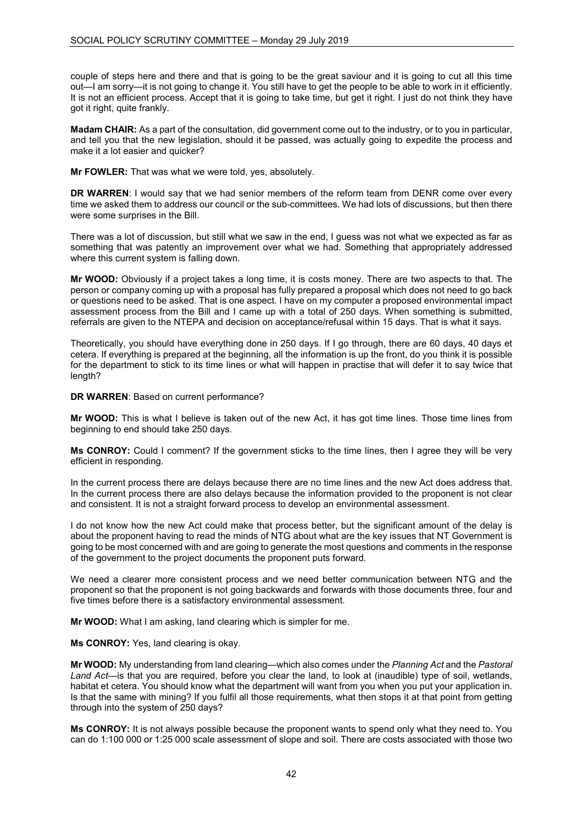couple of steps here and there and that is going to be the great saviour and it is going to cut all this time out—I am sorry—it is not going to change it. You still have to get the people to be able to work in it efficiently. It is not an efficient process. Accept that it is going to take time, but get it right. I just do not think they have got it right, quite frankly.

**Madam CHAIR:** As a part of the consultation, did government come out to the industry, or to you in particular, and tell you that the new legislation, should it be passed, was actually going to expedite the process and make it a lot easier and quicker?

**Mr FOWLER:** That was what we were told, yes, absolutely.

**DR WARREN**: I would say that we had senior members of the reform team from DENR come over every time we asked them to address our council or the sub-committees. We had lots of discussions, but then there were some surprises in the Bill.

There was a lot of discussion, but still what we saw in the end, I guess was not what we expected as far as something that was patently an improvement over what we had. Something that appropriately addressed where this current system is falling down.

**Mr WOOD:** Obviously if a project takes a long time, it is costs money. There are two aspects to that. The person or company coming up with a proposal has fully prepared a proposal which does not need to go back or questions need to be asked. That is one aspect. I have on my computer a proposed environmental impact assessment process from the Bill and I came up with a total of 250 days. When something is submitted, referrals are given to the NTEPA and decision on acceptance/refusal within 15 days. That is what it says.

Theoretically, you should have everything done in 250 days. If I go through, there are 60 days, 40 days et cetera. If everything is prepared at the beginning, all the information is up the front, do you think it is possible for the department to stick to its time lines or what will happen in practise that will defer it to say twice that length?

**DR WARREN**: Based on current performance?

**Mr WOOD:** This is what I believe is taken out of the new Act, it has got time lines. Those time lines from beginning to end should take 250 days.

**Ms CONROY:** Could I comment? If the government sticks to the time lines, then I agree they will be very efficient in responding.

In the current process there are delays because there are no time lines and the new Act does address that. In the current process there are also delays because the information provided to the proponent is not clear and consistent. It is not a straight forward process to develop an environmental assessment.

I do not know how the new Act could make that process better, but the significant amount of the delay is about the proponent having to read the minds of NTG about what are the key issues that NT Government is going to be most concerned with and are going to generate the most questions and comments in the response of the government to the project documents the proponent puts forward.

We need a clearer more consistent process and we need better communication between NTG and the proponent so that the proponent is not going backwards and forwards with those documents three, four and five times before there is a satisfactory environmental assessment.

**Mr WOOD:** What I am asking, land clearing which is simpler for me.

**Ms CONROY:** Yes, land clearing is okay.

**Mr WOOD:** My understanding from land clearing—which also comes under the *Planning Act* and the *Pastoral Land Act*—is that you are required, before you clear the land, to look at (inaudible) type of soil, wetlands, habitat et cetera. You should know what the department will want from you when you put your application in. Is that the same with mining? If you fulfil all those requirements, what then stops it at that point from getting through into the system of 250 days?

**Ms CONROY:** It is not always possible because the proponent wants to spend only what they need to. You can do 1:100 000 or 1:25 000 scale assessment of slope and soil. There are costs associated with those two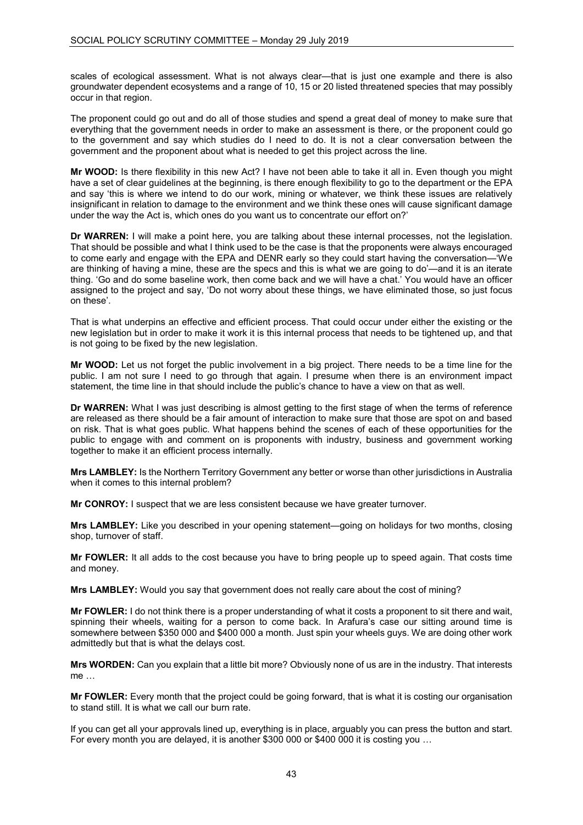scales of ecological assessment. What is not always clear—that is just one example and there is also groundwater dependent ecosystems and a range of 10, 15 or 20 listed threatened species that may possibly occur in that region.

The proponent could go out and do all of those studies and spend a great deal of money to make sure that everything that the government needs in order to make an assessment is there, or the proponent could go to the government and say which studies do I need to do. It is not a clear conversation between the government and the proponent about what is needed to get this project across the line.

**Mr WOOD:** Is there flexibility in this new Act? I have not been able to take it all in. Even though you might have a set of clear guidelines at the beginning, is there enough flexibility to go to the department or the EPA and say 'this is where we intend to do our work, mining or whatever, we think these issues are relatively insignificant in relation to damage to the environment and we think these ones will cause significant damage under the way the Act is, which ones do you want us to concentrate our effort on?'

**Dr WARREN:** I will make a point here, you are talking about these internal processes, not the legislation. That should be possible and what I think used to be the case is that the proponents were always encouraged to come early and engage with the EPA and DENR early so they could start having the conversation—'We are thinking of having a mine, these are the specs and this is what we are going to do'—and it is an iterate thing. 'Go and do some baseline work, then come back and we will have a chat.' You would have an officer assigned to the project and say, 'Do not worry about these things, we have eliminated those, so just focus on these'.

That is what underpins an effective and efficient process. That could occur under either the existing or the new legislation but in order to make it work it is this internal process that needs to be tightened up, and that is not going to be fixed by the new legislation.

**Mr WOOD:** Let us not forget the public involvement in a big project. There needs to be a time line for the public. I am not sure I need to go through that again. I presume when there is an environment impact statement, the time line in that should include the public's chance to have a view on that as well.

**Dr WARREN:** What I was just describing is almost getting to the first stage of when the terms of reference are released as there should be a fair amount of interaction to make sure that those are spot on and based on risk. That is what goes public. What happens behind the scenes of each of these opportunities for the public to engage with and comment on is proponents with industry, business and government working together to make it an efficient process internally.

**Mrs LAMBLEY:** Is the Northern Territory Government any better or worse than other jurisdictions in Australia when it comes to this internal problem?

**Mr CONROY:** I suspect that we are less consistent because we have greater turnover.

**Mrs LAMBLEY:** Like you described in your opening statement—going on holidays for two months, closing shop, turnover of staff.

**Mr FOWLER:** It all adds to the cost because you have to bring people up to speed again. That costs time and money.

**Mrs LAMBLEY:** Would you say that government does not really care about the cost of mining?

**Mr FOWLER:** I do not think there is a proper understanding of what it costs a proponent to sit there and wait, spinning their wheels, waiting for a person to come back. In Arafura's case our sitting around time is somewhere between \$350 000 and \$400 000 a month. Just spin your wheels guys. We are doing other work admittedly but that is what the delays cost.

**Mrs WORDEN:** Can you explain that a little bit more? Obviously none of us are in the industry. That interests me …

**Mr FOWLER:** Every month that the project could be going forward, that is what it is costing our organisation to stand still. It is what we call our burn rate.

If you can get all your approvals lined up, everything is in place, arguably you can press the button and start. For every month you are delayed, it is another \$300 000 or \$400 000 it is costing you …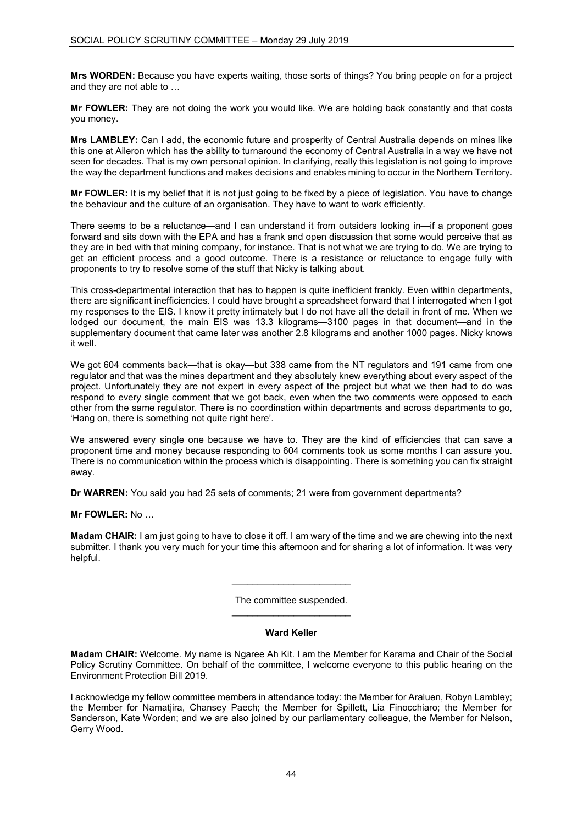**Mrs WORDEN:** Because you have experts waiting, those sorts of things? You bring people on for a project and they are not able to …

**Mr FOWLER:** They are not doing the work you would like. We are holding back constantly and that costs you money.

**Mrs LAMBLEY:** Can I add, the economic future and prosperity of Central Australia depends on mines like this one at Aileron which has the ability to turnaround the economy of Central Australia in a way we have not seen for decades. That is my own personal opinion. In clarifying, really this legislation is not going to improve the way the department functions and makes decisions and enables mining to occur in the Northern Territory.

**Mr FOWLER:** It is my belief that it is not just going to be fixed by a piece of legislation. You have to change the behaviour and the culture of an organisation. They have to want to work efficiently.

There seems to be a reluctance—and I can understand it from outsiders looking in—if a proponent goes forward and sits down with the EPA and has a frank and open discussion that some would perceive that as they are in bed with that mining company, for instance. That is not what we are trying to do. We are trying to get an efficient process and a good outcome. There is a resistance or reluctance to engage fully with proponents to try to resolve some of the stuff that Nicky is talking about.

This cross-departmental interaction that has to happen is quite inefficient frankly. Even within departments, there are significant inefficiencies. I could have brought a spreadsheet forward that I interrogated when I got my responses to the EIS. I know it pretty intimately but I do not have all the detail in front of me. When we lodged our document, the main EIS was 13.3 kilograms—3100 pages in that document—and in the supplementary document that came later was another 2.8 kilograms and another 1000 pages. Nicky knows it well.

We got 604 comments back—that is okay—but 338 came from the NT regulators and 191 came from one regulator and that was the mines department and they absolutely knew everything about every aspect of the project. Unfortunately they are not expert in every aspect of the project but what we then had to do was respond to every single comment that we got back, even when the two comments were opposed to each other from the same regulator. There is no coordination within departments and across departments to go, 'Hang on, there is something not quite right here'.

We answered every single one because we have to. They are the kind of efficiencies that can save a proponent time and money because responding to 604 comments took us some months I can assure you. There is no communication within the process which is disappointing. There is something you can fix straight away.

**Dr WARREN:** You said you had 25 sets of comments; 21 were from government departments?

**Mr FOWLER:** No …

**Madam CHAIR:** I am just going to have to close it off. I am wary of the time and we are chewing into the next submitter. I thank you very much for your time this afternoon and for sharing a lot of information. It was very helpful.

> The committee suspended. \_\_\_\_\_\_\_\_\_\_\_\_\_\_\_\_\_\_\_\_\_\_\_

> $\overline{\phantom{a}}$  , and the set of the set of the set of the set of the set of the set of the set of the set of the set of the set of the set of the set of the set of the set of the set of the set of the set of the set of the s

### **Ward Keller**

**Madam CHAIR:** Welcome. My name is Ngaree Ah Kit. I am the Member for Karama and Chair of the Social Policy Scrutiny Committee. On behalf of the committee, I welcome everyone to this public hearing on the Environment Protection Bill 2019.

I acknowledge my fellow committee members in attendance today: the Member for Araluen, Robyn Lambley; the Member for Namatjira, Chansey Paech; the Member for Spillett, Lia Finocchiaro; the Member for Sanderson, Kate Worden; and we are also joined by our parliamentary colleague, the Member for Nelson, Gerry Wood.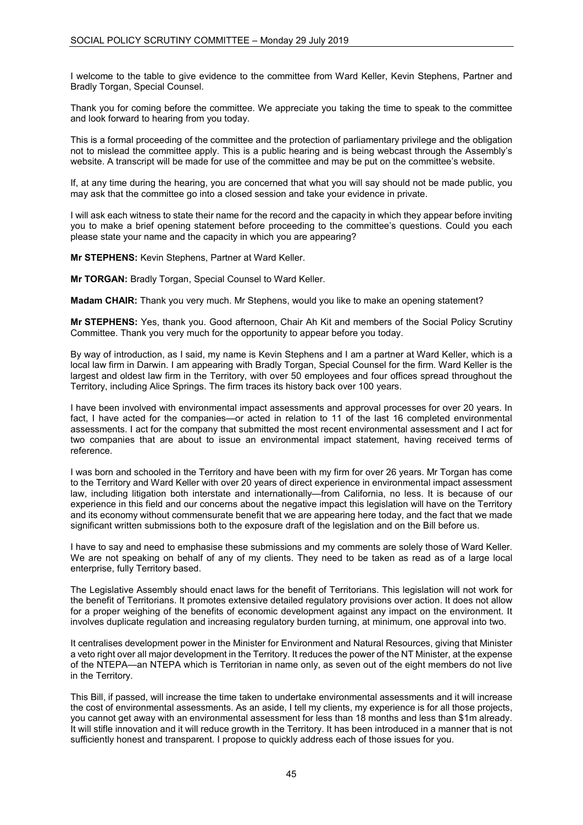I welcome to the table to give evidence to the committee from Ward Keller, Kevin Stephens, Partner and Bradly Torgan, Special Counsel.

Thank you for coming before the committee. We appreciate you taking the time to speak to the committee and look forward to hearing from you today.

This is a formal proceeding of the committee and the protection of parliamentary privilege and the obligation not to mislead the committee apply. This is a public hearing and is being webcast through the Assembly's website. A transcript will be made for use of the committee and may be put on the committee's website.

If, at any time during the hearing, you are concerned that what you will say should not be made public, you may ask that the committee go into a closed session and take your evidence in private.

I will ask each witness to state their name for the record and the capacity in which they appear before inviting you to make a brief opening statement before proceeding to the committee's questions. Could you each please state your name and the capacity in which you are appearing?

**Mr STEPHENS:** Kevin Stephens, Partner at Ward Keller.

**Mr TORGAN:** Bradly Torgan, Special Counsel to Ward Keller.

**Madam CHAIR:** Thank you very much. Mr Stephens, would you like to make an opening statement?

**Mr STEPHENS:** Yes, thank you. Good afternoon, Chair Ah Kit and members of the Social Policy Scrutiny Committee. Thank you very much for the opportunity to appear before you today.

By way of introduction, as I said, my name is Kevin Stephens and I am a partner at Ward Keller, which is a local law firm in Darwin. I am appearing with Bradly Torgan, Special Counsel for the firm. Ward Keller is the largest and oldest law firm in the Territory, with over 50 employees and four offices spread throughout the Territory, including Alice Springs. The firm traces its history back over 100 years.

I have been involved with environmental impact assessments and approval processes for over 20 years. In fact, I have acted for the companies—or acted in relation to 11 of the last 16 completed environmental assessments. I act for the company that submitted the most recent environmental assessment and I act for two companies that are about to issue an environmental impact statement, having received terms of reference.

I was born and schooled in the Territory and have been with my firm for over 26 years. Mr Torgan has come to the Territory and Ward Keller with over 20 years of direct experience in environmental impact assessment law, including litigation both interstate and internationally—from California, no less. It is because of our experience in this field and our concerns about the negative impact this legislation will have on the Territory and its economy without commensurate benefit that we are appearing here today, and the fact that we made significant written submissions both to the exposure draft of the legislation and on the Bill before us.

I have to say and need to emphasise these submissions and my comments are solely those of Ward Keller. We are not speaking on behalf of any of my clients. They need to be taken as read as of a large local enterprise, fully Territory based.

The Legislative Assembly should enact laws for the benefit of Territorians. This legislation will not work for the benefit of Territorians. It promotes extensive detailed regulatory provisions over action. It does not allow for a proper weighing of the benefits of economic development against any impact on the environment. It involves duplicate regulation and increasing regulatory burden turning, at minimum, one approval into two.

It centralises development power in the Minister for Environment and Natural Resources, giving that Minister a veto right over all major development in the Territory. It reduces the power of the NT Minister, at the expense of the NTEPA—an NTEPA which is Territorian in name only, as seven out of the eight members do not live in the Territory.

This Bill, if passed, will increase the time taken to undertake environmental assessments and it will increase the cost of environmental assessments. As an aside, I tell my clients, my experience is for all those projects, you cannot get away with an environmental assessment for less than 18 months and less than \$1m already. It will stifle innovation and it will reduce growth in the Territory. It has been introduced in a manner that is not sufficiently honest and transparent. I propose to quickly address each of those issues for you.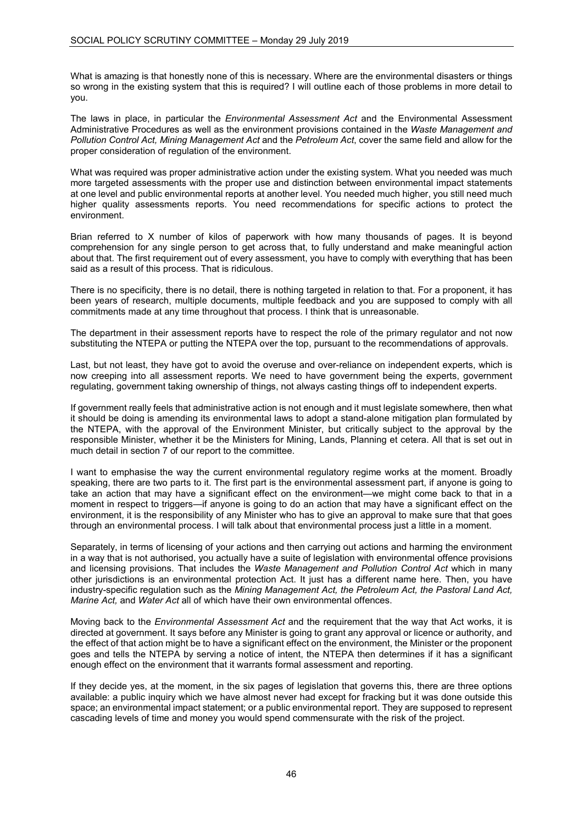What is amazing is that honestly none of this is necessary. Where are the environmental disasters or things so wrong in the existing system that this is required? I will outline each of those problems in more detail to you.

The laws in place, in particular the *Environmental Assessment Act* and the Environmental Assessment Administrative Procedures as well as the environment provisions contained in the *Waste Management and Pollution Control Act, Mining Management Act* and the *Petroleum Act*, cover the same field and allow for the proper consideration of regulation of the environment.

What was required was proper administrative action under the existing system. What you needed was much more targeted assessments with the proper use and distinction between environmental impact statements at one level and public environmental reports at another level. You needed much higher, you still need much higher quality assessments reports. You need recommendations for specific actions to protect the environment.

Brian referred to X number of kilos of paperwork with how many thousands of pages. It is beyond comprehension for any single person to get across that, to fully understand and make meaningful action about that. The first requirement out of every assessment, you have to comply with everything that has been said as a result of this process. That is ridiculous.

There is no specificity, there is no detail, there is nothing targeted in relation to that. For a proponent, it has been years of research, multiple documents, multiple feedback and you are supposed to comply with all commitments made at any time throughout that process. I think that is unreasonable.

The department in their assessment reports have to respect the role of the primary regulator and not now substituting the NTEPA or putting the NTEPA over the top, pursuant to the recommendations of approvals.

Last, but not least, they have got to avoid the overuse and over-reliance on independent experts, which is now creeping into all assessment reports. We need to have government being the experts, government regulating, government taking ownership of things, not always casting things off to independent experts.

If government really feels that administrative action is not enough and it must legislate somewhere, then what it should be doing is amending its environmental laws to adopt a stand-alone mitigation plan formulated by the NTEPA, with the approval of the Environment Minister, but critically subject to the approval by the responsible Minister, whether it be the Ministers for Mining, Lands, Planning et cetera. All that is set out in much detail in section 7 of our report to the committee.

I want to emphasise the way the current environmental regulatory regime works at the moment. Broadly speaking, there are two parts to it. The first part is the environmental assessment part, if anyone is going to take an action that may have a significant effect on the environment—we might come back to that in a moment in respect to triggers—if anyone is going to do an action that may have a significant effect on the environment, it is the responsibility of any Minister who has to give an approval to make sure that that goes through an environmental process. I will talk about that environmental process just a little in a moment.

Separately, in terms of licensing of your actions and then carrying out actions and harming the environment in a way that is not authorised, you actually have a suite of legislation with environmental offence provisions and licensing provisions. That includes the *Waste Management and Pollution Control Act* which in many other jurisdictions is an environmental protection Act. It just has a different name here. Then, you have industry-specific regulation such as the *Mining Management Act, the Petroleum Act, the Pastoral Land Act, Marine Act,* and *Water Act* all of which have their own environmental offences.

Moving back to the *Environmental Assessment Act* and the requirement that the way that Act works, it is directed at government. It says before any Minister is going to grant any approval or licence or authority, and the effect of that action might be to have a significant effect on the environment, the Minister or the proponent goes and tells the NTEPA by serving a notice of intent, the NTEPA then determines if it has a significant enough effect on the environment that it warrants formal assessment and reporting.

If they decide yes, at the moment, in the six pages of legislation that governs this, there are three options available: a public inquiry which we have almost never had except for fracking but it was done outside this space; an environmental impact statement; or a public environmental report. They are supposed to represent cascading levels of time and money you would spend commensurate with the risk of the project.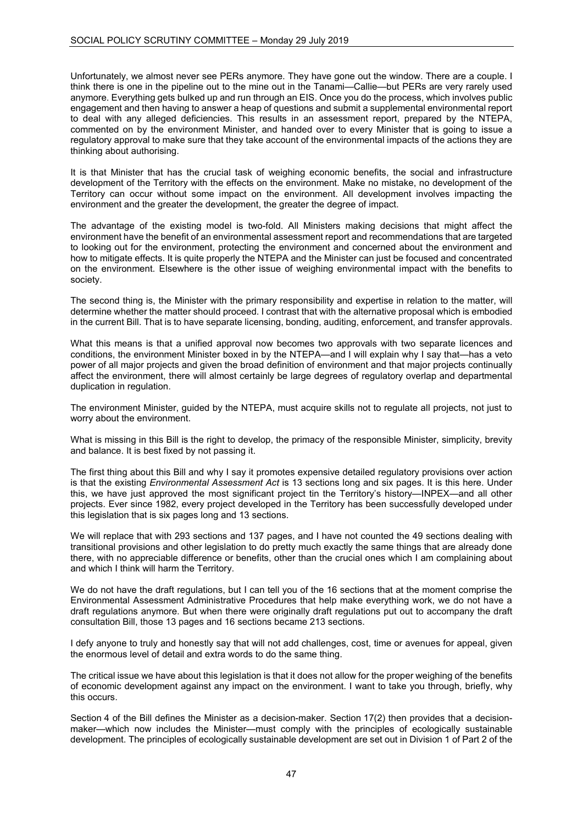Unfortunately, we almost never see PERs anymore. They have gone out the window. There are a couple. I think there is one in the pipeline out to the mine out in the Tanami—Callie—but PERs are very rarely used anymore. Everything gets bulked up and run through an EIS. Once you do the process, which involves public engagement and then having to answer a heap of questions and submit a supplemental environmental report to deal with any alleged deficiencies. This results in an assessment report, prepared by the NTEPA, commented on by the environment Minister, and handed over to every Minister that is going to issue a regulatory approval to make sure that they take account of the environmental impacts of the actions they are thinking about authorising.

It is that Minister that has the crucial task of weighing economic benefits, the social and infrastructure development of the Territory with the effects on the environment. Make no mistake, no development of the Territory can occur without some impact on the environment. All development involves impacting the environment and the greater the development, the greater the degree of impact.

The advantage of the existing model is two-fold. All Ministers making decisions that might affect the environment have the benefit of an environmental assessment report and recommendations that are targeted to looking out for the environment, protecting the environment and concerned about the environment and how to mitigate effects. It is quite properly the NTEPA and the Minister can just be focused and concentrated on the environment. Elsewhere is the other issue of weighing environmental impact with the benefits to society.

The second thing is, the Minister with the primary responsibility and expertise in relation to the matter, will determine whether the matter should proceed. I contrast that with the alternative proposal which is embodied in the current Bill. That is to have separate licensing, bonding, auditing, enforcement, and transfer approvals.

What this means is that a unified approval now becomes two approvals with two separate licences and conditions, the environment Minister boxed in by the NTEPA—and I will explain why I say that—has a veto power of all major projects and given the broad definition of environment and that major projects continually affect the environment, there will almost certainly be large degrees of regulatory overlap and departmental duplication in regulation.

The environment Minister, guided by the NTEPA, must acquire skills not to regulate all projects, not just to worry about the environment.

What is missing in this Bill is the right to develop, the primacy of the responsible Minister, simplicity, brevity and balance. It is best fixed by not passing it.

The first thing about this Bill and why I say it promotes expensive detailed regulatory provisions over action is that the existing *Environmental Assessment Act* is 13 sections long and six pages. It is this here. Under this, we have just approved the most significant project tin the Territory's history—INPEX—and all other projects. Ever since 1982, every project developed in the Territory has been successfully developed under this legislation that is six pages long and 13 sections.

We will replace that with 293 sections and 137 pages, and I have not counted the 49 sections dealing with transitional provisions and other legislation to do pretty much exactly the same things that are already done there, with no appreciable difference or benefits, other than the crucial ones which I am complaining about and which I think will harm the Territory.

We do not have the draft regulations, but I can tell you of the 16 sections that at the moment comprise the Environmental Assessment Administrative Procedures that help make everything work, we do not have a draft regulations anymore. But when there were originally draft regulations put out to accompany the draft consultation Bill, those 13 pages and 16 sections became 213 sections.

I defy anyone to truly and honestly say that will not add challenges, cost, time or avenues for appeal, given the enormous level of detail and extra words to do the same thing.

The critical issue we have about this legislation is that it does not allow for the proper weighing of the benefits of economic development against any impact on the environment. I want to take you through, briefly, why this occurs.

Section 4 of the Bill defines the Minister as a decision-maker. Section 17(2) then provides that a decisionmaker—which now includes the Minister—must comply with the principles of ecologically sustainable development. The principles of ecologically sustainable development are set out in Division 1 of Part 2 of the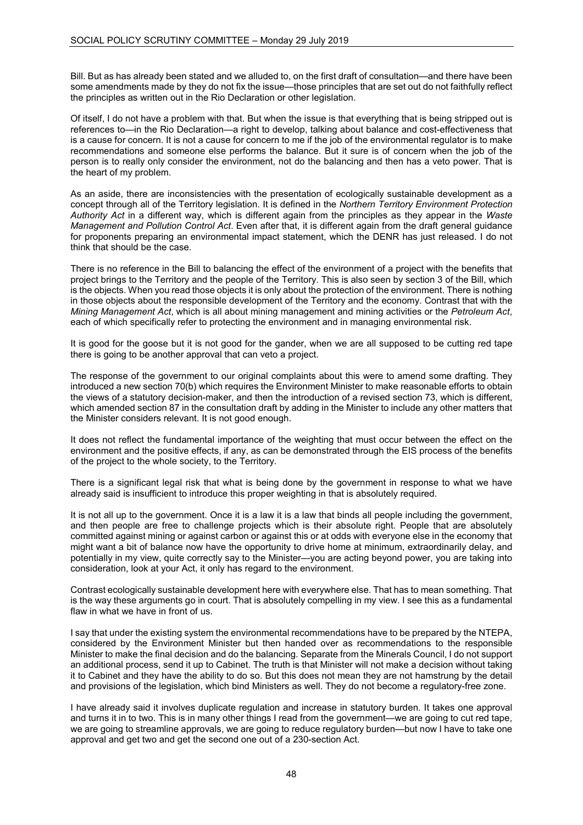Bill. But as has already been stated and we alluded to, on the first draft of consultation—and there have been some amendments made by they do not fix the issue—those principles that are set out do not faithfully reflect the principles as written out in the Rio Declaration or other legislation.

Of itself, I do not have a problem with that. But when the issue is that everything that is being stripped out is references to—in the Rio Declaration—a right to develop, talking about balance and cost-effectiveness that is a cause for concern. It is not a cause for concern to me if the job of the environmental regulator is to make recommendations and someone else performs the balance. But it sure is of concern when the job of the person is to really only consider the environment, not do the balancing and then has a veto power. That is the heart of my problem.

As an aside, there are inconsistencies with the presentation of ecologically sustainable development as a concept through all of the Territory legislation. It is defined in the *Northern Territory Environment Protection Authority Act* in a different way, which is different again from the principles as they appear in the *Waste Management and Pollution Control Act*. Even after that, it is different again from the draft general guidance for proponents preparing an environmental impact statement, which the DENR has just released. I do not think that should be the case.

There is no reference in the Bill to balancing the effect of the environment of a project with the benefits that project brings to the Territory and the people of the Territory. This is also seen by section 3 of the Bill, which is the objects. When you read those objects it is only about the protection of the environment. There is nothing in those objects about the responsible development of the Territory and the economy. Contrast that with the *Mining Management Act*, which is all about mining management and mining activities or the *Petroleum Act*, each of which specifically refer to protecting the environment and in managing environmental risk.

It is good for the goose but it is not good for the gander, when we are all supposed to be cutting red tape there is going to be another approval that can veto a project.

The response of the government to our original complaints about this were to amend some drafting. They introduced a new section 70(b) which requires the Environment Minister to make reasonable efforts to obtain the views of a statutory decision-maker, and then the introduction of a revised section 73, which is different, which amended section 87 in the consultation draft by adding in the Minister to include any other matters that the Minister considers relevant. It is not good enough.

It does not reflect the fundamental importance of the weighting that must occur between the effect on the environment and the positive effects, if any, as can be demonstrated through the EIS process of the benefits of the project to the whole society, to the Territory.

There is a significant legal risk that what is being done by the government in response to what we have already said is insufficient to introduce this proper weighting in that is absolutely required.

It is not all up to the government. Once it is a law it is a law that binds all people including the government, and then people are free to challenge projects which is their absolute right. People that are absolutely committed against mining or against carbon or against this or at odds with everyone else in the economy that might want a bit of balance now have the opportunity to drive home at minimum, extraordinarily delay, and potentially in my view, quite correctly say to the Minister—you are acting beyond power, you are taking into consideration, look at your Act, it only has regard to the environment.

Contrast ecologically sustainable development here with everywhere else. That has to mean something. That is the way these arguments go in court. That is absolutely compelling in my view. I see this as a fundamental flaw in what we have in front of us.

I say that under the existing system the environmental recommendations have to be prepared by the NTEPA, considered by the Environment Minister but then handed over as recommendations to the responsible Minister to make the final decision and do the balancing. Separate from the Minerals Council, I do not support an additional process, send it up to Cabinet. The truth is that Minister will not make a decision without taking it to Cabinet and they have the ability to do so. But this does not mean they are not hamstrung by the detail and provisions of the legislation, which bind Ministers as well. They do not become a regulatory-free zone.

I have already said it involves duplicate regulation and increase in statutory burden. It takes one approval and turns it in to two. This is in many other things I read from the government—we are going to cut red tape, we are going to streamline approvals, we are going to reduce regulatory burden—but now I have to take one approval and get two and get the second one out of a 230-section Act.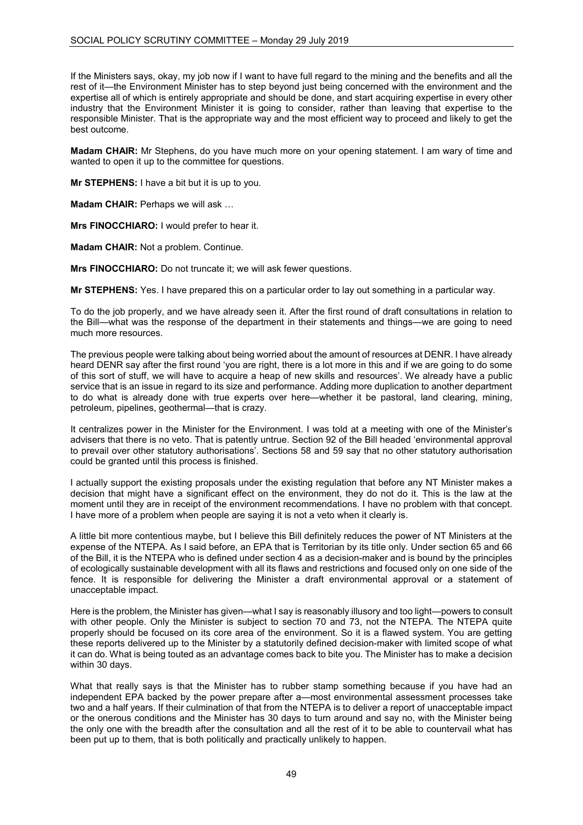If the Ministers says, okay, my job now if I want to have full regard to the mining and the benefits and all the rest of it—the Environment Minister has to step beyond just being concerned with the environment and the expertise all of which is entirely appropriate and should be done, and start acquiring expertise in every other industry that the Environment Minister it is going to consider, rather than leaving that expertise to the responsible Minister. That is the appropriate way and the most efficient way to proceed and likely to get the best outcome.

**Madam CHAIR:** Mr Stephens, do you have much more on your opening statement. I am wary of time and wanted to open it up to the committee for questions.

**Mr STEPHENS:** I have a bit but it is up to you.

**Madam CHAIR: Perhaps we will ask ...** 

**Mrs FINOCCHIARO:** I would prefer to hear it.

**Madam CHAIR:** Not a problem. Continue.

**Mrs FINOCCHIARO:** Do not truncate it; we will ask fewer questions.

**Mr STEPHENS:** Yes. I have prepared this on a particular order to lay out something in a particular way.

To do the job properly, and we have already seen it. After the first round of draft consultations in relation to the Bill—what was the response of the department in their statements and things—we are going to need much more resources.

The previous people were talking about being worried about the amount of resources at DENR. I have already heard DENR say after the first round 'you are right, there is a lot more in this and if we are going to do some of this sort of stuff, we will have to acquire a heap of new skills and resources'. We already have a public service that is an issue in regard to its size and performance. Adding more duplication to another department to do what is already done with true experts over here—whether it be pastoral, land clearing, mining, petroleum, pipelines, geothermal—that is crazy.

It centralizes power in the Minister for the Environment. I was told at a meeting with one of the Minister's advisers that there is no veto. That is patently untrue. Section 92 of the Bill headed 'environmental approval to prevail over other statutory authorisations'. Sections 58 and 59 say that no other statutory authorisation could be granted until this process is finished.

I actually support the existing proposals under the existing regulation that before any NT Minister makes a decision that might have a significant effect on the environment, they do not do it. This is the law at the moment until they are in receipt of the environment recommendations. I have no problem with that concept. I have more of a problem when people are saying it is not a veto when it clearly is.

A little bit more contentious maybe, but I believe this Bill definitely reduces the power of NT Ministers at the expense of the NTEPA. As I said before, an EPA that is Territorian by its title only. Under section 65 and 66 of the Bill, it is the NTEPA who is defined under section 4 as a decision-maker and is bound by the principles of ecologically sustainable development with all its flaws and restrictions and focused only on one side of the fence. It is responsible for delivering the Minister a draft environmental approval or a statement of unacceptable impact.

Here is the problem, the Minister has given—what I say is reasonably illusory and too light—powers to consult with other people. Only the Minister is subject to section 70 and 73, not the NTEPA. The NTEPA quite properly should be focused on its core area of the environment. So it is a flawed system. You are getting these reports delivered up to the Minister by a statutorily defined decision-maker with limited scope of what it can do. What is being touted as an advantage comes back to bite you. The Minister has to make a decision within 30 days.

What that really says is that the Minister has to rubber stamp something because if you have had an independent EPA backed by the power prepare after a—most environmental assessment processes take two and a half years. If their culmination of that from the NTEPA is to deliver a report of unacceptable impact or the onerous conditions and the Minister has 30 days to turn around and say no, with the Minister being the only one with the breadth after the consultation and all the rest of it to be able to countervail what has been put up to them, that is both politically and practically unlikely to happen.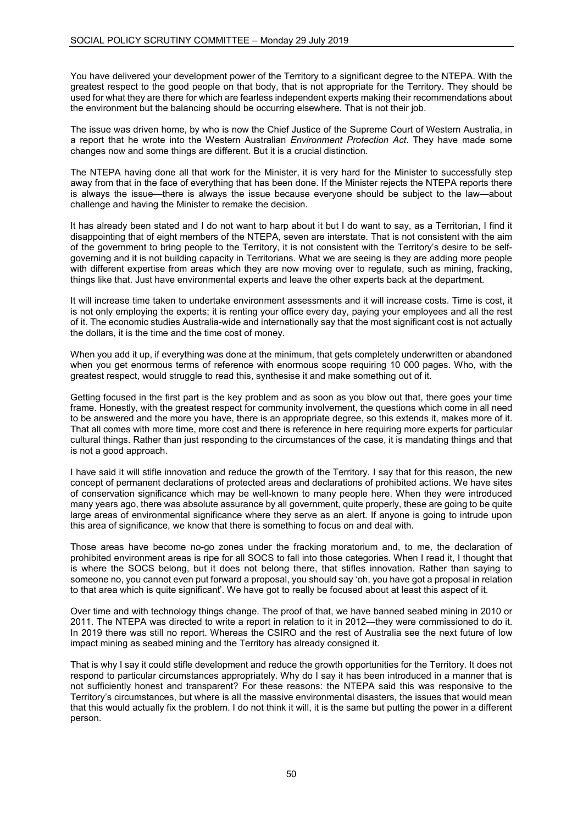You have delivered your development power of the Territory to a significant degree to the NTEPA. With the greatest respect to the good people on that body, that is not appropriate for the Territory. They should be used for what they are there for which are fearless independent experts making their recommendations about the environment but the balancing should be occurring elsewhere. That is not their job.

The issue was driven home, by who is now the Chief Justice of the Supreme Court of Western Australia, in a report that he wrote into the Western Australian *Environment Protection Act.* They have made some changes now and some things are different. But it is a crucial distinction.

The NTEPA having done all that work for the Minister, it is very hard for the Minister to successfully step away from that in the face of everything that has been done. If the Minister rejects the NTEPA reports there is always the issue—there is always the issue because everyone should be subject to the law—about challenge and having the Minister to remake the decision.

It has already been stated and I do not want to harp about it but I do want to say, as a Territorian, I find it disappointing that of eight members of the NTEPA, seven are interstate. That is not consistent with the aim of the government to bring people to the Territory, it is not consistent with the Territory's desire to be selfgoverning and it is not building capacity in Territorians. What we are seeing is they are adding more people with different expertise from areas which they are now moving over to regulate, such as mining, fracking, things like that. Just have environmental experts and leave the other experts back at the department.

It will increase time taken to undertake environment assessments and it will increase costs. Time is cost, it is not only employing the experts; it is renting your office every day, paying your employees and all the rest of it. The economic studies Australia-wide and internationally say that the most significant cost is not actually the dollars, it is the time and the time cost of money.

When you add it up, if everything was done at the minimum, that gets completely underwritten or abandoned when you get enormous terms of reference with enormous scope requiring 10 000 pages. Who, with the greatest respect, would struggle to read this, synthesise it and make something out of it.

Getting focused in the first part is the key problem and as soon as you blow out that, there goes your time frame. Honestly, with the greatest respect for community involvement, the questions which come in all need to be answered and the more you have, there is an appropriate degree, so this extends it, makes more of it. That all comes with more time, more cost and there is reference in here requiring more experts for particular cultural things. Rather than just responding to the circumstances of the case, it is mandating things and that is not a good approach.

I have said it will stifle innovation and reduce the growth of the Territory. I say that for this reason, the new concept of permanent declarations of protected areas and declarations of prohibited actions. We have sites of conservation significance which may be well-known to many people here. When they were introduced many years ago, there was absolute assurance by all government, quite properly, these are going to be quite large areas of environmental significance where they serve as an alert. If anyone is going to intrude upon this area of significance, we know that there is something to focus on and deal with.

Those areas have become no-go zones under the fracking moratorium and, to me, the declaration of prohibited environment areas is ripe for all SOCS to fall into those categories. When I read it, I thought that is where the SOCS belong, but it does not belong there, that stifles innovation. Rather than saying to someone no, you cannot even put forward a proposal, you should say 'oh, you have got a proposal in relation to that area which is quite significant'. We have got to really be focused about at least this aspect of it.

Over time and with technology things change. The proof of that, we have banned seabed mining in 2010 or 2011. The NTEPA was directed to write a report in relation to it in 2012—they were commissioned to do it. In 2019 there was still no report. Whereas the CSIRO and the rest of Australia see the next future of low impact mining as seabed mining and the Territory has already consigned it.

That is why I say it could stifle development and reduce the growth opportunities for the Territory. It does not respond to particular circumstances appropriately. Why do I say it has been introduced in a manner that is not sufficiently honest and transparent? For these reasons: the NTEPA said this was responsive to the Territory's circumstances, but where is all the massive environmental disasters, the issues that would mean that this would actually fix the problem. I do not think it will, it is the same but putting the power in a different person.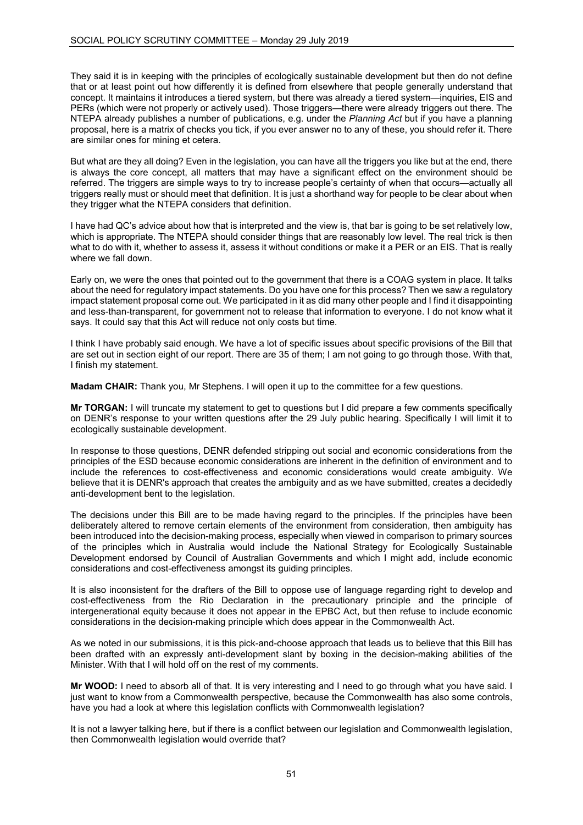They said it is in keeping with the principles of ecologically sustainable development but then do not define that or at least point out how differently it is defined from elsewhere that people generally understand that concept. It maintains it introduces a tiered system, but there was already a tiered system—inquiries, EIS and PERs (which were not properly or actively used). Those triggers—there were already triggers out there. The NTEPA already publishes a number of publications, e.g. under the *Planning Act* but if you have a planning proposal, here is a matrix of checks you tick, if you ever answer no to any of these, you should refer it. There are similar ones for mining et cetera.

But what are they all doing? Even in the legislation, you can have all the triggers you like but at the end, there is always the core concept, all matters that may have a significant effect on the environment should be referred. The triggers are simple ways to try to increase people's certainty of when that occurs—actually all triggers really must or should meet that definition. It is just a shorthand way for people to be clear about when they trigger what the NTEPA considers that definition.

I have had QC's advice about how that is interpreted and the view is, that bar is going to be set relatively low, which is appropriate. The NTEPA should consider things that are reasonably low level. The real trick is then what to do with it, whether to assess it, assess it without conditions or make it a PER or an EIS. That is really where we fall down.

Early on, we were the ones that pointed out to the government that there is a COAG system in place. It talks about the need for regulatory impact statements. Do you have one for this process? Then we saw a regulatory impact statement proposal come out. We participated in it as did many other people and I find it disappointing and less-than-transparent, for government not to release that information to everyone. I do not know what it says. It could say that this Act will reduce not only costs but time.

I think I have probably said enough. We have a lot of specific issues about specific provisions of the Bill that are set out in section eight of our report. There are 35 of them; I am not going to go through those. With that, I finish my statement.

**Madam CHAIR:** Thank you, Mr Stephens. I will open it up to the committee for a few questions.

**Mr TORGAN:** I will truncate my statement to get to questions but I did prepare a few comments specifically on DENR's response to your written questions after the 29 July public hearing. Specifically I will limit it to ecologically sustainable development.

In response to those questions, DENR defended stripping out social and economic considerations from the principles of the ESD because economic considerations are inherent in the definition of environment and to include the references to cost-effectiveness and economic considerations would create ambiguity. We believe that it is DENR's approach that creates the ambiguity and as we have submitted, creates a decidedly anti-development bent to the legislation.

The decisions under this Bill are to be made having regard to the principles. If the principles have been deliberately altered to remove certain elements of the environment from consideration, then ambiguity has been introduced into the decision-making process, especially when viewed in comparison to primary sources of the principles which in Australia would include the National Strategy for Ecologically Sustainable Development endorsed by Council of Australian Governments and which I might add, include economic considerations and cost-effectiveness amongst its guiding principles.

It is also inconsistent for the drafters of the Bill to oppose use of language regarding right to develop and cost-effectiveness from the Rio Declaration in the precautionary principle and the principle of intergenerational equity because it does not appear in the EPBC Act, but then refuse to include economic considerations in the decision-making principle which does appear in the Commonwealth Act.

As we noted in our submissions, it is this pick-and-choose approach that leads us to believe that this Bill has been drafted with an expressly anti-development slant by boxing in the decision-making abilities of the Minister. With that I will hold off on the rest of my comments.

**Mr WOOD:** I need to absorb all of that. It is very interesting and I need to go through what you have said. I just want to know from a Commonwealth perspective, because the Commonwealth has also some controls, have you had a look at where this legislation conflicts with Commonwealth legislation?

It is not a lawyer talking here, but if there is a conflict between our legislation and Commonwealth legislation, then Commonwealth legislation would override that?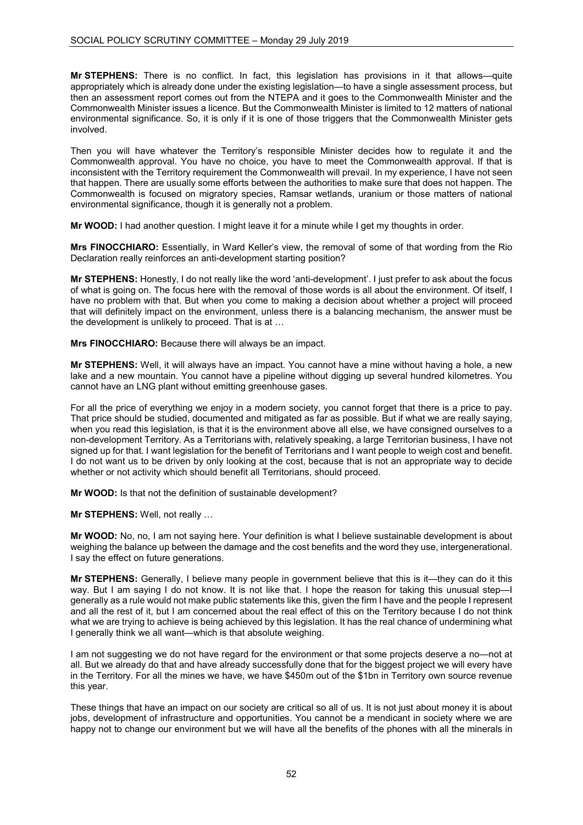**Mr STEPHENS:** There is no conflict. In fact, this legislation has provisions in it that allows—quite appropriately which is already done under the existing legislation—to have a single assessment process, but then an assessment report comes out from the NTEPA and it goes to the Commonwealth Minister and the Commonwealth Minister issues a licence. But the Commonwealth Minister is limited to 12 matters of national environmental significance. So, it is only if it is one of those triggers that the Commonwealth Minister gets involved.

Then you will have whatever the Territory's responsible Minister decides how to regulate it and the Commonwealth approval. You have no choice, you have to meet the Commonwealth approval. If that is inconsistent with the Territory requirement the Commonwealth will prevail. In my experience, I have not seen that happen. There are usually some efforts between the authorities to make sure that does not happen. The Commonwealth is focused on migratory species, Ramsar wetlands, uranium or those matters of national environmental significance, though it is generally not a problem.

**Mr WOOD:** I had another question. I might leave it for a minute while I get my thoughts in order.

**Mrs FINOCCHIARO:** Essentially, in Ward Keller's view, the removal of some of that wording from the Rio Declaration really reinforces an anti-development starting position?

**Mr STEPHENS:** Honestly, I do not really like the word 'anti-development'. I just prefer to ask about the focus of what is going on. The focus here with the removal of those words is all about the environment. Of itself, I have no problem with that. But when you come to making a decision about whether a project will proceed that will definitely impact on the environment, unless there is a balancing mechanism, the answer must be the development is unlikely to proceed. That is at …

**Mrs FINOCCHIARO:** Because there will always be an impact.

**Mr STEPHENS:** Well, it will always have an impact. You cannot have a mine without having a hole, a new lake and a new mountain. You cannot have a pipeline without digging up several hundred kilometres. You cannot have an LNG plant without emitting greenhouse gases.

For all the price of everything we enjoy in a modern society, you cannot forget that there is a price to pay. That price should be studied, documented and mitigated as far as possible. But if what we are really saying, when you read this legislation, is that it is the environment above all else, we have consigned ourselves to a non-development Territory. As a Territorians with, relatively speaking, a large Territorian business, I have not signed up for that. I want legislation for the benefit of Territorians and I want people to weigh cost and benefit. I do not want us to be driven by only looking at the cost, because that is not an appropriate way to decide whether or not activity which should benefit all Territorians, should proceed.

**Mr WOOD:** Is that not the definition of sustainable development?

**Mr STEPHENS:** Well, not really …

**Mr WOOD:** No, no, I am not saying here. Your definition is what I believe sustainable development is about weighing the balance up between the damage and the cost benefits and the word they use, intergenerational. I say the effect on future generations.

**Mr STEPHENS:** Generally, I believe many people in government believe that this is it—they can do it this way. But I am saying I do not know. It is not like that. I hope the reason for taking this unusual step—I generally as a rule would not make public statements like this, given the firm I have and the people I represent and all the rest of it, but I am concerned about the real effect of this on the Territory because I do not think what we are trying to achieve is being achieved by this legislation. It has the real chance of undermining what I generally think we all want—which is that absolute weighing.

I am not suggesting we do not have regard for the environment or that some projects deserve a no—not at all. But we already do that and have already successfully done that for the biggest project we will every have in the Territory. For all the mines we have, we have \$450m out of the \$1bn in Territory own source revenue this year.

These things that have an impact on our society are critical so all of us. It is not just about money it is about jobs, development of infrastructure and opportunities. You cannot be a mendicant in society where we are happy not to change our environment but we will have all the benefits of the phones with all the minerals in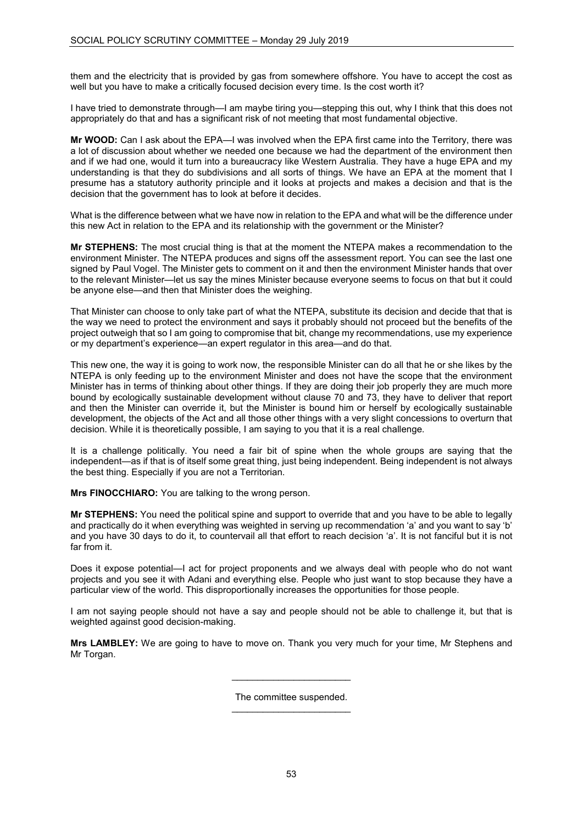them and the electricity that is provided by gas from somewhere offshore. You have to accept the cost as well but you have to make a critically focused decision every time. Is the cost worth it?

I have tried to demonstrate through—I am maybe tiring you—stepping this out, why I think that this does not appropriately do that and has a significant risk of not meeting that most fundamental objective.

**Mr WOOD:** Can I ask about the EPA—I was involved when the EPA first came into the Territory, there was a lot of discussion about whether we needed one because we had the department of the environment then and if we had one, would it turn into a bureaucracy like Western Australia. They have a huge EPA and my understanding is that they do subdivisions and all sorts of things. We have an EPA at the moment that I presume has a statutory authority principle and it looks at projects and makes a decision and that is the decision that the government has to look at before it decides.

What is the difference between what we have now in relation to the EPA and what will be the difference under this new Act in relation to the EPA and its relationship with the government or the Minister?

**Mr STEPHENS:** The most crucial thing is that at the moment the NTEPA makes a recommendation to the environment Minister. The NTEPA produces and signs off the assessment report. You can see the last one signed by Paul Vogel. The Minister gets to comment on it and then the environment Minister hands that over to the relevant Minister—let us say the mines Minister because everyone seems to focus on that but it could be anyone else—and then that Minister does the weighing.

That Minister can choose to only take part of what the NTEPA, substitute its decision and decide that that is the way we need to protect the environment and says it probably should not proceed but the benefits of the project outweigh that so I am going to compromise that bit, change my recommendations, use my experience or my department's experience—an expert regulator in this area—and do that.

This new one, the way it is going to work now, the responsible Minister can do all that he or she likes by the NTEPA is only feeding up to the environment Minister and does not have the scope that the environment Minister has in terms of thinking about other things. If they are doing their job properly they are much more bound by ecologically sustainable development without clause 70 and 73, they have to deliver that report and then the Minister can override it, but the Minister is bound him or herself by ecologically sustainable development, the objects of the Act and all those other things with a very slight concessions to overturn that decision. While it is theoretically possible, I am saying to you that it is a real challenge.

It is a challenge politically. You need a fair bit of spine when the whole groups are saying that the independent—as if that is of itself some great thing, just being independent. Being independent is not always the best thing. Especially if you are not a Territorian.

**Mrs FINOCCHIARO:** You are talking to the wrong person.

**Mr STEPHENS:** You need the political spine and support to override that and you have to be able to legally and practically do it when everything was weighted in serving up recommendation 'a' and you want to say 'b' and you have 30 days to do it, to countervail all that effort to reach decision 'a'. It is not fanciful but it is not far from it.

Does it expose potential—I act for project proponents and we always deal with people who do not want projects and you see it with Adani and everything else. People who just want to stop because they have a particular view of the world. This disproportionally increases the opportunities for those people.

I am not saying people should not have a say and people should not be able to challenge it, but that is weighted against good decision-making.

**Mrs LAMBLEY:** We are going to have to move on. Thank you very much for your time, Mr Stephens and Mr Torgan.

> The committee suspended. \_\_\_\_\_\_\_\_\_\_\_\_\_\_\_\_\_\_\_\_\_\_\_

> $\overline{\phantom{a}}$  , and the set of the set of the set of the set of the set of the set of the set of the set of the set of the set of the set of the set of the set of the set of the set of the set of the set of the set of the s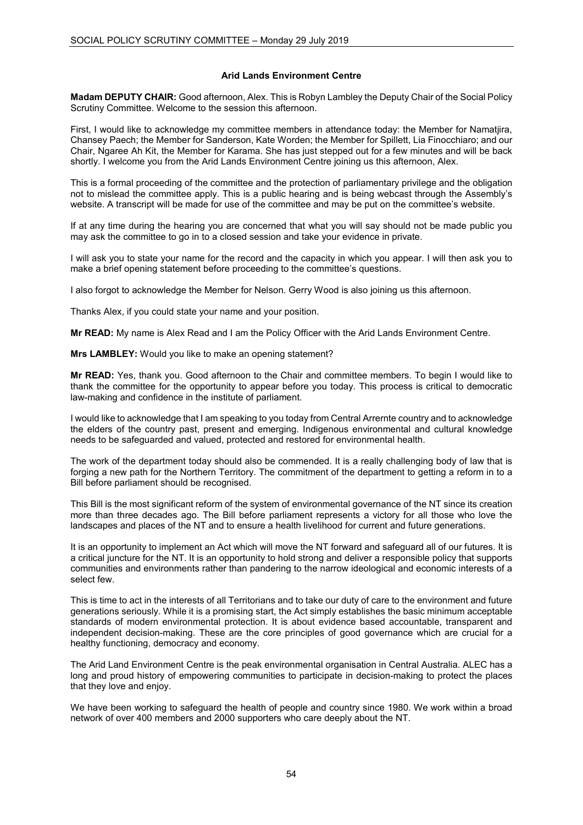# **Arid Lands Environment Centre**

**Madam DEPUTY CHAIR:** Good afternoon, Alex. This is Robyn Lambley the Deputy Chair of the Social Policy Scrutiny Committee. Welcome to the session this afternoon.

First, I would like to acknowledge my committee members in attendance today: the Member for Namatjira, Chansey Paech; the Member for Sanderson, Kate Worden; the Member for Spillett, Lia Finocchiaro; and our Chair, Ngaree Ah Kit, the Member for Karama. She has just stepped out for a few minutes and will be back shortly. I welcome you from the Arid Lands Environment Centre joining us this afternoon, Alex.

This is a formal proceeding of the committee and the protection of parliamentary privilege and the obligation not to mislead the committee apply. This is a public hearing and is being webcast through the Assembly's website. A transcript will be made for use of the committee and may be put on the committee's website.

If at any time during the hearing you are concerned that what you will say should not be made public you may ask the committee to go in to a closed session and take your evidence in private.

I will ask you to state your name for the record and the capacity in which you appear. I will then ask you to make a brief opening statement before proceeding to the committee's questions.

I also forgot to acknowledge the Member for Nelson. Gerry Wood is also joining us this afternoon.

Thanks Alex, if you could state your name and your position.

**Mr READ:** My name is Alex Read and I am the Policy Officer with the Arid Lands Environment Centre.

**Mrs LAMBLEY:** Would you like to make an opening statement?

**Mr READ:** Yes, thank you. Good afternoon to the Chair and committee members. To begin I would like to thank the committee for the opportunity to appear before you today. This process is critical to democratic law-making and confidence in the institute of parliament.

I would like to acknowledge that I am speaking to you today from Central Arrernte country and to acknowledge the elders of the country past, present and emerging. Indigenous environmental and cultural knowledge needs to be safeguarded and valued, protected and restored for environmental health.

The work of the department today should also be commended. It is a really challenging body of law that is forging a new path for the Northern Territory. The commitment of the department to getting a reform in to a Bill before parliament should be recognised.

This Bill is the most significant reform of the system of environmental governance of the NT since its creation more than three decades ago. The Bill before parliament represents a victory for all those who love the landscapes and places of the NT and to ensure a health livelihood for current and future generations.

It is an opportunity to implement an Act which will move the NT forward and safeguard all of our futures. It is a critical juncture for the NT. It is an opportunity to hold strong and deliver a responsible policy that supports communities and environments rather than pandering to the narrow ideological and economic interests of a select few.

This is time to act in the interests of all Territorians and to take our duty of care to the environment and future generations seriously. While it is a promising start, the Act simply establishes the basic minimum acceptable standards of modern environmental protection. It is about evidence based accountable, transparent and independent decision-making. These are the core principles of good governance which are crucial for a healthy functioning, democracy and economy.

The Arid Land Environment Centre is the peak environmental organisation in Central Australia. ALEC has a long and proud history of empowering communities to participate in decision-making to protect the places that they love and enjoy.

We have been working to safeguard the health of people and country since 1980. We work within a broad network of over 400 members and 2000 supporters who care deeply about the NT.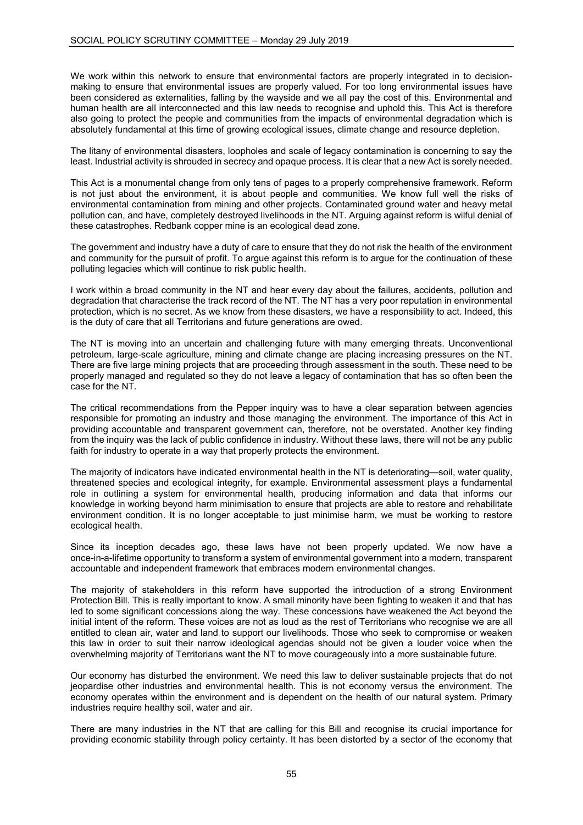We work within this network to ensure that environmental factors are properly integrated in to decisionmaking to ensure that environmental issues are properly valued. For too long environmental issues have been considered as externalities, falling by the wayside and we all pay the cost of this. Environmental and human health are all interconnected and this law needs to recognise and uphold this. This Act is therefore also going to protect the people and communities from the impacts of environmental degradation which is absolutely fundamental at this time of growing ecological issues, climate change and resource depletion.

The litany of environmental disasters, loopholes and scale of legacy contamination is concerning to say the least. Industrial activity is shrouded in secrecy and opaque process. It is clear that a new Act is sorely needed.

This Act is a monumental change from only tens of pages to a properly comprehensive framework. Reform is not just about the environment, it is about people and communities. We know full well the risks of environmental contamination from mining and other projects. Contaminated ground water and heavy metal pollution can, and have, completely destroyed livelihoods in the NT. Arguing against reform is wilful denial of these catastrophes. Redbank copper mine is an ecological dead zone.

The government and industry have a duty of care to ensure that they do not risk the health of the environment and community for the pursuit of profit. To argue against this reform is to argue for the continuation of these polluting legacies which will continue to risk public health.

I work within a broad community in the NT and hear every day about the failures, accidents, pollution and degradation that characterise the track record of the NT. The NT has a very poor reputation in environmental protection, which is no secret. As we know from these disasters, we have a responsibility to act. Indeed, this is the duty of care that all Territorians and future generations are owed.

The NT is moving into an uncertain and challenging future with many emerging threats. Unconventional petroleum, large-scale agriculture, mining and climate change are placing increasing pressures on the NT. There are five large mining projects that are proceeding through assessment in the south. These need to be properly managed and regulated so they do not leave a legacy of contamination that has so often been the case for the NT.

The critical recommendations from the Pepper inquiry was to have a clear separation between agencies responsible for promoting an industry and those managing the environment. The importance of this Act in providing accountable and transparent government can, therefore, not be overstated. Another key finding from the inquiry was the lack of public confidence in industry. Without these laws, there will not be any public faith for industry to operate in a way that properly protects the environment.

The majority of indicators have indicated environmental health in the NT is deteriorating—soil, water quality, threatened species and ecological integrity, for example. Environmental assessment plays a fundamental role in outlining a system for environmental health, producing information and data that informs our knowledge in working beyond harm minimisation to ensure that projects are able to restore and rehabilitate environment condition. It is no longer acceptable to just minimise harm, we must be working to restore ecological health.

Since its inception decades ago, these laws have not been properly updated. We now have a once-in-a-lifetime opportunity to transform a system of environmental government into a modern, transparent accountable and independent framework that embraces modern environmental changes.

The majority of stakeholders in this reform have supported the introduction of a strong Environment Protection Bill. This is really important to know. A small minority have been fighting to weaken it and that has led to some significant concessions along the way. These concessions have weakened the Act beyond the initial intent of the reform. These voices are not as loud as the rest of Territorians who recognise we are all entitled to clean air, water and land to support our livelihoods. Those who seek to compromise or weaken this law in order to suit their narrow ideological agendas should not be given a louder voice when the overwhelming majority of Territorians want the NT to move courageously into a more sustainable future.

Our economy has disturbed the environment. We need this law to deliver sustainable projects that do not jeopardise other industries and environmental health. This is not economy versus the environment. The economy operates within the environment and is dependent on the health of our natural system. Primary industries require healthy soil, water and air.

There are many industries in the NT that are calling for this Bill and recognise its crucial importance for providing economic stability through policy certainty. It has been distorted by a sector of the economy that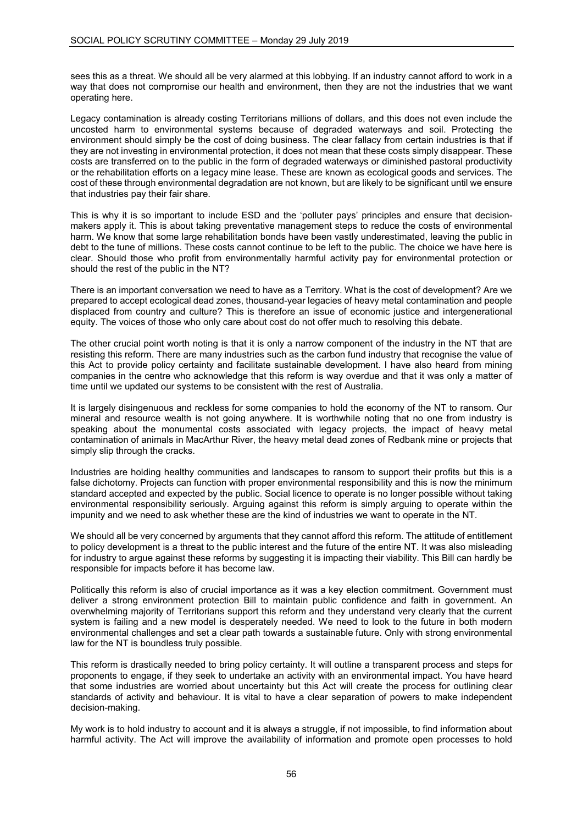sees this as a threat. We should all be very alarmed at this lobbying. If an industry cannot afford to work in a way that does not compromise our health and environment, then they are not the industries that we want operating here.

Legacy contamination is already costing Territorians millions of dollars, and this does not even include the uncosted harm to environmental systems because of degraded waterways and soil. Protecting the environment should simply be the cost of doing business. The clear fallacy from certain industries is that if they are not investing in environmental protection, it does not mean that these costs simply disappear. These costs are transferred on to the public in the form of degraded waterways or diminished pastoral productivity or the rehabilitation efforts on a legacy mine lease. These are known as ecological goods and services. The cost of these through environmental degradation are not known, but are likely to be significant until we ensure that industries pay their fair share.

This is why it is so important to include ESD and the 'polluter pays' principles and ensure that decisionmakers apply it. This is about taking preventative management steps to reduce the costs of environmental harm. We know that some large rehabilitation bonds have been vastly underestimated, leaving the public in debt to the tune of millions. These costs cannot continue to be left to the public. The choice we have here is clear. Should those who profit from environmentally harmful activity pay for environmental protection or should the rest of the public in the NT?

There is an important conversation we need to have as a Territory. What is the cost of development? Are we prepared to accept ecological dead zones, thousand-year legacies of heavy metal contamination and people displaced from country and culture? This is therefore an issue of economic justice and intergenerational equity. The voices of those who only care about cost do not offer much to resolving this debate.

The other crucial point worth noting is that it is only a narrow component of the industry in the NT that are resisting this reform. There are many industries such as the carbon fund industry that recognise the value of this Act to provide policy certainty and facilitate sustainable development. I have also heard from mining companies in the centre who acknowledge that this reform is way overdue and that it was only a matter of time until we updated our systems to be consistent with the rest of Australia.

It is largely disingenuous and reckless for some companies to hold the economy of the NT to ransom. Our mineral and resource wealth is not going anywhere. It is worthwhile noting that no one from industry is speaking about the monumental costs associated with legacy projects, the impact of heavy metal contamination of animals in MacArthur River, the heavy metal dead zones of Redbank mine or projects that simply slip through the cracks.

Industries are holding healthy communities and landscapes to ransom to support their profits but this is a false dichotomy. Projects can function with proper environmental responsibility and this is now the minimum standard accepted and expected by the public. Social licence to operate is no longer possible without taking environmental responsibility seriously. Arguing against this reform is simply arguing to operate within the impunity and we need to ask whether these are the kind of industries we want to operate in the NT.

We should all be very concerned by arguments that they cannot afford this reform. The attitude of entitlement to policy development is a threat to the public interest and the future of the entire NT. It was also misleading for industry to argue against these reforms by suggesting it is impacting their viability. This Bill can hardly be responsible for impacts before it has become law.

Politically this reform is also of crucial importance as it was a key election commitment. Government must deliver a strong environment protection Bill to maintain public confidence and faith in government. An overwhelming majority of Territorians support this reform and they understand very clearly that the current system is failing and a new model is desperately needed. We need to look to the future in both modern environmental challenges and set a clear path towards a sustainable future. Only with strong environmental law for the NT is boundless truly possible.

This reform is drastically needed to bring policy certainty. It will outline a transparent process and steps for proponents to engage, if they seek to undertake an activity with an environmental impact. You have heard that some industries are worried about uncertainty but this Act will create the process for outlining clear standards of activity and behaviour. It is vital to have a clear separation of powers to make independent decision-making.

My work is to hold industry to account and it is always a struggle, if not impossible, to find information about harmful activity. The Act will improve the availability of information and promote open processes to hold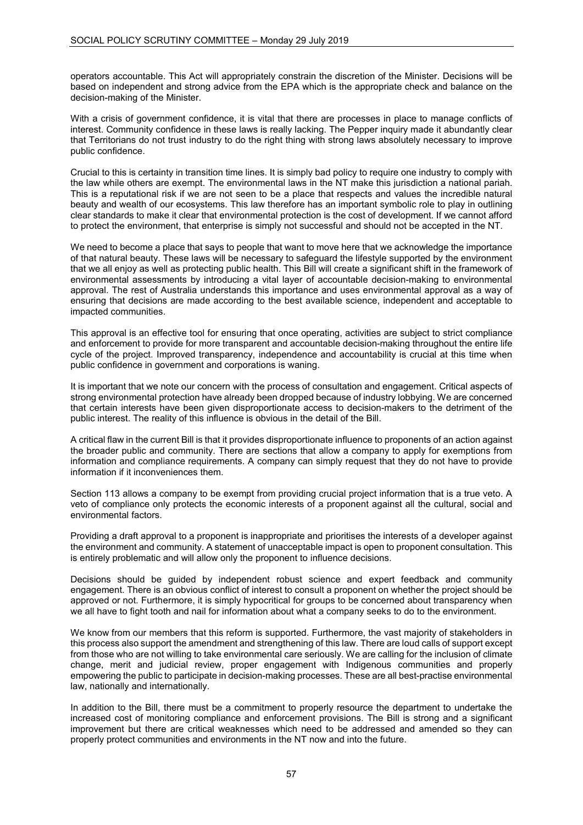operators accountable. This Act will appropriately constrain the discretion of the Minister. Decisions will be based on independent and strong advice from the EPA which is the appropriate check and balance on the decision-making of the Minister.

With a crisis of government confidence, it is vital that there are processes in place to manage conflicts of interest. Community confidence in these laws is really lacking. The Pepper inquiry made it abundantly clear that Territorians do not trust industry to do the right thing with strong laws absolutely necessary to improve public confidence.

Crucial to this is certainty in transition time lines. It is simply bad policy to require one industry to comply with the law while others are exempt. The environmental laws in the NT make this jurisdiction a national pariah. This is a reputational risk if we are not seen to be a place that respects and values the incredible natural beauty and wealth of our ecosystems. This law therefore has an important symbolic role to play in outlining clear standards to make it clear that environmental protection is the cost of development. If we cannot afford to protect the environment, that enterprise is simply not successful and should not be accepted in the NT.

We need to become a place that says to people that want to move here that we acknowledge the importance of that natural beauty. These laws will be necessary to safeguard the lifestyle supported by the environment that we all enjoy as well as protecting public health. This Bill will create a significant shift in the framework of environmental assessments by introducing a vital layer of accountable decision-making to environmental approval. The rest of Australia understands this importance and uses environmental approval as a way of ensuring that decisions are made according to the best available science, independent and acceptable to impacted communities.

This approval is an effective tool for ensuring that once operating, activities are subject to strict compliance and enforcement to provide for more transparent and accountable decision-making throughout the entire life cycle of the project. Improved transparency, independence and accountability is crucial at this time when public confidence in government and corporations is waning.

It is important that we note our concern with the process of consultation and engagement. Critical aspects of strong environmental protection have already been dropped because of industry lobbying. We are concerned that certain interests have been given disproportionate access to decision-makers to the detriment of the public interest. The reality of this influence is obvious in the detail of the Bill.

A critical flaw in the current Bill is that it provides disproportionate influence to proponents of an action against the broader public and community. There are sections that allow a company to apply for exemptions from information and compliance requirements. A company can simply request that they do not have to provide information if it inconveniences them.

Section 113 allows a company to be exempt from providing crucial project information that is a true veto. A veto of compliance only protects the economic interests of a proponent against all the cultural, social and environmental factors.

Providing a draft approval to a proponent is inappropriate and prioritises the interests of a developer against the environment and community. A statement of unacceptable impact is open to proponent consultation. This is entirely problematic and will allow only the proponent to influence decisions.

Decisions should be guided by independent robust science and expert feedback and community engagement. There is an obvious conflict of interest to consult a proponent on whether the project should be approved or not. Furthermore, it is simply hypocritical for groups to be concerned about transparency when we all have to fight tooth and nail for information about what a company seeks to do to the environment.

We know from our members that this reform is supported. Furthermore, the vast majority of stakeholders in this process also support the amendment and strengthening of this law. There are loud calls of support except from those who are not willing to take environmental care seriously. We are calling for the inclusion of climate change, merit and judicial review, proper engagement with Indigenous communities and properly empowering the public to participate in decision-making processes. These are all best-practise environmental law, nationally and internationally.

In addition to the Bill, there must be a commitment to properly resource the department to undertake the increased cost of monitoring compliance and enforcement provisions. The Bill is strong and a significant improvement but there are critical weaknesses which need to be addressed and amended so they can properly protect communities and environments in the NT now and into the future.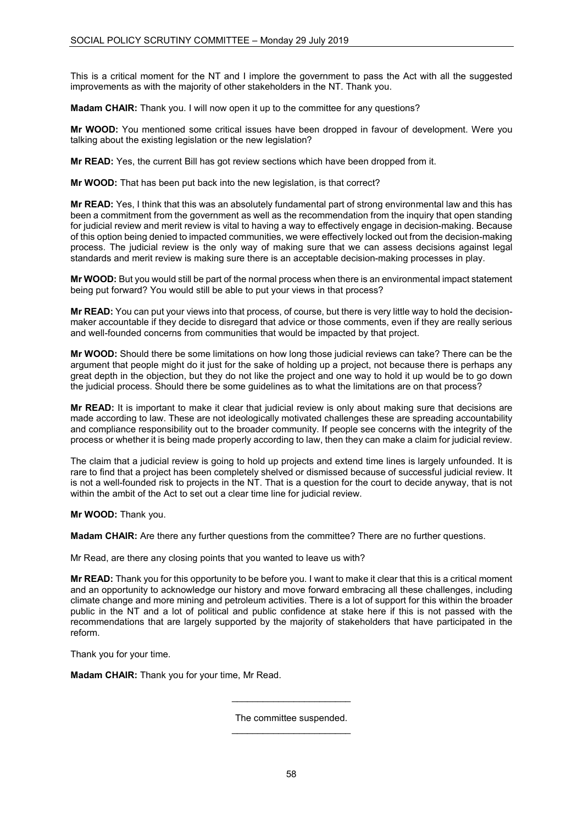This is a critical moment for the NT and I implore the government to pass the Act with all the suggested improvements as with the majority of other stakeholders in the NT. Thank you.

**Madam CHAIR:** Thank you. I will now open it up to the committee for any questions?

**Mr WOOD:** You mentioned some critical issues have been dropped in favour of development. Were you talking about the existing legislation or the new legislation?

**Mr READ:** Yes, the current Bill has got review sections which have been dropped from it.

**Mr WOOD:** That has been put back into the new legislation, is that correct?

**Mr READ:** Yes, I think that this was an absolutely fundamental part of strong environmental law and this has been a commitment from the government as well as the recommendation from the inquiry that open standing for judicial review and merit review is vital to having a way to effectively engage in decision-making. Because of this option being denied to impacted communities, we were effectively locked out from the decision-making process. The judicial review is the only way of making sure that we can assess decisions against legal standards and merit review is making sure there is an acceptable decision-making processes in play.

**Mr WOOD:** But you would still be part of the normal process when there is an environmental impact statement being put forward? You would still be able to put your views in that process?

**Mr READ:** You can put your views into that process, of course, but there is very little way to hold the decisionmaker accountable if they decide to disregard that advice or those comments, even if they are really serious and well-founded concerns from communities that would be impacted by that project.

**Mr WOOD:** Should there be some limitations on how long those judicial reviews can take? There can be the argument that people might do it just for the sake of holding up a project, not because there is perhaps any great depth in the objection, but they do not like the project and one way to hold it up would be to go down the judicial process. Should there be some guidelines as to what the limitations are on that process?

**Mr READ:** It is important to make it clear that judicial review is only about making sure that decisions are made according to law. These are not ideologically motivated challenges these are spreading accountability and compliance responsibility out to the broader community. If people see concerns with the integrity of the process or whether it is being made properly according to law, then they can make a claim for judicial review.

The claim that a judicial review is going to hold up projects and extend time lines is largely unfounded. It is rare to find that a project has been completely shelved or dismissed because of successful judicial review. It is not a well-founded risk to projects in the NT. That is a question for the court to decide anyway, that is not within the ambit of the Act to set out a clear time line for judicial review.

**Mr WOOD:** Thank you.

**Madam CHAIR:** Are there any further questions from the committee? There are no further questions.

Mr Read, are there any closing points that you wanted to leave us with?

**Mr READ:** Thank you for this opportunity to be before you. I want to make it clear that this is a critical moment and an opportunity to acknowledge our history and move forward embracing all these challenges, including climate change and more mining and petroleum activities. There is a lot of support for this within the broader public in the NT and a lot of political and public confidence at stake here if this is not passed with the recommendations that are largely supported by the majority of stakeholders that have participated in the reform.

Thank you for your time.

**Madam CHAIR:** Thank you for your time, Mr Read.

The committee suspended.  $\overline{\phantom{a}}$  , and the set of the set of the set of the set of the set of the set of the set of the set of the set of the set of the set of the set of the set of the set of the set of the set of the set of the set of the s

\_\_\_\_\_\_\_\_\_\_\_\_\_\_\_\_\_\_\_\_\_\_\_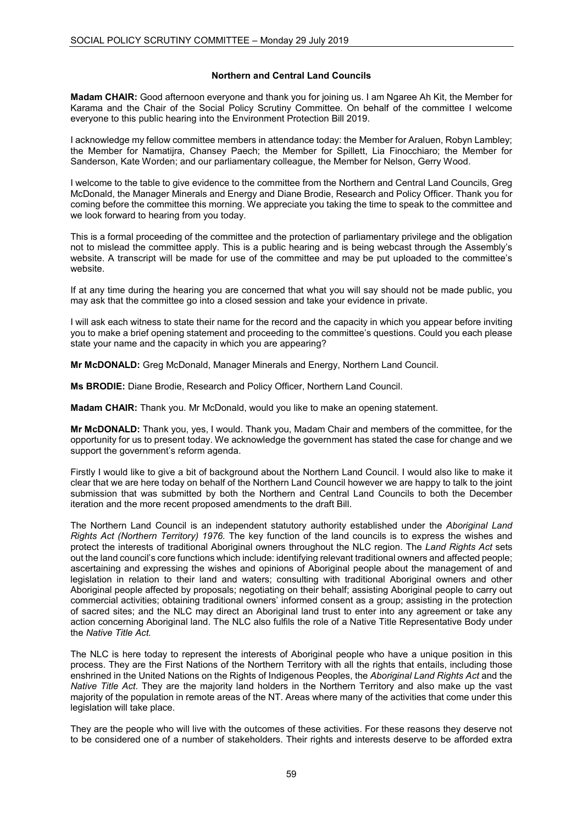# **Northern and Central Land Councils**

**Madam CHAIR:** Good afternoon everyone and thank you for joining us. I am Ngaree Ah Kit, the Member for Karama and the Chair of the Social Policy Scrutiny Committee. On behalf of the committee I welcome everyone to this public hearing into the Environment Protection Bill 2019.

I acknowledge my fellow committee members in attendance today: the Member for Araluen, Robyn Lambley; the Member for Namatijra, Chansey Paech; the Member for Spillett, Lia Finocchiaro; the Member for Sanderson, Kate Worden; and our parliamentary colleague, the Member for Nelson, Gerry Wood.

I welcome to the table to give evidence to the committee from the Northern and Central Land Councils, Greg McDonald, the Manager Minerals and Energy and Diane Brodie, Research and Policy Officer. Thank you for coming before the committee this morning. We appreciate you taking the time to speak to the committee and we look forward to hearing from you today.

This is a formal proceeding of the committee and the protection of parliamentary privilege and the obligation not to mislead the committee apply. This is a public hearing and is being webcast through the Assembly's website. A transcript will be made for use of the committee and may be put uploaded to the committee's website.

If at any time during the hearing you are concerned that what you will say should not be made public, you may ask that the committee go into a closed session and take your evidence in private.

I will ask each witness to state their name for the record and the capacity in which you appear before inviting you to make a brief opening statement and proceeding to the committee's questions. Could you each please state your name and the capacity in which you are appearing?

**Mr McDONALD:** Greg McDonald, Manager Minerals and Energy, Northern Land Council.

**Ms BRODIE:** Diane Brodie, Research and Policy Officer, Northern Land Council.

**Madam CHAIR:** Thank you. Mr McDonald, would you like to make an opening statement.

**Mr McDONALD:** Thank you, yes, I would. Thank you, Madam Chair and members of the committee, for the opportunity for us to present today. We acknowledge the government has stated the case for change and we support the government's reform agenda.

Firstly I would like to give a bit of background about the Northern Land Council. I would also like to make it clear that we are here today on behalf of the Northern Land Council however we are happy to talk to the joint submission that was submitted by both the Northern and Central Land Councils to both the December iteration and the more recent proposed amendments to the draft Bill.

The Northern Land Council is an independent statutory authority established under the *Aboriginal Land Rights Act (Northern Territory) 1976.* The key function of the land councils is to express the wishes and protect the interests of traditional Aboriginal owners throughout the NLC region. The *Land Rights Act* sets out the land council's core functions which include: identifying relevant traditional owners and affected people; ascertaining and expressing the wishes and opinions of Aboriginal people about the management of and legislation in relation to their land and waters; consulting with traditional Aboriginal owners and other Aboriginal people affected by proposals; negotiating on their behalf; assisting Aboriginal people to carry out commercial activities; obtaining traditional owners' informed consent as a group; assisting in the protection of sacred sites; and the NLC may direct an Aboriginal land trust to enter into any agreement or take any action concerning Aboriginal land. The NLC also fulfils the role of a Native Title Representative Body under the *Native Title Act.* 

The NLC is here today to represent the interests of Aboriginal people who have a unique position in this process. They are the First Nations of the Northern Territory with all the rights that entails, including those enshrined in the United Nations on the Rights of Indigenous Peoples, the *Aboriginal Land Rights Act* and the *Native Title Act*. They are the majority land holders in the Northern Territory and also make up the vast majority of the population in remote areas of the NT. Areas where many of the activities that come under this legislation will take place.

They are the people who will live with the outcomes of these activities. For these reasons they deserve not to be considered one of a number of stakeholders. Their rights and interests deserve to be afforded extra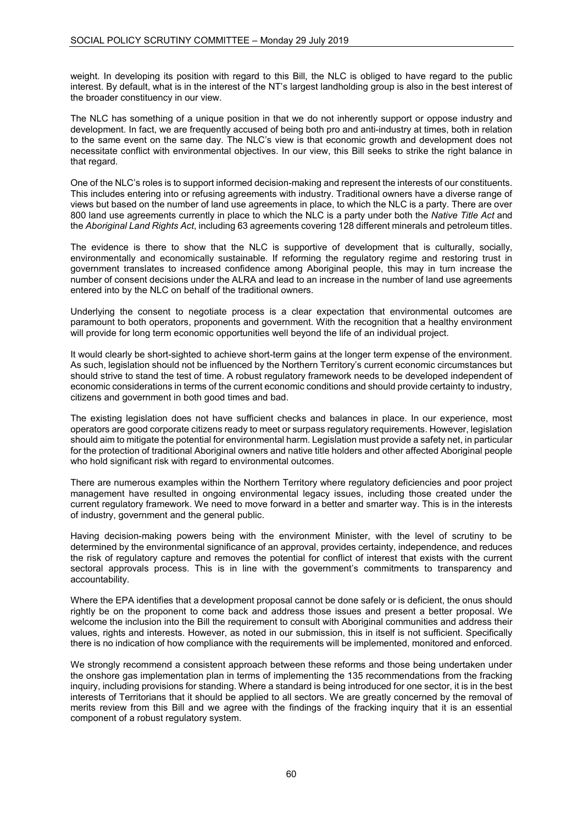weight. In developing its position with regard to this Bill, the NLC is obliged to have regard to the public interest. By default, what is in the interest of the NT's largest landholding group is also in the best interest of the broader constituency in our view.

The NLC has something of a unique position in that we do not inherently support or oppose industry and development. In fact, we are frequently accused of being both pro and anti-industry at times, both in relation to the same event on the same day. The NLC's view is that economic growth and development does not necessitate conflict with environmental objectives. In our view, this Bill seeks to strike the right balance in that regard.

One of the NLC's roles is to support informed decision-making and represent the interests of our constituents. This includes entering into or refusing agreements with industry. Traditional owners have a diverse range of views but based on the number of land use agreements in place, to which the NLC is a party. There are over 800 land use agreements currently in place to which the NLC is a party under both the *Native Title Act* and the *Aboriginal Land Rights Act*, including 63 agreements covering 128 different minerals and petroleum titles.

The evidence is there to show that the NLC is supportive of development that is culturally, socially, environmentally and economically sustainable. If reforming the regulatory regime and restoring trust in government translates to increased confidence among Aboriginal people, this may in turn increase the number of consent decisions under the ALRA and lead to an increase in the number of land use agreements entered into by the NLC on behalf of the traditional owners.

Underlying the consent to negotiate process is a clear expectation that environmental outcomes are paramount to both operators, proponents and government. With the recognition that a healthy environment will provide for long term economic opportunities well beyond the life of an individual project.

It would clearly be short-sighted to achieve short-term gains at the longer term expense of the environment. As such, legislation should not be influenced by the Northern Territory's current economic circumstances but should strive to stand the test of time. A robust regulatory framework needs to be developed independent of economic considerations in terms of the current economic conditions and should provide certainty to industry, citizens and government in both good times and bad.

The existing legislation does not have sufficient checks and balances in place. In our experience, most operators are good corporate citizens ready to meet or surpass regulatory requirements. However, legislation should aim to mitigate the potential for environmental harm. Legislation must provide a safety net, in particular for the protection of traditional Aboriginal owners and native title holders and other affected Aboriginal people who hold significant risk with regard to environmental outcomes.

There are numerous examples within the Northern Territory where regulatory deficiencies and poor project management have resulted in ongoing environmental legacy issues, including those created under the current regulatory framework. We need to move forward in a better and smarter way. This is in the interests of industry, government and the general public.

Having decision-making powers being with the environment Minister, with the level of scrutiny to be determined by the environmental significance of an approval, provides certainty, independence, and reduces the risk of regulatory capture and removes the potential for conflict of interest that exists with the current sectoral approvals process. This is in line with the government's commitments to transparency and accountability.

Where the EPA identifies that a development proposal cannot be done safely or is deficient, the onus should rightly be on the proponent to come back and address those issues and present a better proposal. We welcome the inclusion into the Bill the requirement to consult with Aboriginal communities and address their values, rights and interests. However, as noted in our submission, this in itself is not sufficient. Specifically there is no indication of how compliance with the requirements will be implemented, monitored and enforced.

We strongly recommend a consistent approach between these reforms and those being undertaken under the onshore gas implementation plan in terms of implementing the 135 recommendations from the fracking inquiry, including provisions for standing. Where a standard is being introduced for one sector, it is in the best interests of Territorians that it should be applied to all sectors. We are greatly concerned by the removal of merits review from this Bill and we agree with the findings of the fracking inquiry that it is an essential component of a robust regulatory system.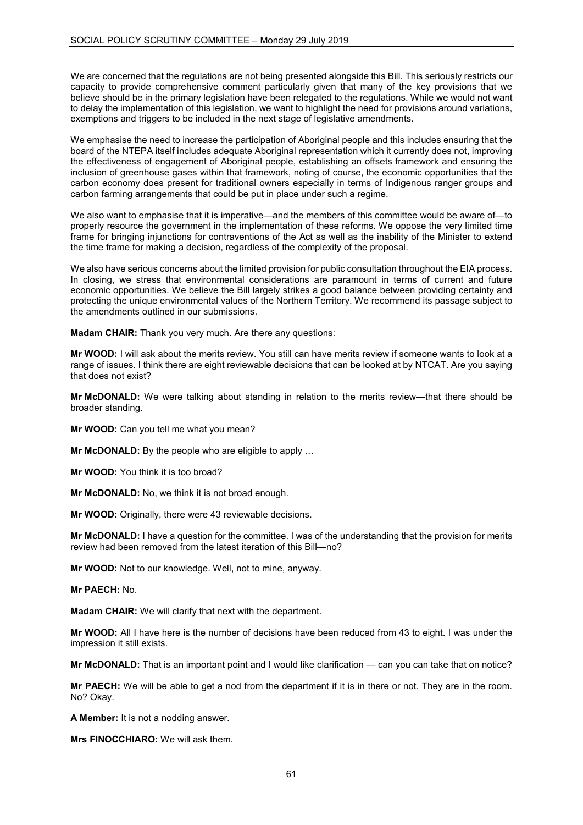We are concerned that the regulations are not being presented alongside this Bill. This seriously restricts our capacity to provide comprehensive comment particularly given that many of the key provisions that we believe should be in the primary legislation have been relegated to the regulations. While we would not want to delay the implementation of this legislation, we want to highlight the need for provisions around variations, exemptions and triggers to be included in the next stage of legislative amendments.

We emphasise the need to increase the participation of Aboriginal people and this includes ensuring that the board of the NTEPA itself includes adequate Aboriginal representation which it currently does not, improving the effectiveness of engagement of Aboriginal people, establishing an offsets framework and ensuring the inclusion of greenhouse gases within that framework, noting of course, the economic opportunities that the carbon economy does present for traditional owners especially in terms of Indigenous ranger groups and carbon farming arrangements that could be put in place under such a regime.

We also want to emphasise that it is imperative—and the members of this committee would be aware of—to properly resource the government in the implementation of these reforms. We oppose the very limited time frame for bringing injunctions for contraventions of the Act as well as the inability of the Minister to extend the time frame for making a decision, regardless of the complexity of the proposal.

We also have serious concerns about the limited provision for public consultation throughout the EIA process. In closing, we stress that environmental considerations are paramount in terms of current and future economic opportunities. We believe the Bill largely strikes a good balance between providing certainty and protecting the unique environmental values of the Northern Territory. We recommend its passage subject to the amendments outlined in our submissions.

**Madam CHAIR:** Thank you very much. Are there any questions:

**Mr WOOD:** I will ask about the merits review. You still can have merits review if someone wants to look at a range of issues. I think there are eight reviewable decisions that can be looked at by NTCAT. Are you saying that does not exist?

**Mr McDONALD:** We were talking about standing in relation to the merits review—that there should be broader standing.

**Mr WOOD:** Can you tell me what you mean?

**Mr McDONALD:** By the people who are eligible to apply …

**Mr WOOD:** You think it is too broad?

**Mr McDONALD:** No, we think it is not broad enough.

**Mr WOOD:** Originally, there were 43 reviewable decisions.

**Mr McDONALD:** I have a question for the committee. I was of the understanding that the provision for merits review had been removed from the latest iteration of this Bill—no?

**Mr WOOD:** Not to our knowledge. Well, not to mine, anyway.

**Mr PAECH:** No.

**Madam CHAIR:** We will clarify that next with the department.

**Mr WOOD:** All I have here is the number of decisions have been reduced from 43 to eight. I was under the impression it still exists.

**Mr McDONALD:** That is an important point and I would like clarification — can you can take that on notice?

**Mr PAECH:** We will be able to get a nod from the department if it is in there or not. They are in the room. No? Okay.

**A Member:** It is not a nodding answer.

**Mrs FINOCCHIARO:** We will ask them.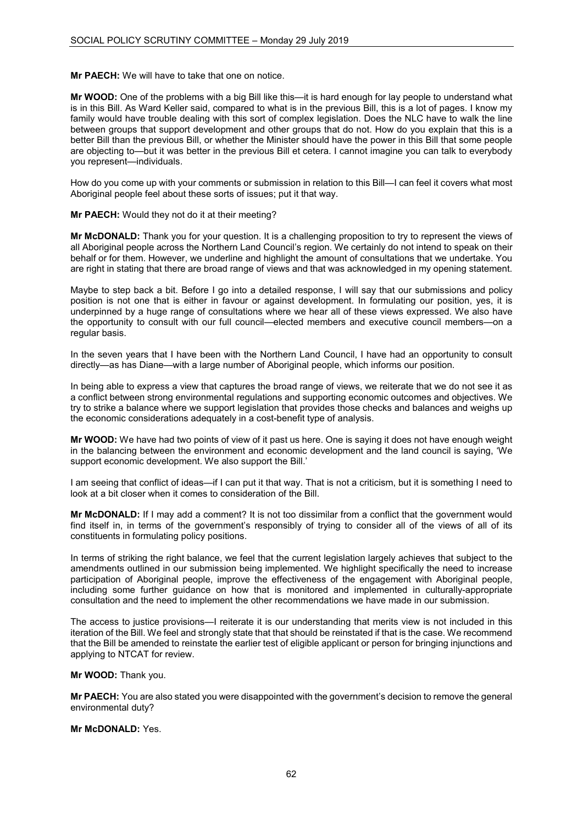**Mr PAECH:** We will have to take that one on notice.

**Mr WOOD:** One of the problems with a big Bill like this—it is hard enough for lay people to understand what is in this Bill. As Ward Keller said, compared to what is in the previous Bill, this is a lot of pages. I know my family would have trouble dealing with this sort of complex legislation. Does the NLC have to walk the line between groups that support development and other groups that do not. How do you explain that this is a better Bill than the previous Bill, or whether the Minister should have the power in this Bill that some people are objecting to—but it was better in the previous Bill et cetera. I cannot imagine you can talk to everybody you represent—individuals.

How do you come up with your comments or submission in relation to this Bill—I can feel it covers what most Aboriginal people feel about these sorts of issues; put it that way.

### **Mr PAECH:** Would they not do it at their meeting?

**Mr McDONALD:** Thank you for your question. It is a challenging proposition to try to represent the views of all Aboriginal people across the Northern Land Council's region. We certainly do not intend to speak on their behalf or for them. However, we underline and highlight the amount of consultations that we undertake. You are right in stating that there are broad range of views and that was acknowledged in my opening statement.

Maybe to step back a bit. Before I go into a detailed response, I will say that our submissions and policy position is not one that is either in favour or against development. In formulating our position, yes, it is underpinned by a huge range of consultations where we hear all of these views expressed. We also have the opportunity to consult with our full council—elected members and executive council members—on a regular basis.

In the seven years that I have been with the Northern Land Council, I have had an opportunity to consult directly—as has Diane—with a large number of Aboriginal people, which informs our position.

In being able to express a view that captures the broad range of views, we reiterate that we do not see it as a conflict between strong environmental regulations and supporting economic outcomes and objectives. We try to strike a balance where we support legislation that provides those checks and balances and weighs up the economic considerations adequately in a cost-benefit type of analysis.

**Mr WOOD:** We have had two points of view of it past us here. One is saying it does not have enough weight in the balancing between the environment and economic development and the land council is saying, 'We support economic development. We also support the Bill.'

I am seeing that conflict of ideas—if I can put it that way. That is not a criticism, but it is something I need to look at a bit closer when it comes to consideration of the Bill.

**Mr McDONALD:** If I may add a comment? It is not too dissimilar from a conflict that the government would find itself in, in terms of the government's responsibly of trying to consider all of the views of all of its constituents in formulating policy positions.

In terms of striking the right balance, we feel that the current legislation largely achieves that subject to the amendments outlined in our submission being implemented. We highlight specifically the need to increase participation of Aboriginal people, improve the effectiveness of the engagement with Aboriginal people, including some further guidance on how that is monitored and implemented in culturally-appropriate consultation and the need to implement the other recommendations we have made in our submission.

The access to justice provisions—I reiterate it is our understanding that merits view is not included in this iteration of the Bill. We feel and strongly state that that should be reinstated if that is the case. We recommend that the Bill be amended to reinstate the earlier test of eligible applicant or person for bringing injunctions and applying to NTCAT for review.

**Mr WOOD:** Thank you.

**Mr PAECH:** You are also stated you were disappointed with the government's decision to remove the general environmental duty?

**Mr McDONALD:** Yes.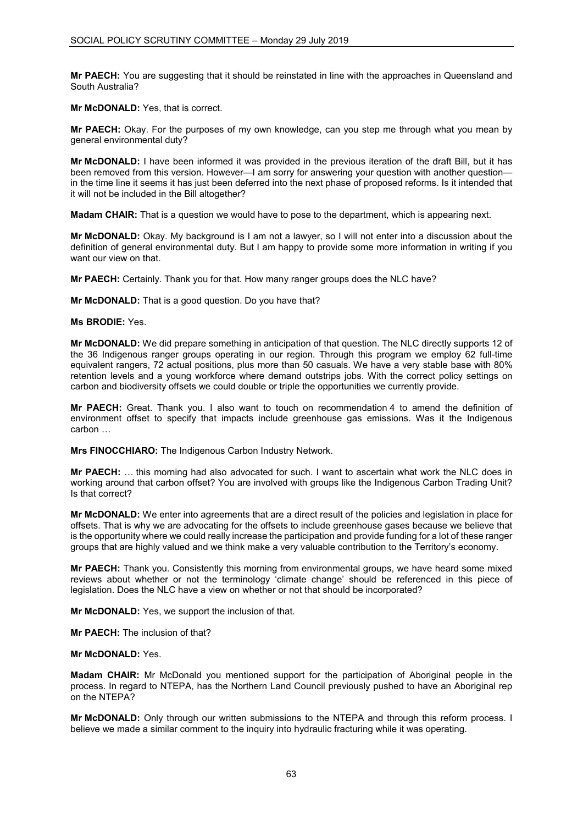**Mr PAECH:** You are suggesting that it should be reinstated in line with the approaches in Queensland and South Australia?

**Mr McDONALD:** Yes, that is correct.

**Mr PAECH:** Okay. For the purposes of my own knowledge, can you step me through what you mean by general environmental duty?

**Mr McDONALD:** I have been informed it was provided in the previous iteration of the draft Bill, but it has been removed from this version. However—I am sorry for answering your question with another question in the time line it seems it has just been deferred into the next phase of proposed reforms. Is it intended that it will not be included in the Bill altogether?

**Madam CHAIR:** That is a question we would have to pose to the department, which is appearing next.

**Mr McDONALD:** Okay. My background is I am not a lawyer, so I will not enter into a discussion about the definition of general environmental duty. But I am happy to provide some more information in writing if you want our view on that.

**Mr PAECH:** Certainly. Thank you for that. How many ranger groups does the NLC have?

**Mr McDONALD:** That is a good question. Do you have that?

**Ms BRODIE:** Yes.

**Mr McDONALD:** We did prepare something in anticipation of that question. The NLC directly supports 12 of the 36 Indigenous ranger groups operating in our region. Through this program we employ 62 full-time equivalent rangers, 72 actual positions, plus more than 50 casuals. We have a very stable base with 80% retention levels and a young workforce where demand outstrips jobs. With the correct policy settings on carbon and biodiversity offsets we could double or triple the opportunities we currently provide.

**Mr PAECH:** Great. Thank you. I also want to touch on recommendation 4 to amend the definition of environment offset to specify that impacts include greenhouse gas emissions. Was it the Indigenous carbon …

**Mrs FINOCCHIARO:** The Indigenous Carbon Industry Network.

**Mr PAECH:** … this morning had also advocated for such. I want to ascertain what work the NLC does in working around that carbon offset? You are involved with groups like the Indigenous Carbon Trading Unit? Is that correct?

**Mr McDONALD:** We enter into agreements that are a direct result of the policies and legislation in place for offsets. That is why we are advocating for the offsets to include greenhouse gases because we believe that is the opportunity where we could really increase the participation and provide funding for a lot of these ranger groups that are highly valued and we think make a very valuable contribution to the Territory's economy.

**Mr PAECH:** Thank you. Consistently this morning from environmental groups, we have heard some mixed reviews about whether or not the terminology 'climate change' should be referenced in this piece of legislation. Does the NLC have a view on whether or not that should be incorporated?

**Mr McDONALD:** Yes, we support the inclusion of that.

**Mr PAECH:** The inclusion of that?

### **Mr McDONALD:** Yes.

**Madam CHAIR:** Mr McDonald you mentioned support for the participation of Aboriginal people in the process. In regard to NTEPA, has the Northern Land Council previously pushed to have an Aboriginal rep on the NTEPA?

**Mr McDONALD:** Only through our written submissions to the NTEPA and through this reform process. I believe we made a similar comment to the inquiry into hydraulic fracturing while it was operating.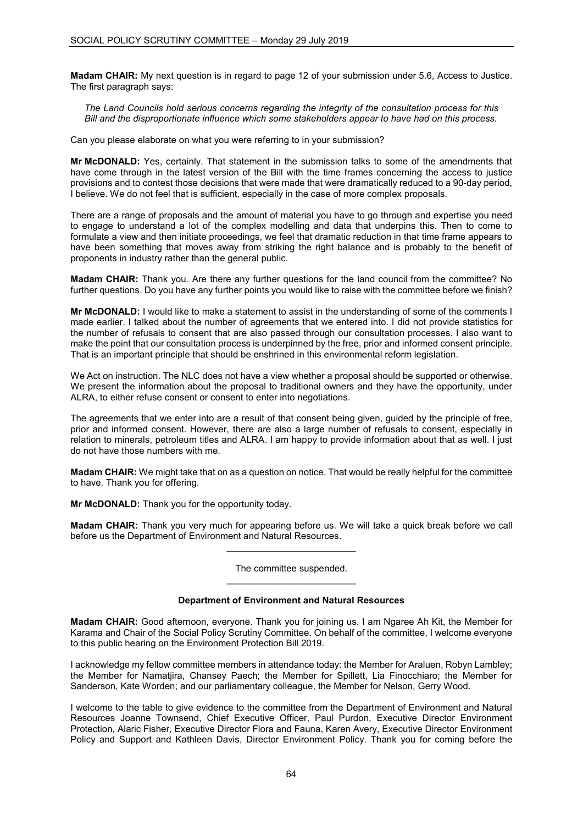**Madam CHAIR:** My next question is in regard to page 12 of your submission under 5.6, Access to Justice. The first paragraph says:

*The Land Councils hold serious concerns regarding the integrity of the consultation process for this Bill and the disproportionate influence which some stakeholders appear to have had on this process.*

Can you please elaborate on what you were referring to in your submission?

**Mr McDONALD:** Yes, certainly. That statement in the submission talks to some of the amendments that have come through in the latest version of the Bill with the time frames concerning the access to justice provisions and to contest those decisions that were made that were dramatically reduced to a 90-day period, I believe. We do not feel that is sufficient, especially in the case of more complex proposals.

There are a range of proposals and the amount of material you have to go through and expertise you need to engage to understand a lot of the complex modelling and data that underpins this. Then to come to formulate a view and then initiate proceedings, we feel that dramatic reduction in that time frame appears to have been something that moves away from striking the right balance and is probably to the benefit of proponents in industry rather than the general public.

**Madam CHAIR:** Thank you. Are there any further questions for the land council from the committee? No further questions. Do you have any further points you would like to raise with the committee before we finish?

**Mr McDONALD:** I would like to make a statement to assist in the understanding of some of the comments I made earlier. I talked about the number of agreements that we entered into. I did not provide statistics for the number of refusals to consent that are also passed through our consultation processes. I also want to make the point that our consultation process is underpinned by the free, prior and informed consent principle. That is an important principle that should be enshrined in this environmental reform legislation.

We Act on instruction. The NLC does not have a view whether a proposal should be supported or otherwise. We present the information about the proposal to traditional owners and they have the opportunity, under ALRA, to either refuse consent or consent to enter into negotiations.

The agreements that we enter into are a result of that consent being given, guided by the principle of free, prior and informed consent. However, there are also a large number of refusals to consent, especially in relation to minerals, petroleum titles and ALRA. I am happy to provide information about that as well. I just do not have those numbers with me.

**Madam CHAIR:** We might take that on as a question on notice. That would be really helpful for the committee to have. Thank you for offering.

**Mr McDONALD:** Thank you for the opportunity today.

**Madam CHAIR:** Thank you very much for appearing before us. We will take a quick break before we call before us the Department of Environment and Natural Resources. \_\_\_\_\_\_\_\_\_\_\_\_\_\_\_\_\_\_\_\_\_\_\_\_\_

> The committee suspended. \_\_\_\_\_\_\_\_\_\_\_\_\_\_\_\_\_\_\_\_\_\_\_\_\_

## **Department of Environment and Natural Resources**

**Madam CHAIR:** Good afternoon, everyone. Thank you for joining us. I am Ngaree Ah Kit, the Member for Karama and Chair of the Social Policy Scrutiny Committee. On behalf of the committee, I welcome everyone to this public hearing on the Environment Protection Bill 2019.

I acknowledge my fellow committee members in attendance today: the Member for Araluen, Robyn Lambley; the Member for Namatjira, Chansey Paech; the Member for Spillett, Lia Finocchiaro; the Member for Sanderson, Kate Worden; and our parliamentary colleague, the Member for Nelson, Gerry Wood.

I welcome to the table to give evidence to the committee from the Department of Environment and Natural Resources Joanne Townsend, Chief Executive Officer, Paul Purdon, Executive Director Environment Protection, Alaric Fisher, Executive Director Flora and Fauna, Karen Avery, Executive Director Environment Policy and Support and Kathleen Davis, Director Environment Policy. Thank you for coming before the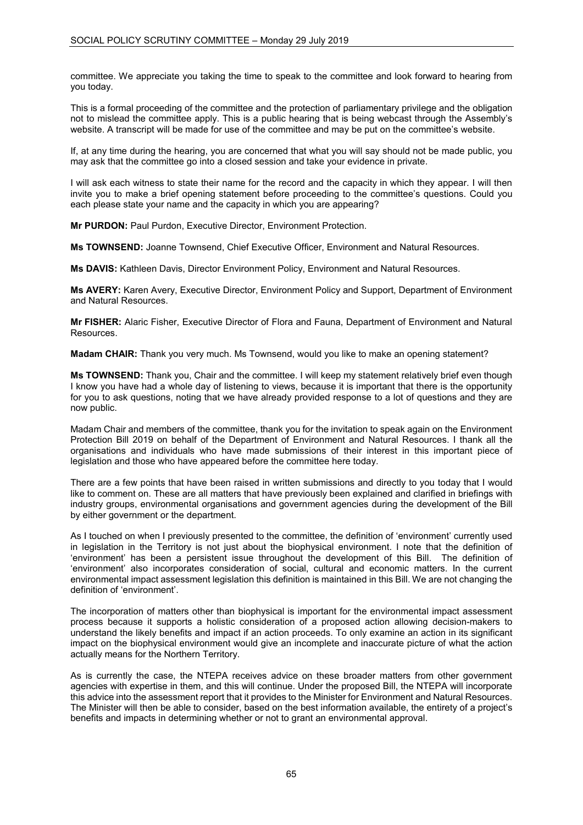committee. We appreciate you taking the time to speak to the committee and look forward to hearing from you today.

This is a formal proceeding of the committee and the protection of parliamentary privilege and the obligation not to mislead the committee apply. This is a public hearing that is being webcast through the Assembly's website. A transcript will be made for use of the committee and may be put on the committee's website.

If, at any time during the hearing, you are concerned that what you will say should not be made public, you may ask that the committee go into a closed session and take your evidence in private.

I will ask each witness to state their name for the record and the capacity in which they appear. I will then invite you to make a brief opening statement before proceeding to the committee's questions. Could you each please state your name and the capacity in which you are appearing?

**Mr PURDON:** Paul Purdon, Executive Director, Environment Protection.

**Ms TOWNSEND:** Joanne Townsend, Chief Executive Officer, Environment and Natural Resources.

**Ms DAVIS:** Kathleen Davis, Director Environment Policy, Environment and Natural Resources.

**Ms AVERY:** Karen Avery, Executive Director, Environment Policy and Support, Department of Environment and Natural Resources.

**Mr FISHER:** Alaric Fisher, Executive Director of Flora and Fauna, Department of Environment and Natural Resources.

**Madam CHAIR:** Thank you very much. Ms Townsend, would you like to make an opening statement?

**Ms TOWNSEND:** Thank you, Chair and the committee. I will keep my statement relatively brief even though I know you have had a whole day of listening to views, because it is important that there is the opportunity for you to ask questions, noting that we have already provided response to a lot of questions and they are now public.

Madam Chair and members of the committee, thank you for the invitation to speak again on the Environment Protection Bill 2019 on behalf of the Department of Environment and Natural Resources. I thank all the organisations and individuals who have made submissions of their interest in this important piece of legislation and those who have appeared before the committee here today.

There are a few points that have been raised in written submissions and directly to you today that I would like to comment on. These are all matters that have previously been explained and clarified in briefings with industry groups, environmental organisations and government agencies during the development of the Bill by either government or the department.

As I touched on when I previously presented to the committee, the definition of 'environment' currently used in legislation in the Territory is not just about the biophysical environment. I note that the definition of 'environment' has been a persistent issue throughout the development of this Bill. The definition of 'environment' also incorporates consideration of social, cultural and economic matters. In the current environmental impact assessment legislation this definition is maintained in this Bill. We are not changing the definition of 'environment'.

The incorporation of matters other than biophysical is important for the environmental impact assessment process because it supports a holistic consideration of a proposed action allowing decision-makers to understand the likely benefits and impact if an action proceeds. To only examine an action in its significant impact on the biophysical environment would give an incomplete and inaccurate picture of what the action actually means for the Northern Territory.

As is currently the case, the NTEPA receives advice on these broader matters from other government agencies with expertise in them, and this will continue. Under the proposed Bill, the NTEPA will incorporate this advice into the assessment report that it provides to the Minister for Environment and Natural Resources. The Minister will then be able to consider, based on the best information available, the entirety of a project's benefits and impacts in determining whether or not to grant an environmental approval.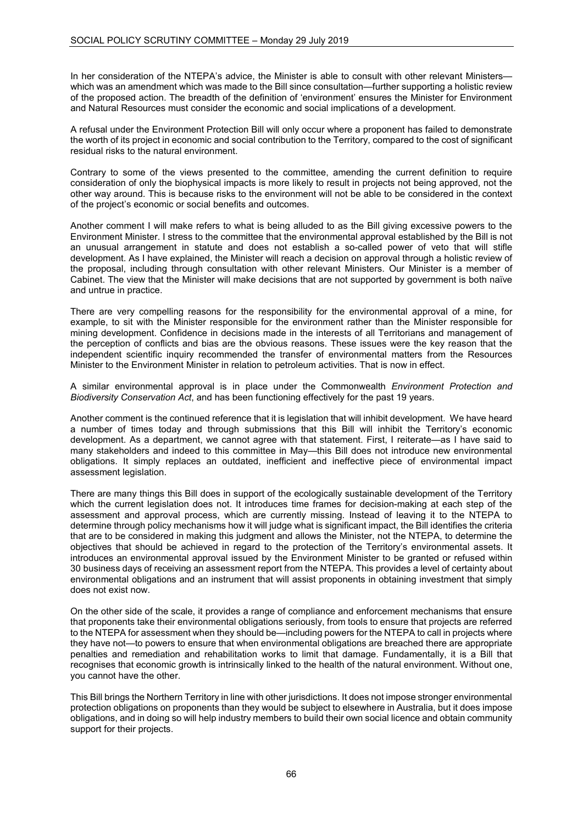In her consideration of the NTEPA's advice, the Minister is able to consult with other relevant Ministerswhich was an amendment which was made to the Bill since consultation—further supporting a holistic review of the proposed action. The breadth of the definition of 'environment' ensures the Minister for Environment and Natural Resources must consider the economic and social implications of a development.

A refusal under the Environment Protection Bill will only occur where a proponent has failed to demonstrate the worth of its project in economic and social contribution to the Territory, compared to the cost of significant residual risks to the natural environment.

Contrary to some of the views presented to the committee, amending the current definition to require consideration of only the biophysical impacts is more likely to result in projects not being approved, not the other way around. This is because risks to the environment will not be able to be considered in the context of the project's economic or social benefits and outcomes.

Another comment I will make refers to what is being alluded to as the Bill giving excessive powers to the Environment Minister. I stress to the committee that the environmental approval established by the Bill is not an unusual arrangement in statute and does not establish a so-called power of veto that will stifle development. As I have explained, the Minister will reach a decision on approval through a holistic review of the proposal, including through consultation with other relevant Ministers. Our Minister is a member of Cabinet. The view that the Minister will make decisions that are not supported by government is both naïve and untrue in practice.

There are very compelling reasons for the responsibility for the environmental approval of a mine, for example, to sit with the Minister responsible for the environment rather than the Minister responsible for mining development. Confidence in decisions made in the interests of all Territorians and management of the perception of conflicts and bias are the obvious reasons. These issues were the key reason that the independent scientific inquiry recommended the transfer of environmental matters from the Resources Minister to the Environment Minister in relation to petroleum activities. That is now in effect.

A similar environmental approval is in place under the Commonwealth *Environment Protection and Biodiversity Conservation Act*, and has been functioning effectively for the past 19 years.

Another comment is the continued reference that it is legislation that will inhibit development. We have heard a number of times today and through submissions that this Bill will inhibit the Territory's economic development. As a department, we cannot agree with that statement. First, I reiterate—as I have said to many stakeholders and indeed to this committee in May—this Bill does not introduce new environmental obligations. It simply replaces an outdated, inefficient and ineffective piece of environmental impact assessment legislation.

There are many things this Bill does in support of the ecologically sustainable development of the Territory which the current legislation does not. It introduces time frames for decision-making at each step of the assessment and approval process, which are currently missing. Instead of leaving it to the NTEPA to determine through policy mechanisms how it will judge what is significant impact, the Bill identifies the criteria that are to be considered in making this judgment and allows the Minister, not the NTEPA, to determine the objectives that should be achieved in regard to the protection of the Territory's environmental assets. It introduces an environmental approval issued by the Environment Minister to be granted or refused within 30 business days of receiving an assessment report from the NTEPA. This provides a level of certainty about environmental obligations and an instrument that will assist proponents in obtaining investment that simply does not exist now.

On the other side of the scale, it provides a range of compliance and enforcement mechanisms that ensure that proponents take their environmental obligations seriously, from tools to ensure that projects are referred to the NTEPA for assessment when they should be—including powers for the NTEPA to call in projects where they have not—to powers to ensure that when environmental obligations are breached there are appropriate penalties and remediation and rehabilitation works to limit that damage. Fundamentally, it is a Bill that recognises that economic growth is intrinsically linked to the health of the natural environment. Without one, you cannot have the other.

This Bill brings the Northern Territory in line with other jurisdictions. It does not impose stronger environmental protection obligations on proponents than they would be subject to elsewhere in Australia, but it does impose obligations, and in doing so will help industry members to build their own social licence and obtain community support for their projects.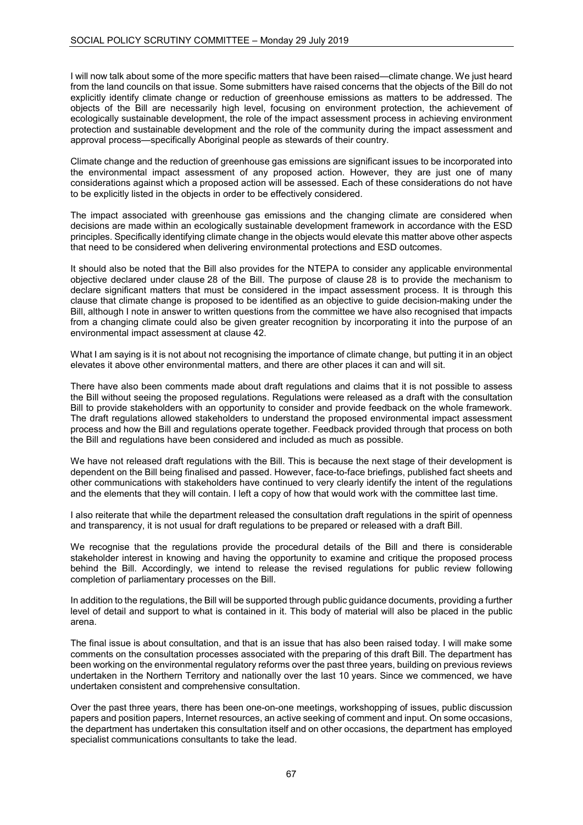I will now talk about some of the more specific matters that have been raised—climate change. We just heard from the land councils on that issue. Some submitters have raised concerns that the objects of the Bill do not explicitly identify climate change or reduction of greenhouse emissions as matters to be addressed. The objects of the Bill are necessarily high level, focusing on environment protection, the achievement of ecologically sustainable development, the role of the impact assessment process in achieving environment protection and sustainable development and the role of the community during the impact assessment and approval process—specifically Aboriginal people as stewards of their country.

Climate change and the reduction of greenhouse gas emissions are significant issues to be incorporated into the environmental impact assessment of any proposed action. However, they are just one of many considerations against which a proposed action will be assessed. Each of these considerations do not have to be explicitly listed in the objects in order to be effectively considered.

The impact associated with greenhouse gas emissions and the changing climate are considered when decisions are made within an ecologically sustainable development framework in accordance with the ESD principles. Specifically identifying climate change in the objects would elevate this matter above other aspects that need to be considered when delivering environmental protections and ESD outcomes.

It should also be noted that the Bill also provides for the NTEPA to consider any applicable environmental objective declared under clause 28 of the Bill. The purpose of clause 28 is to provide the mechanism to declare significant matters that must be considered in the impact assessment process. It is through this clause that climate change is proposed to be identified as an objective to guide decision-making under the Bill, although I note in answer to written questions from the committee we have also recognised that impacts from a changing climate could also be given greater recognition by incorporating it into the purpose of an environmental impact assessment at clause 42.

What I am saying is it is not about not recognising the importance of climate change, but putting it in an object elevates it above other environmental matters, and there are other places it can and will sit.

There have also been comments made about draft regulations and claims that it is not possible to assess the Bill without seeing the proposed regulations. Regulations were released as a draft with the consultation Bill to provide stakeholders with an opportunity to consider and provide feedback on the whole framework. The draft regulations allowed stakeholders to understand the proposed environmental impact assessment process and how the Bill and regulations operate together. Feedback provided through that process on both the Bill and regulations have been considered and included as much as possible.

We have not released draft regulations with the Bill. This is because the next stage of their development is dependent on the Bill being finalised and passed. However, face-to-face briefings, published fact sheets and other communications with stakeholders have continued to very clearly identify the intent of the regulations and the elements that they will contain. I left a copy of how that would work with the committee last time.

I also reiterate that while the department released the consultation draft regulations in the spirit of openness and transparency, it is not usual for draft regulations to be prepared or released with a draft Bill.

We recognise that the regulations provide the procedural details of the Bill and there is considerable stakeholder interest in knowing and having the opportunity to examine and critique the proposed process behind the Bill. Accordingly, we intend to release the revised regulations for public review following completion of parliamentary processes on the Bill.

In addition to the regulations, the Bill will be supported through public guidance documents, providing a further level of detail and support to what is contained in it. This body of material will also be placed in the public arena.

The final issue is about consultation, and that is an issue that has also been raised today. I will make some comments on the consultation processes associated with the preparing of this draft Bill. The department has been working on the environmental regulatory reforms over the past three years, building on previous reviews undertaken in the Northern Territory and nationally over the last 10 years. Since we commenced, we have undertaken consistent and comprehensive consultation.

Over the past three years, there has been one-on-one meetings, workshopping of issues, public discussion papers and position papers, Internet resources, an active seeking of comment and input. On some occasions, the department has undertaken this consultation itself and on other occasions, the department has employed specialist communications consultants to take the lead.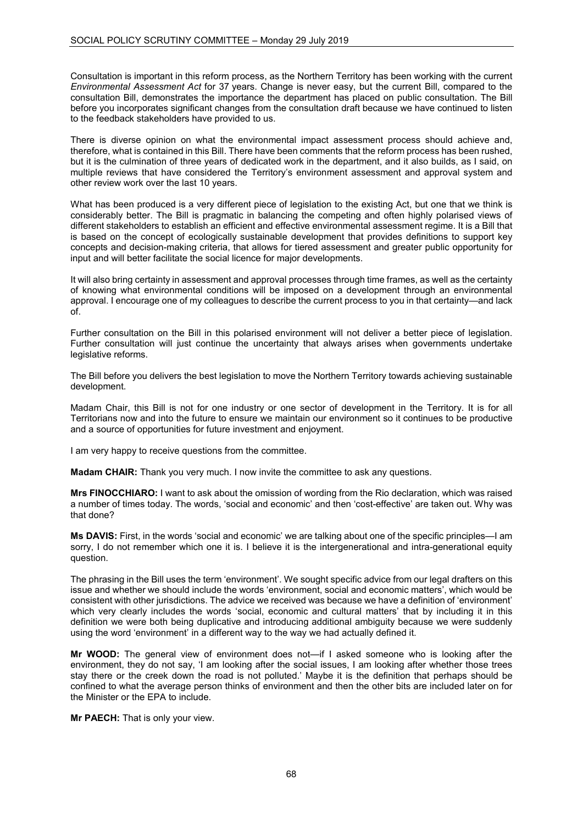Consultation is important in this reform process, as the Northern Territory has been working with the current *Environmental Assessment Act* for 37 years. Change is never easy, but the current Bill, compared to the consultation Bill, demonstrates the importance the department has placed on public consultation. The Bill before you incorporates significant changes from the consultation draft because we have continued to listen to the feedback stakeholders have provided to us.

There is diverse opinion on what the environmental impact assessment process should achieve and, therefore, what is contained in this Bill. There have been comments that the reform process has been rushed, but it is the culmination of three years of dedicated work in the department, and it also builds, as I said, on multiple reviews that have considered the Territory's environment assessment and approval system and other review work over the last 10 years.

What has been produced is a very different piece of legislation to the existing Act, but one that we think is considerably better. The Bill is pragmatic in balancing the competing and often highly polarised views of different stakeholders to establish an efficient and effective environmental assessment regime. It is a Bill that is based on the concept of ecologically sustainable development that provides definitions to support key concepts and decision-making criteria, that allows for tiered assessment and greater public opportunity for input and will better facilitate the social licence for major developments.

It will also bring certainty in assessment and approval processes through time frames, as well as the certainty of knowing what environmental conditions will be imposed on a development through an environmental approval. I encourage one of my colleagues to describe the current process to you in that certainty—and lack of.

Further consultation on the Bill in this polarised environment will not deliver a better piece of legislation. Further consultation will just continue the uncertainty that always arises when governments undertake legislative reforms.

The Bill before you delivers the best legislation to move the Northern Territory towards achieving sustainable development.

Madam Chair, this Bill is not for one industry or one sector of development in the Territory. It is for all Territorians now and into the future to ensure we maintain our environment so it continues to be productive and a source of opportunities for future investment and enjoyment.

I am very happy to receive questions from the committee.

**Madam CHAIR:** Thank you very much. I now invite the committee to ask any questions.

**Mrs FINOCCHIARO:** I want to ask about the omission of wording from the Rio declaration, which was raised a number of times today. The words, 'social and economic' and then 'cost-effective' are taken out. Why was that done?

**Ms DAVIS:** First, in the words 'social and economic' we are talking about one of the specific principles—I am sorry, I do not remember which one it is. I believe it is the intergenerational and intra-generational equity question.

The phrasing in the Bill uses the term 'environment'. We sought specific advice from our legal drafters on this issue and whether we should include the words 'environment, social and economic matters', which would be consistent with other jurisdictions. The advice we received was because we have a definition of 'environment' which very clearly includes the words 'social, economic and cultural matters' that by including it in this definition we were both being duplicative and introducing additional ambiguity because we were suddenly using the word 'environment' in a different way to the way we had actually defined it.

**Mr WOOD:** The general view of environment does not—if I asked someone who is looking after the environment, they do not say, 'I am looking after the social issues, I am looking after whether those trees stay there or the creek down the road is not polluted.' Maybe it is the definition that perhaps should be confined to what the average person thinks of environment and then the other bits are included later on for the Minister or the EPA to include.

**Mr PAECH:** That is only your view.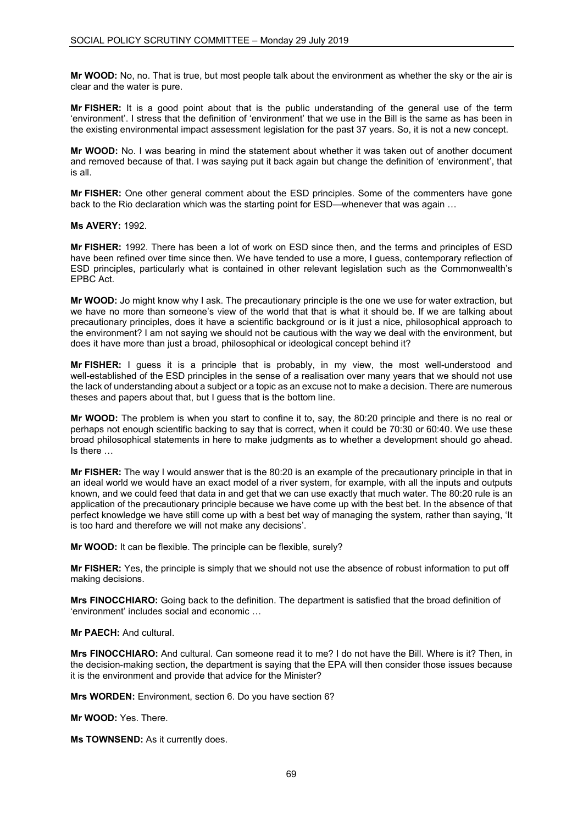**Mr WOOD:** No, no. That is true, but most people talk about the environment as whether the sky or the air is clear and the water is pure.

**Mr FISHER:** It is a good point about that is the public understanding of the general use of the term 'environment'. I stress that the definition of 'environment' that we use in the Bill is the same as has been in the existing environmental impact assessment legislation for the past 37 years. So, it is not a new concept.

**Mr WOOD:** No. I was bearing in mind the statement about whether it was taken out of another document and removed because of that. I was saying put it back again but change the definition of 'environment', that is all.

**Mr FISHER:** One other general comment about the ESD principles. Some of the commenters have gone back to the Rio declaration which was the starting point for ESD—whenever that was again …

**Ms AVERY:** 1992.

**Mr FISHER:** 1992. There has been a lot of work on ESD since then, and the terms and principles of ESD have been refined over time since then. We have tended to use a more, I guess, contemporary reflection of ESD principles, particularly what is contained in other relevant legislation such as the Commonwealth's EPBC Act.

**Mr WOOD:** Jo might know why I ask. The precautionary principle is the one we use for water extraction, but we have no more than someone's view of the world that that is what it should be. If we are talking about precautionary principles, does it have a scientific background or is it just a nice, philosophical approach to the environment? I am not saying we should not be cautious with the way we deal with the environment, but does it have more than just a broad, philosophical or ideological concept behind it?

**Mr FISHER:** I guess it is a principle that is probably, in my view, the most well-understood and well-established of the ESD principles in the sense of a realisation over many years that we should not use the lack of understanding about a subject or a topic as an excuse not to make a decision. There are numerous theses and papers about that, but I guess that is the bottom line.

**Mr WOOD:** The problem is when you start to confine it to, say, the 80:20 principle and there is no real or perhaps not enough scientific backing to say that is correct, when it could be 70:30 or 60:40. We use these broad philosophical statements in here to make judgments as to whether a development should go ahead. Is there …

**Mr FISHER:** The way I would answer that is the 80:20 is an example of the precautionary principle in that in an ideal world we would have an exact model of a river system, for example, with all the inputs and outputs known, and we could feed that data in and get that we can use exactly that much water. The 80:20 rule is an application of the precautionary principle because we have come up with the best bet. In the absence of that perfect knowledge we have still come up with a best bet way of managing the system, rather than saying, 'It is too hard and therefore we will not make any decisions'.

**Mr WOOD:** It can be flexible. The principle can be flexible, surely?

**Mr FISHER:** Yes, the principle is simply that we should not use the absence of robust information to put off making decisions.

**Mrs FINOCCHIARO:** Going back to the definition. The department is satisfied that the broad definition of 'environment' includes social and economic …

**Mr PAECH:** And cultural.

**Mrs FINOCCHIARO:** And cultural. Can someone read it to me? I do not have the Bill. Where is it? Then, in the decision-making section, the department is saying that the EPA will then consider those issues because it is the environment and provide that advice for the Minister?

**Mrs WORDEN:** Environment, section 6. Do you have section 6?

**Mr WOOD:** Yes. There.

**Ms TOWNSEND:** As it currently does.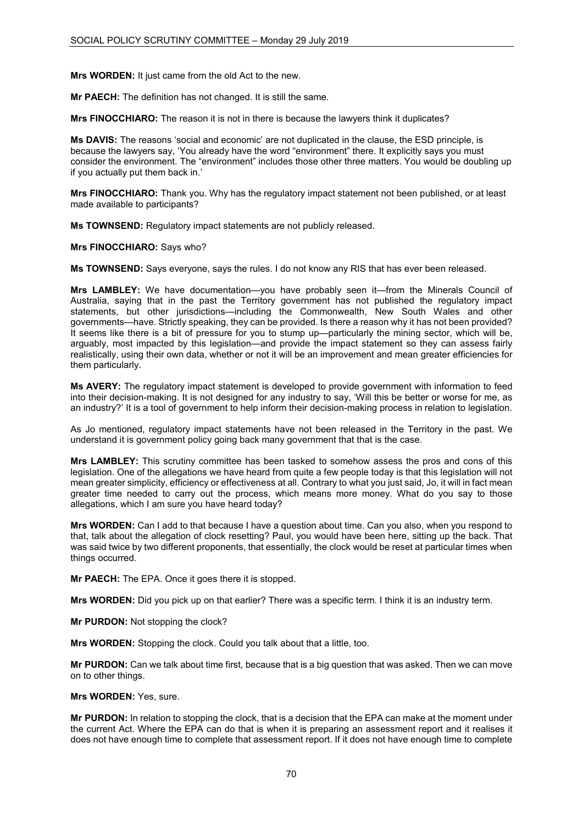**Mrs WORDEN:** It just came from the old Act to the new.

**Mr PAECH:** The definition has not changed. It is still the same.

**Mrs FINOCCHIARO:** The reason it is not in there is because the lawyers think it duplicates?

**Ms DAVIS:** The reasons 'social and economic' are not duplicated in the clause, the ESD principle, is because the lawyers say, 'You already have the word "environment" there. It explicitly says you must consider the environment. The "environment" includes those other three matters. You would be doubling up if you actually put them back in.'

**Mrs FINOCCHIARO:** Thank you. Why has the regulatory impact statement not been published, or at least made available to participants?

**Ms TOWNSEND:** Regulatory impact statements are not publicly released.

**Mrs FINOCCHIARO:** Says who?

**Ms TOWNSEND:** Says everyone, says the rules. I do not know any RIS that has ever been released.

**Mrs LAMBLEY:** We have documentation—you have probably seen it—from the Minerals Council of Australia, saying that in the past the Territory government has not published the regulatory impact statements, but other jurisdictions—including the Commonwealth, New South Wales and other governments—have. Strictly speaking, they can be provided. Is there a reason why it has not been provided? It seems like there is a bit of pressure for you to stump up—particularly the mining sector, which will be, arguably, most impacted by this legislation—and provide the impact statement so they can assess fairly realistically, using their own data, whether or not it will be an improvement and mean greater efficiencies for them particularly.

**Ms AVERY:** The regulatory impact statement is developed to provide government with information to feed into their decision-making. It is not designed for any industry to say, 'Will this be better or worse for me, as an industry?' It is a tool of government to help inform their decision-making process in relation to legislation.

As Jo mentioned, regulatory impact statements have not been released in the Territory in the past. We understand it is government policy going back many government that that is the case.

**Mrs LAMBLEY:** This scrutiny committee has been tasked to somehow assess the pros and cons of this legislation. One of the allegations we have heard from quite a few people today is that this legislation will not mean greater simplicity, efficiency or effectiveness at all. Contrary to what you just said, Jo, it will in fact mean greater time needed to carry out the process, which means more money. What do you say to those allegations, which I am sure you have heard today?

**Mrs WORDEN:** Can I add to that because I have a question about time. Can you also, when you respond to that, talk about the allegation of clock resetting? Paul, you would have been here, sitting up the back. That was said twice by two different proponents, that essentially, the clock would be reset at particular times when things occurred.

**Mr PAECH:** The EPA. Once it goes there it is stopped.

**Mrs WORDEN:** Did you pick up on that earlier? There was a specific term. I think it is an industry term.

**Mr PURDON:** Not stopping the clock?

**Mrs WORDEN:** Stopping the clock. Could you talk about that a little, too.

**Mr PURDON:** Can we talk about time first, because that is a big question that was asked. Then we can move on to other things.

**Mrs WORDEN:** Yes, sure.

**Mr PURDON:** In relation to stopping the clock, that is a decision that the EPA can make at the moment under the current Act. Where the EPA can do that is when it is preparing an assessment report and it realises it does not have enough time to complete that assessment report. If it does not have enough time to complete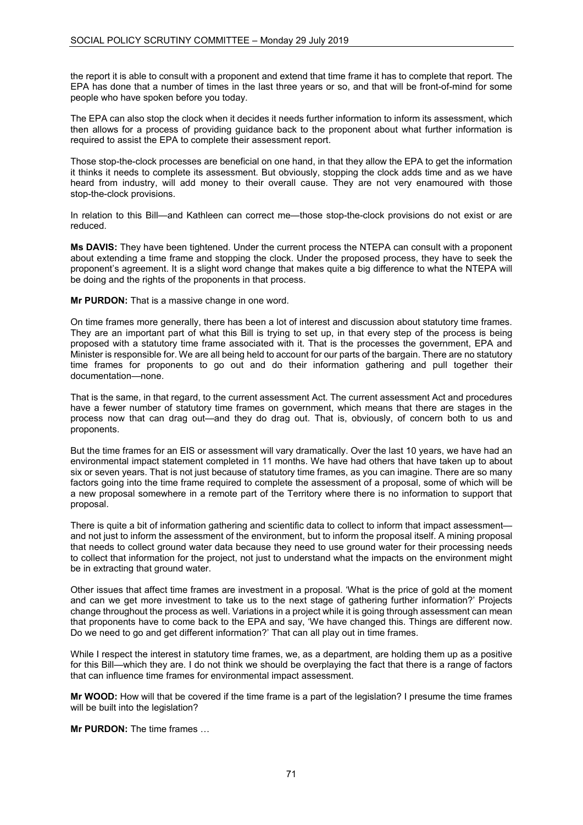the report it is able to consult with a proponent and extend that time frame it has to complete that report. The EPA has done that a number of times in the last three years or so, and that will be front-of-mind for some people who have spoken before you today.

The EPA can also stop the clock when it decides it needs further information to inform its assessment, which then allows for a process of providing guidance back to the proponent about what further information is required to assist the EPA to complete their assessment report.

Those stop-the-clock processes are beneficial on one hand, in that they allow the EPA to get the information it thinks it needs to complete its assessment. But obviously, stopping the clock adds time and as we have heard from industry, will add money to their overall cause. They are not very enamoured with those stop-the-clock provisions.

In relation to this Bill—and Kathleen can correct me—those stop-the-clock provisions do not exist or are reduced.

**Ms DAVIS:** They have been tightened. Under the current process the NTEPA can consult with a proponent about extending a time frame and stopping the clock. Under the proposed process, they have to seek the proponent's agreement. It is a slight word change that makes quite a big difference to what the NTEPA will be doing and the rights of the proponents in that process.

**Mr PURDON:** That is a massive change in one word.

On time frames more generally, there has been a lot of interest and discussion about statutory time frames. They are an important part of what this Bill is trying to set up, in that every step of the process is being proposed with a statutory time frame associated with it. That is the processes the government, EPA and Minister is responsible for. We are all being held to account for our parts of the bargain. There are no statutory time frames for proponents to go out and do their information gathering and pull together their documentation—none.

That is the same, in that regard, to the current assessment Act. The current assessment Act and procedures have a fewer number of statutory time frames on government, which means that there are stages in the process now that can drag out—and they do drag out. That is, obviously, of concern both to us and proponents.

But the time frames for an EIS or assessment will vary dramatically. Over the last 10 years, we have had an environmental impact statement completed in 11 months. We have had others that have taken up to about six or seven years. That is not just because of statutory time frames, as you can imagine. There are so many factors going into the time frame required to complete the assessment of a proposal, some of which will be a new proposal somewhere in a remote part of the Territory where there is no information to support that proposal.

There is quite a bit of information gathering and scientific data to collect to inform that impact assessment and not just to inform the assessment of the environment, but to inform the proposal itself. A mining proposal that needs to collect ground water data because they need to use ground water for their processing needs to collect that information for the project, not just to understand what the impacts on the environment might be in extracting that ground water.

Other issues that affect time frames are investment in a proposal. 'What is the price of gold at the moment and can we get more investment to take us to the next stage of gathering further information?' Projects change throughout the process as well. Variations in a project while it is going through assessment can mean that proponents have to come back to the EPA and say, 'We have changed this. Things are different now. Do we need to go and get different information?' That can all play out in time frames.

While I respect the interest in statutory time frames, we, as a department, are holding them up as a positive for this Bill—which they are. I do not think we should be overplaying the fact that there is a range of factors that can influence time frames for environmental impact assessment.

**Mr WOOD:** How will that be covered if the time frame is a part of the legislation? I presume the time frames will be built into the legislation?

**Mr PURDON:** The time frames …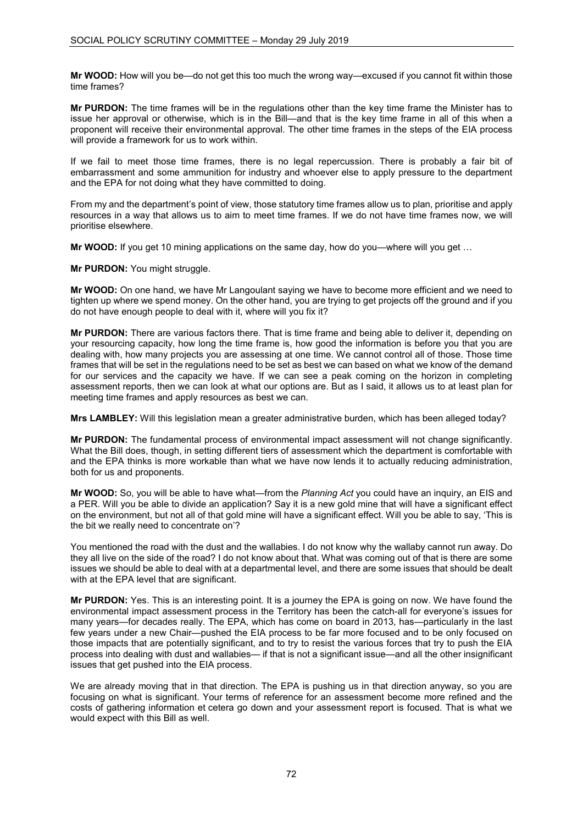**Mr WOOD:** How will you be—do not get this too much the wrong way—excused if you cannot fit within those time frames?

**Mr PURDON:** The time frames will be in the regulations other than the key time frame the Minister has to issue her approval or otherwise, which is in the Bill—and that is the key time frame in all of this when a proponent will receive their environmental approval. The other time frames in the steps of the EIA process will provide a framework for us to work within.

If we fail to meet those time frames, there is no legal repercussion. There is probably a fair bit of embarrassment and some ammunition for industry and whoever else to apply pressure to the department and the EPA for not doing what they have committed to doing.

From my and the department's point of view, those statutory time frames allow us to plan, prioritise and apply resources in a way that allows us to aim to meet time frames. If we do not have time frames now, we will prioritise elsewhere.

**Mr WOOD:** If you get 10 mining applications on the same day, how do you—where will you get …

**Mr PURDON:** You might struggle.

**Mr WOOD:** On one hand, we have Mr Langoulant saying we have to become more efficient and we need to tighten up where we spend money. On the other hand, you are trying to get projects off the ground and if you do not have enough people to deal with it, where will you fix it?

**Mr PURDON:** There are various factors there. That is time frame and being able to deliver it, depending on your resourcing capacity, how long the time frame is, how good the information is before you that you are dealing with, how many projects you are assessing at one time. We cannot control all of those. Those time frames that will be set in the regulations need to be set as best we can based on what we know of the demand for our services and the capacity we have. If we can see a peak coming on the horizon in completing assessment reports, then we can look at what our options are. But as I said, it allows us to at least plan for meeting time frames and apply resources as best we can.

**Mrs LAMBLEY:** Will this legislation mean a greater administrative burden, which has been alleged today?

**Mr PURDON:** The fundamental process of environmental impact assessment will not change significantly. What the Bill does, though, in setting different tiers of assessment which the department is comfortable with and the EPA thinks is more workable than what we have now lends it to actually reducing administration, both for us and proponents.

**Mr WOOD:** So, you will be able to have what—from the *Planning Act* you could have an inquiry, an EIS and a PER. Will you be able to divide an application? Say it is a new gold mine that will have a significant effect on the environment, but not all of that gold mine will have a significant effect. Will you be able to say, 'This is the bit we really need to concentrate on'?

You mentioned the road with the dust and the wallabies. I do not know why the wallaby cannot run away. Do they all live on the side of the road? I do not know about that. What was coming out of that is there are some issues we should be able to deal with at a departmental level, and there are some issues that should be dealt with at the EPA level that are significant.

**Mr PURDON:** Yes. This is an interesting point. It is a journey the EPA is going on now. We have found the environmental impact assessment process in the Territory has been the catch-all for everyone's issues for many years—for decades really. The EPA, which has come on board in 2013, has—particularly in the last few years under a new Chair—pushed the EIA process to be far more focused and to be only focused on those impacts that are potentially significant, and to try to resist the various forces that try to push the EIA process into dealing with dust and wallabies— if that is not a significant issue—and all the other insignificant issues that get pushed into the EIA process.

We are already moving that in that direction. The EPA is pushing us in that direction anyway, so you are focusing on what is significant. Your terms of reference for an assessment become more refined and the costs of gathering information et cetera go down and your assessment report is focused. That is what we would expect with this Bill as well.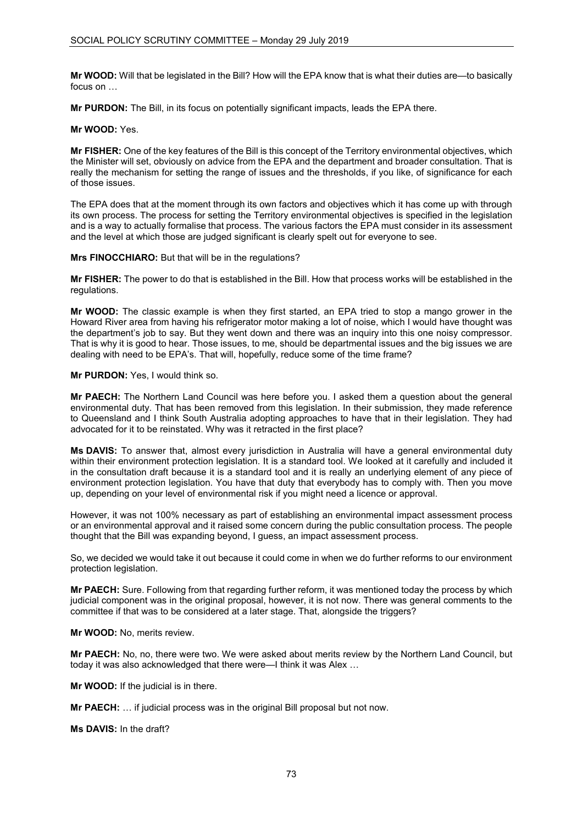**Mr WOOD:** Will that be legislated in the Bill? How will the EPA know that is what their duties are—to basically focus on …

**Mr PURDON:** The Bill, in its focus on potentially significant impacts, leads the EPA there.

**Mr WOOD:** Yes.

**Mr FISHER:** One of the key features of the Bill is this concept of the Territory environmental objectives, which the Minister will set, obviously on advice from the EPA and the department and broader consultation. That is really the mechanism for setting the range of issues and the thresholds, if you like, of significance for each of those issues.

The EPA does that at the moment through its own factors and objectives which it has come up with through its own process. The process for setting the Territory environmental objectives is specified in the legislation and is a way to actually formalise that process. The various factors the EPA must consider in its assessment and the level at which those are judged significant is clearly spelt out for everyone to see.

**Mrs FINOCCHIARO:** But that will be in the regulations?

**Mr FISHER:** The power to do that is established in the Bill. How that process works will be established in the regulations.

**Mr WOOD:** The classic example is when they first started, an EPA tried to stop a mango grower in the Howard River area from having his refrigerator motor making a lot of noise, which I would have thought was the department's job to say. But they went down and there was an inquiry into this one noisy compressor. That is why it is good to hear. Those issues, to me, should be departmental issues and the big issues we are dealing with need to be EPA's. That will, hopefully, reduce some of the time frame?

## **Mr PURDON:** Yes, I would think so.

**Mr PAECH:** The Northern Land Council was here before you. I asked them a question about the general environmental duty. That has been removed from this legislation. In their submission, they made reference to Queensland and I think South Australia adopting approaches to have that in their legislation. They had advocated for it to be reinstated. Why was it retracted in the first place?

**Ms DAVIS:** To answer that, almost every jurisdiction in Australia will have a general environmental duty within their environment protection legislation. It is a standard tool. We looked at it carefully and included it in the consultation draft because it is a standard tool and it is really an underlying element of any piece of environment protection legislation. You have that duty that everybody has to comply with. Then you move up, depending on your level of environmental risk if you might need a licence or approval.

However, it was not 100% necessary as part of establishing an environmental impact assessment process or an environmental approval and it raised some concern during the public consultation process. The people thought that the Bill was expanding beyond, I guess, an impact assessment process.

So, we decided we would take it out because it could come in when we do further reforms to our environment protection legislation.

**Mr PAECH:** Sure. Following from that regarding further reform, it was mentioned today the process by which judicial component was in the original proposal, however, it is not now. There was general comments to the committee if that was to be considered at a later stage. That, alongside the triggers?

**Mr WOOD:** No, merits review.

**Mr PAECH:** No, no, there were two. We were asked about merits review by the Northern Land Council, but today it was also acknowledged that there were—I think it was Alex …

**Mr WOOD:** If the judicial is in there.

**Mr PAECH:** … if judicial process was in the original Bill proposal but not now.

**Ms DAVIS:** In the draft?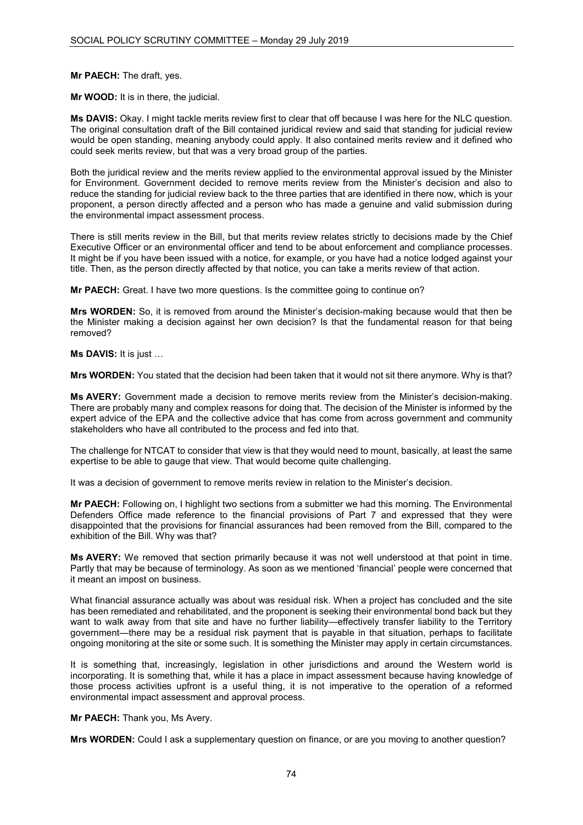## **Mr PAECH:** The draft, yes.

**Mr WOOD:** It is in there, the judicial.

**Ms DAVIS:** Okay. I might tackle merits review first to clear that off because I was here for the NLC question. The original consultation draft of the Bill contained juridical review and said that standing for judicial review would be open standing, meaning anybody could apply. It also contained merits review and it defined who could seek merits review, but that was a very broad group of the parties.

Both the juridical review and the merits review applied to the environmental approval issued by the Minister for Environment. Government decided to remove merits review from the Minister's decision and also to reduce the standing for judicial review back to the three parties that are identified in there now, which is your proponent, a person directly affected and a person who has made a genuine and valid submission during the environmental impact assessment process.

There is still merits review in the Bill, but that merits review relates strictly to decisions made by the Chief Executive Officer or an environmental officer and tend to be about enforcement and compliance processes. It might be if you have been issued with a notice, for example, or you have had a notice lodged against your title. Then, as the person directly affected by that notice, you can take a merits review of that action.

**Mr PAECH:** Great. I have two more questions. Is the committee going to continue on?

**Mrs WORDEN:** So, it is removed from around the Minister's decision-making because would that then be the Minister making a decision against her own decision? Is that the fundamental reason for that being removed?

**Ms DAVIS:** It is just …

**Mrs WORDEN:** You stated that the decision had been taken that it would not sit there anymore. Why is that?

**Ms AVERY:** Government made a decision to remove merits review from the Minister's decision-making. There are probably many and complex reasons for doing that. The decision of the Minister is informed by the expert advice of the EPA and the collective advice that has come from across government and community stakeholders who have all contributed to the process and fed into that.

The challenge for NTCAT to consider that view is that they would need to mount, basically, at least the same expertise to be able to gauge that view. That would become quite challenging.

It was a decision of government to remove merits review in relation to the Minister's decision.

**Mr PAECH:** Following on, I highlight two sections from a submitter we had this morning. The Environmental Defenders Office made reference to the financial provisions of Part 7 and expressed that they were disappointed that the provisions for financial assurances had been removed from the Bill, compared to the exhibition of the Bill. Why was that?

**Ms AVERY:** We removed that section primarily because it was not well understood at that point in time. Partly that may be because of terminology. As soon as we mentioned 'financial' people were concerned that it meant an impost on business.

What financial assurance actually was about was residual risk. When a project has concluded and the site has been remediated and rehabilitated, and the proponent is seeking their environmental bond back but they want to walk away from that site and have no further liability—effectively transfer liability to the Territory government—there may be a residual risk payment that is payable in that situation, perhaps to facilitate ongoing monitoring at the site or some such. It is something the Minister may apply in certain circumstances.

It is something that, increasingly, legislation in other jurisdictions and around the Western world is incorporating. It is something that, while it has a place in impact assessment because having knowledge of those process activities upfront is a useful thing, it is not imperative to the operation of a reformed environmental impact assessment and approval process.

### **Mr PAECH:** Thank you, Ms Avery.

**Mrs WORDEN:** Could I ask a supplementary question on finance, or are you moving to another question?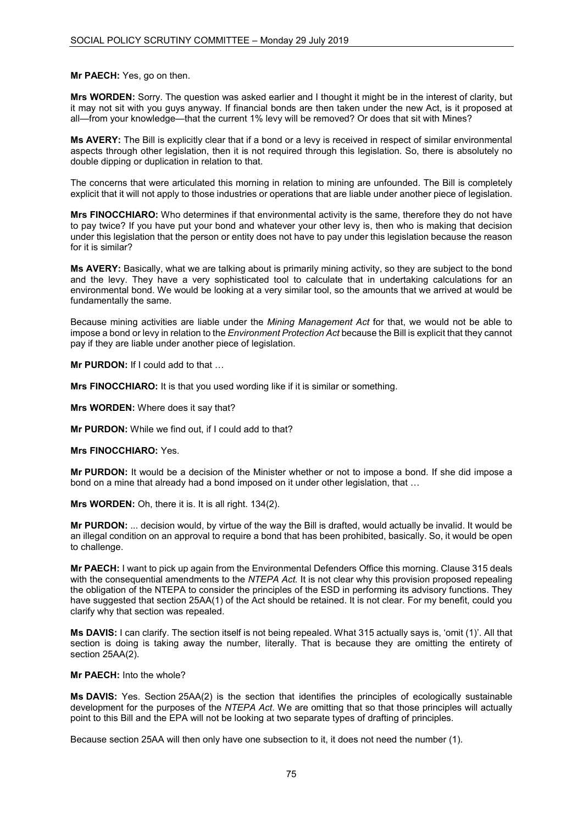### **Mr PAECH:** Yes, go on then.

**Mrs WORDEN:** Sorry. The question was asked earlier and I thought it might be in the interest of clarity, but it may not sit with you guys anyway. If financial bonds are then taken under the new Act, is it proposed at all—from your knowledge—that the current 1% levy will be removed? Or does that sit with Mines?

**Ms AVERY:** The Bill is explicitly clear that if a bond or a levy is received in respect of similar environmental aspects through other legislation, then it is not required through this legislation. So, there is absolutely no double dipping or duplication in relation to that.

The concerns that were articulated this morning in relation to mining are unfounded. The Bill is completely explicit that it will not apply to those industries or operations that are liable under another piece of legislation.

**Mrs FINOCCHIARO:** Who determines if that environmental activity is the same, therefore they do not have to pay twice? If you have put your bond and whatever your other levy is, then who is making that decision under this legislation that the person or entity does not have to pay under this legislation because the reason for it is similar?

**Ms AVERY:** Basically, what we are talking about is primarily mining activity, so they are subject to the bond and the levy. They have a very sophisticated tool to calculate that in undertaking calculations for an environmental bond. We would be looking at a very similar tool, so the amounts that we arrived at would be fundamentally the same.

Because mining activities are liable under the *Mining Management Act* for that, we would not be able to impose a bond or levy in relation to the *Environment Protection Act* because the Bill is explicit that they cannot pay if they are liable under another piece of legislation.

**Mr PURDON:** If I could add to that …

**Mrs FINOCCHIARO:** It is that you used wording like if it is similar or something.

**Mrs WORDEN:** Where does it say that?

**Mr PURDON:** While we find out, if I could add to that?

#### **Mrs FINOCCHIARO:** Yes.

**Mr PURDON:** It would be a decision of the Minister whether or not to impose a bond. If she did impose a bond on a mine that already had a bond imposed on it under other legislation, that …

**Mrs WORDEN:** Oh, there it is. It is all right. 134(2).

**Mr PURDON:** ... decision would, by virtue of the way the Bill is drafted, would actually be invalid. It would be an illegal condition on an approval to require a bond that has been prohibited, basically. So, it would be open to challenge.

**Mr PAECH:** I want to pick up again from the Environmental Defenders Office this morning. Clause 315 deals with the consequential amendments to the *NTEPA Act.* It is not clear why this provision proposed repealing the obligation of the NTEPA to consider the principles of the ESD in performing its advisory functions. They have suggested that section 25AA(1) of the Act should be retained. It is not clear. For my benefit, could you clarify why that section was repealed.

**Ms DAVIS:** I can clarify. The section itself is not being repealed. What 315 actually says is, 'omit (1)'. All that section is doing is taking away the number, literally. That is because they are omitting the entirety of section 25AA(2).

#### **Mr PAECH:** Into the whole?

**Ms DAVIS:** Yes. Section 25AA(2) is the section that identifies the principles of ecologically sustainable development for the purposes of the *NTEPA Act*. We are omitting that so that those principles will actually point to this Bill and the EPA will not be looking at two separate types of drafting of principles.

Because section 25AA will then only have one subsection to it, it does not need the number (1).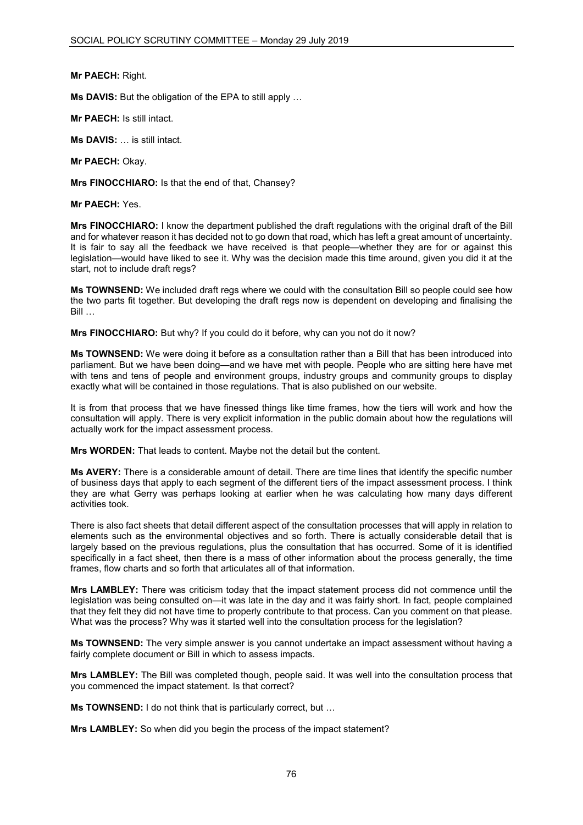**Mr PAECH:** Right.

**Ms DAVIS:** But the obligation of the EPA to still apply …

**Mr PAECH:** Is still intact.

**Ms DAVIS:** … is still intact.

**Mr PAECH:** Okay.

**Mrs FINOCCHIARO:** Is that the end of that, Chansey?

**Mr PAECH:** Yes.

**Mrs FINOCCHIARO:** I know the department published the draft regulations with the original draft of the Bill and for whatever reason it has decided not to go down that road, which has left a great amount of uncertainty. It is fair to say all the feedback we have received is that people—whether they are for or against this legislation—would have liked to see it. Why was the decision made this time around, given you did it at the start, not to include draft regs?

**Ms TOWNSEND:** We included draft regs where we could with the consultation Bill so people could see how the two parts fit together. But developing the draft regs now is dependent on developing and finalising the Bill …

**Mrs FINOCCHIARO:** But why? If you could do it before, why can you not do it now?

**Ms TOWNSEND:** We were doing it before as a consultation rather than a Bill that has been introduced into parliament. But we have been doing—and we have met with people. People who are sitting here have met with tens and tens of people and environment groups, industry groups and community groups to display exactly what will be contained in those regulations. That is also published on our website.

It is from that process that we have finessed things like time frames, how the tiers will work and how the consultation will apply. There is very explicit information in the public domain about how the regulations will actually work for the impact assessment process.

**Mrs WORDEN:** That leads to content. Maybe not the detail but the content.

**Ms AVERY:** There is a considerable amount of detail. There are time lines that identify the specific number of business days that apply to each segment of the different tiers of the impact assessment process. I think they are what Gerry was perhaps looking at earlier when he was calculating how many days different activities took.

There is also fact sheets that detail different aspect of the consultation processes that will apply in relation to elements such as the environmental objectives and so forth. There is actually considerable detail that is largely based on the previous regulations, plus the consultation that has occurred. Some of it is identified specifically in a fact sheet, then there is a mass of other information about the process generally, the time frames, flow charts and so forth that articulates all of that information.

**Mrs LAMBLEY:** There was criticism today that the impact statement process did not commence until the legislation was being consulted on—it was late in the day and it was fairly short. In fact, people complained that they felt they did not have time to properly contribute to that process. Can you comment on that please. What was the process? Why was it started well into the consultation process for the legislation?

**Ms TOWNSEND:** The very simple answer is you cannot undertake an impact assessment without having a fairly complete document or Bill in which to assess impacts.

**Mrs LAMBLEY:** The Bill was completed though, people said. It was well into the consultation process that you commenced the impact statement. Is that correct?

**Ms TOWNSEND:** I do not think that is particularly correct, but …

**Mrs LAMBLEY:** So when did you begin the process of the impact statement?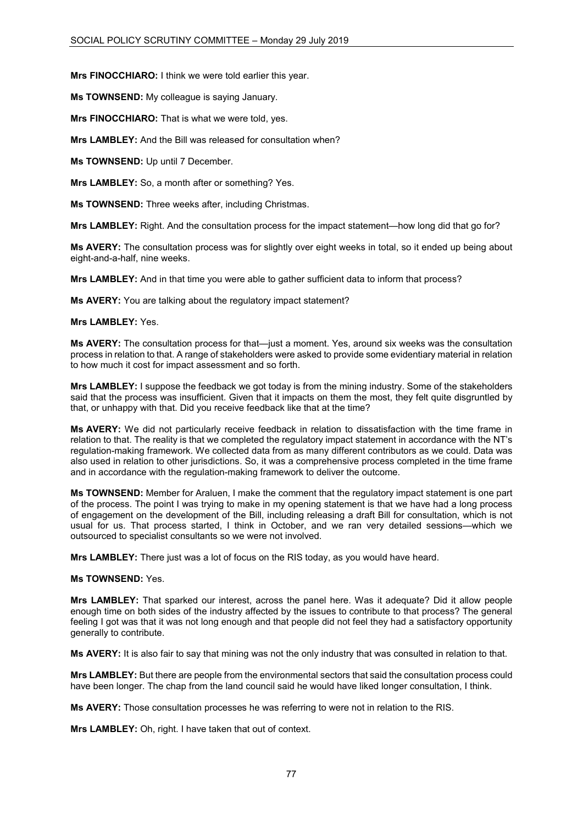**Mrs FINOCCHIARO:** I think we were told earlier this year.

**Ms TOWNSEND:** My colleague is saying January.

**Mrs FINOCCHIARO:** That is what we were told, yes.

**Mrs LAMBLEY:** And the Bill was released for consultation when?

**Ms TOWNSEND:** Up until 7 December.

**Mrs LAMBLEY:** So, a month after or something? Yes.

**Ms TOWNSEND:** Three weeks after, including Christmas.

**Mrs LAMBLEY:** Right. And the consultation process for the impact statement—how long did that go for?

**Ms AVERY:** The consultation process was for slightly over eight weeks in total, so it ended up being about eight-and-a-half, nine weeks.

**Mrs LAMBLEY:** And in that time you were able to gather sufficient data to inform that process?

**Ms AVERY:** You are talking about the regulatory impact statement?

# **Mrs LAMBLEY:** Yes.

**Ms AVERY:** The consultation process for that—just a moment. Yes, around six weeks was the consultation process in relation to that. A range of stakeholders were asked to provide some evidentiary material in relation to how much it cost for impact assessment and so forth.

**Mrs LAMBLEY:** I suppose the feedback we got today is from the mining industry. Some of the stakeholders said that the process was insufficient. Given that it impacts on them the most, they felt quite disgruntled by that, or unhappy with that. Did you receive feedback like that at the time?

**Ms AVERY:** We did not particularly receive feedback in relation to dissatisfaction with the time frame in relation to that. The reality is that we completed the regulatory impact statement in accordance with the NT's regulation-making framework. We collected data from as many different contributors as we could. Data was also used in relation to other jurisdictions. So, it was a comprehensive process completed in the time frame and in accordance with the regulation-making framework to deliver the outcome.

**Ms TOWNSEND:** Member for Araluen, I make the comment that the regulatory impact statement is one part of the process. The point I was trying to make in my opening statement is that we have had a long process of engagement on the development of the Bill, including releasing a draft Bill for consultation, which is not usual for us. That process started, I think in October, and we ran very detailed sessions—which we outsourced to specialist consultants so we were not involved.

**Mrs LAMBLEY:** There just was a lot of focus on the RIS today, as you would have heard.

# **Ms TOWNSEND:** Yes.

**Mrs LAMBLEY:** That sparked our interest, across the panel here. Was it adequate? Did it allow people enough time on both sides of the industry affected by the issues to contribute to that process? The general feeling I got was that it was not long enough and that people did not feel they had a satisfactory opportunity generally to contribute.

**Ms AVERY:** It is also fair to say that mining was not the only industry that was consulted in relation to that.

**Mrs LAMBLEY:** But there are people from the environmental sectors that said the consultation process could have been longer. The chap from the land council said he would have liked longer consultation, I think.

**Ms AVERY:** Those consultation processes he was referring to were not in relation to the RIS.

**Mrs LAMBLEY:** Oh, right. I have taken that out of context.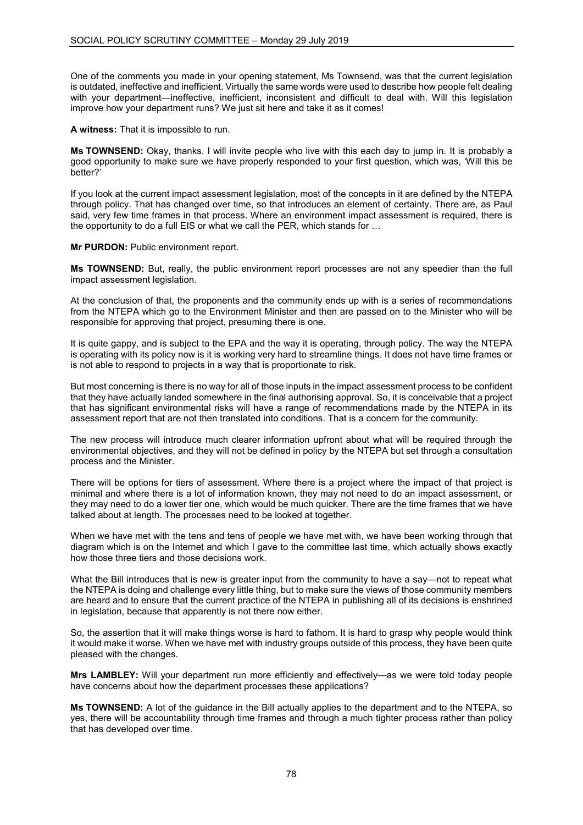One of the comments you made in your opening statement, Ms Townsend, was that the current legislation is outdated, ineffective and inefficient. Virtually the same words were used to describe how people felt dealing with your department—ineffective, inefficient, inconsistent and difficult to deal with. Will this legislation improve how your department runs? We just sit here and take it as it comes!

**A witness:** That it is impossible to run.

**Ms TOWNSEND:** Okay, thanks. I will invite people who live with this each day to jump in. It is probably a good opportunity to make sure we have properly responded to your first question, which was, 'Will this be better?'

If you look at the current impact assessment legislation, most of the concepts in it are defined by the NTEPA through policy. That has changed over time, so that introduces an element of certainty. There are, as Paul said, very few time frames in that process. Where an environment impact assessment is required, there is the opportunity to do a full EIS or what we call the PER, which stands for …

**Mr PURDON:** Public environment report.

**Ms TOWNSEND:** But, really, the public environment report processes are not any speedier than the full impact assessment legislation.

At the conclusion of that, the proponents and the community ends up with is a series of recommendations from the NTEPA which go to the Environment Minister and then are passed on to the Minister who will be responsible for approving that project, presuming there is one.

It is quite gappy, and is subject to the EPA and the way it is operating, through policy. The way the NTEPA is operating with its policy now is it is working very hard to streamline things. It does not have time frames or is not able to respond to projects in a way that is proportionate to risk.

But most concerning is there is no way for all of those inputs in the impact assessment process to be confident that they have actually landed somewhere in the final authorising approval. So, it is conceivable that a project that has significant environmental risks will have a range of recommendations made by the NTEPA in its assessment report that are not then translated into conditions. That is a concern for the community.

The new process will introduce much clearer information upfront about what will be required through the environmental objectives, and they will not be defined in policy by the NTEPA but set through a consultation process and the Minister.

There will be options for tiers of assessment. Where there is a project where the impact of that project is minimal and where there is a lot of information known, they may not need to do an impact assessment, or they may need to do a lower tier one, which would be much quicker. There are the time frames that we have talked about at length. The processes need to be looked at together.

When we have met with the tens and tens of people we have met with, we have been working through that diagram which is on the Internet and which I gave to the committee last time, which actually shows exactly how those three tiers and those decisions work.

What the Bill introduces that is new is greater input from the community to have a say—not to repeat what the NTEPA is doing and challenge every little thing, but to make sure the views of those community members are heard and to ensure that the current practice of the NTEPA in publishing all of its decisions is enshrined in legislation, because that apparently is not there now either.

So, the assertion that it will make things worse is hard to fathom. It is hard to grasp why people would think it would make it worse. When we have met with industry groups outside of this process, they have been quite pleased with the changes.

**Mrs LAMBLEY:** Will your department run more efficiently and effectively—as we were told today people have concerns about how the department processes these applications?

**Ms TOWNSEND:** A lot of the guidance in the Bill actually applies to the department and to the NTEPA, so yes, there will be accountability through time frames and through a much tighter process rather than policy that has developed over time.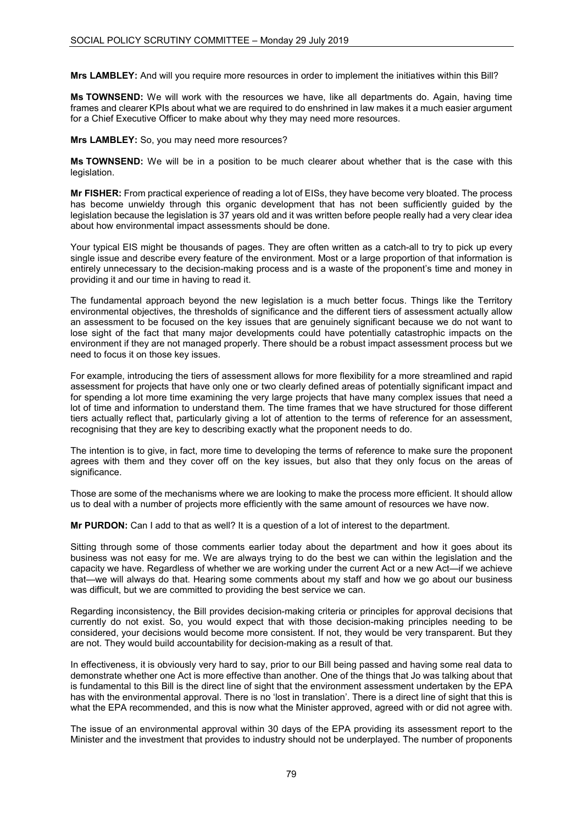**Mrs LAMBLEY:** And will you require more resources in order to implement the initiatives within this Bill?

**Ms TOWNSEND:** We will work with the resources we have, like all departments do. Again, having time frames and clearer KPIs about what we are required to do enshrined in law makes it a much easier argument for a Chief Executive Officer to make about why they may need more resources.

**Mrs LAMBLEY:** So, you may need more resources?

**Ms TOWNSEND:** We will be in a position to be much clearer about whether that is the case with this legislation.

**Mr FISHER:** From practical experience of reading a lot of EISs, they have become very bloated. The process has become unwieldy through this organic development that has not been sufficiently guided by the legislation because the legislation is 37 years old and it was written before people really had a very clear idea about how environmental impact assessments should be done.

Your typical EIS might be thousands of pages. They are often written as a catch-all to try to pick up every single issue and describe every feature of the environment. Most or a large proportion of that information is entirely unnecessary to the decision-making process and is a waste of the proponent's time and money in providing it and our time in having to read it.

The fundamental approach beyond the new legislation is a much better focus. Things like the Territory environmental objectives, the thresholds of significance and the different tiers of assessment actually allow an assessment to be focused on the key issues that are genuinely significant because we do not want to lose sight of the fact that many major developments could have potentially catastrophic impacts on the environment if they are not managed properly. There should be a robust impact assessment process but we need to focus it on those key issues.

For example, introducing the tiers of assessment allows for more flexibility for a more streamlined and rapid assessment for projects that have only one or two clearly defined areas of potentially significant impact and for spending a lot more time examining the very large projects that have many complex issues that need a lot of time and information to understand them. The time frames that we have structured for those different tiers actually reflect that, particularly giving a lot of attention to the terms of reference for an assessment, recognising that they are key to describing exactly what the proponent needs to do.

The intention is to give, in fact, more time to developing the terms of reference to make sure the proponent agrees with them and they cover off on the key issues, but also that they only focus on the areas of significance.

Those are some of the mechanisms where we are looking to make the process more efficient. It should allow us to deal with a number of projects more efficiently with the same amount of resources we have now.

**Mr PURDON:** Can I add to that as well? It is a question of a lot of interest to the department.

Sitting through some of those comments earlier today about the department and how it goes about its business was not easy for me. We are always trying to do the best we can within the legislation and the capacity we have. Regardless of whether we are working under the current Act or a new Act—if we achieve that—we will always do that. Hearing some comments about my staff and how we go about our business was difficult, but we are committed to providing the best service we can.

Regarding inconsistency, the Bill provides decision-making criteria or principles for approval decisions that currently do not exist. So, you would expect that with those decision-making principles needing to be considered, your decisions would become more consistent. If not, they would be very transparent. But they are not. They would build accountability for decision-making as a result of that.

In effectiveness, it is obviously very hard to say, prior to our Bill being passed and having some real data to demonstrate whether one Act is more effective than another. One of the things that Jo was talking about that is fundamental to this Bill is the direct line of sight that the environment assessment undertaken by the EPA has with the environmental approval. There is no 'lost in translation'. There is a direct line of sight that this is what the EPA recommended, and this is now what the Minister approved, agreed with or did not agree with.

The issue of an environmental approval within 30 days of the EPA providing its assessment report to the Minister and the investment that provides to industry should not be underplayed. The number of proponents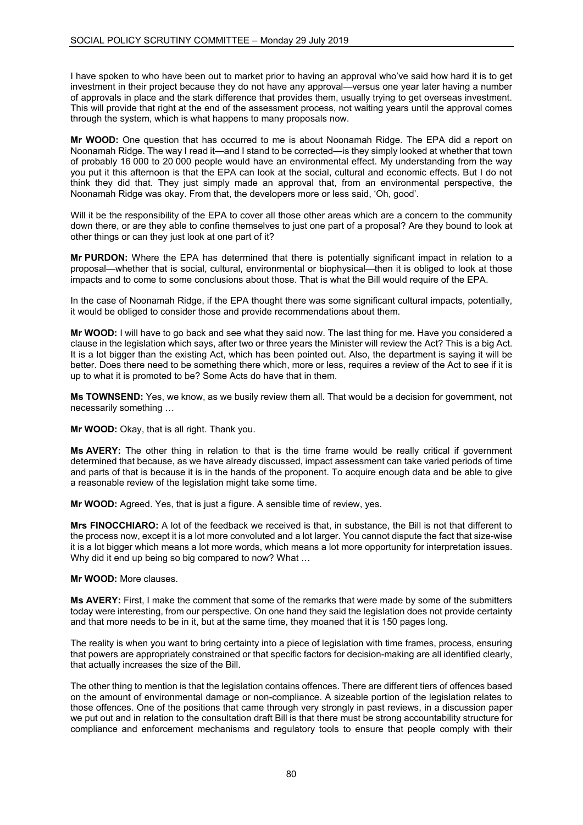I have spoken to who have been out to market prior to having an approval who've said how hard it is to get investment in their project because they do not have any approval—versus one year later having a number of approvals in place and the stark difference that provides them, usually trying to get overseas investment. This will provide that right at the end of the assessment process, not waiting years until the approval comes through the system, which is what happens to many proposals now.

**Mr WOOD:** One question that has occurred to me is about Noonamah Ridge. The EPA did a report on Noonamah Ridge. The way I read it—and I stand to be corrected—is they simply looked at whether that town of probably 16 000 to 20 000 people would have an environmental effect. My understanding from the way you put it this afternoon is that the EPA can look at the social, cultural and economic effects. But I do not think they did that. They just simply made an approval that, from an environmental perspective, the Noonamah Ridge was okay. From that, the developers more or less said, 'Oh, good'.

Will it be the responsibility of the EPA to cover all those other areas which are a concern to the community down there, or are they able to confine themselves to just one part of a proposal? Are they bound to look at other things or can they just look at one part of it?

**Mr PURDON:** Where the EPA has determined that there is potentially significant impact in relation to a proposal—whether that is social, cultural, environmental or biophysical—then it is obliged to look at those impacts and to come to some conclusions about those. That is what the Bill would require of the EPA.

In the case of Noonamah Ridge, if the EPA thought there was some significant cultural impacts, potentially, it would be obliged to consider those and provide recommendations about them.

**Mr WOOD:** I will have to go back and see what they said now. The last thing for me. Have you considered a clause in the legislation which says, after two or three years the Minister will review the Act? This is a big Act. It is a lot bigger than the existing Act, which has been pointed out. Also, the department is saying it will be better. Does there need to be something there which, more or less, requires a review of the Act to see if it is up to what it is promoted to be? Some Acts do have that in them.

**Ms TOWNSEND:** Yes, we know, as we busily review them all. That would be a decision for government, not necessarily something …

**Mr WOOD:** Okay, that is all right. Thank you.

**Ms AVERY:** The other thing in relation to that is the time frame would be really critical if government determined that because, as we have already discussed, impact assessment can take varied periods of time and parts of that is because it is in the hands of the proponent. To acquire enough data and be able to give a reasonable review of the legislation might take some time.

**Mr WOOD:** Agreed. Yes, that is just a figure. A sensible time of review, yes.

**Mrs FINOCCHIARO:** A lot of the feedback we received is that, in substance, the Bill is not that different to the process now, except it is a lot more convoluted and a lot larger. You cannot dispute the fact that size-wise it is a lot bigger which means a lot more words, which means a lot more opportunity for interpretation issues. Why did it end up being so big compared to now? What …

**Mr WOOD:** More clauses.

**Ms AVERY:** First, I make the comment that some of the remarks that were made by some of the submitters today were interesting, from our perspective. On one hand they said the legislation does not provide certainty and that more needs to be in it, but at the same time, they moaned that it is 150 pages long.

The reality is when you want to bring certainty into a piece of legislation with time frames, process, ensuring that powers are appropriately constrained or that specific factors for decision-making are all identified clearly, that actually increases the size of the Bill.

The other thing to mention is that the legislation contains offences. There are different tiers of offences based on the amount of environmental damage or non-compliance. A sizeable portion of the legislation relates to those offences. One of the positions that came through very strongly in past reviews, in a discussion paper we put out and in relation to the consultation draft Bill is that there must be strong accountability structure for compliance and enforcement mechanisms and regulatory tools to ensure that people comply with their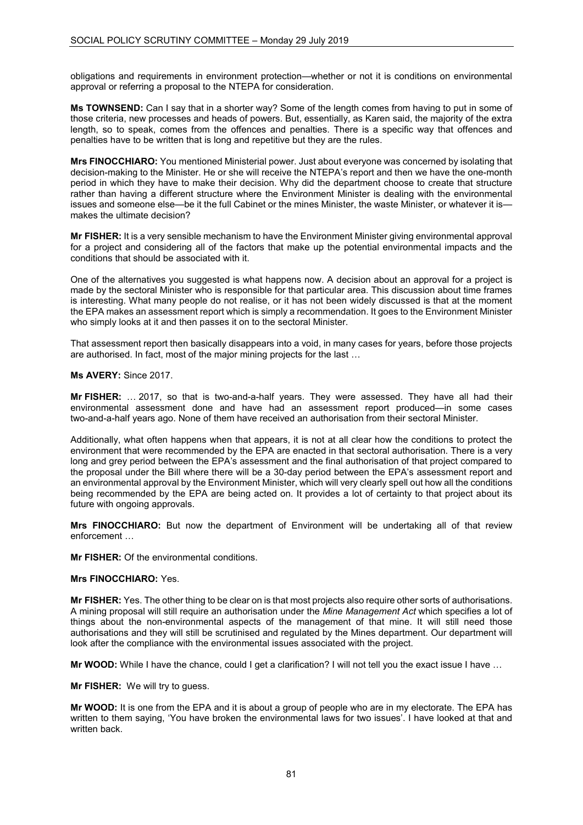obligations and requirements in environment protection—whether or not it is conditions on environmental approval or referring a proposal to the NTEPA for consideration.

**Ms TOWNSEND:** Can I say that in a shorter way? Some of the length comes from having to put in some of those criteria, new processes and heads of powers. But, essentially, as Karen said, the majority of the extra length, so to speak, comes from the offences and penalties. There is a specific way that offences and penalties have to be written that is long and repetitive but they are the rules.

**Mrs FINOCCHIARO:** You mentioned Ministerial power. Just about everyone was concerned by isolating that decision-making to the Minister. He or she will receive the NTEPA's report and then we have the one-month period in which they have to make their decision. Why did the department choose to create that structure rather than having a different structure where the Environment Minister is dealing with the environmental issues and someone else—be it the full Cabinet or the mines Minister, the waste Minister, or whatever it is makes the ultimate decision?

**Mr FISHER:** It is a very sensible mechanism to have the Environment Minister giving environmental approval for a project and considering all of the factors that make up the potential environmental impacts and the conditions that should be associated with it.

One of the alternatives you suggested is what happens now. A decision about an approval for a project is made by the sectoral Minister who is responsible for that particular area. This discussion about time frames is interesting. What many people do not realise, or it has not been widely discussed is that at the moment the EPA makes an assessment report which is simply a recommendation. It goes to the Environment Minister who simply looks at it and then passes it on to the sectoral Minister.

That assessment report then basically disappears into a void, in many cases for years, before those projects are authorised. In fact, most of the major mining projects for the last …

**Ms AVERY:** Since 2017.

**Mr FISHER:** … 2017, so that is two-and-a-half years. They were assessed. They have all had their environmental assessment done and have had an assessment report produced—in some cases two-and-a-half years ago. None of them have received an authorisation from their sectoral Minister.

Additionally, what often happens when that appears, it is not at all clear how the conditions to protect the environment that were recommended by the EPA are enacted in that sectoral authorisation. There is a very long and grey period between the EPA's assessment and the final authorisation of that project compared to the proposal under the Bill where there will be a 30-day period between the EPA's assessment report and an environmental approval by the Environment Minister, which will very clearly spell out how all the conditions being recommended by the EPA are being acted on. It provides a lot of certainty to that project about its future with ongoing approvals.

**Mrs FINOCCHIARO:** But now the department of Environment will be undertaking all of that review enforcement …

**Mr FISHER:** Of the environmental conditions.

# **Mrs FINOCCHIARO:** Yes.

**Mr FISHER:** Yes. The other thing to be clear on is that most projects also require other sorts of authorisations. A mining proposal will still require an authorisation under the *Mine Management Act* which specifies a lot of things about the non-environmental aspects of the management of that mine. It will still need those authorisations and they will still be scrutinised and regulated by the Mines department. Our department will look after the compliance with the environmental issues associated with the project.

**Mr WOOD:** While I have the chance, could I get a clarification? I will not tell you the exact issue I have …

**Mr FISHER:** We will try to guess.

**Mr WOOD:** It is one from the EPA and it is about a group of people who are in my electorate. The EPA has written to them saying, 'You have broken the environmental laws for two issues'. I have looked at that and written back.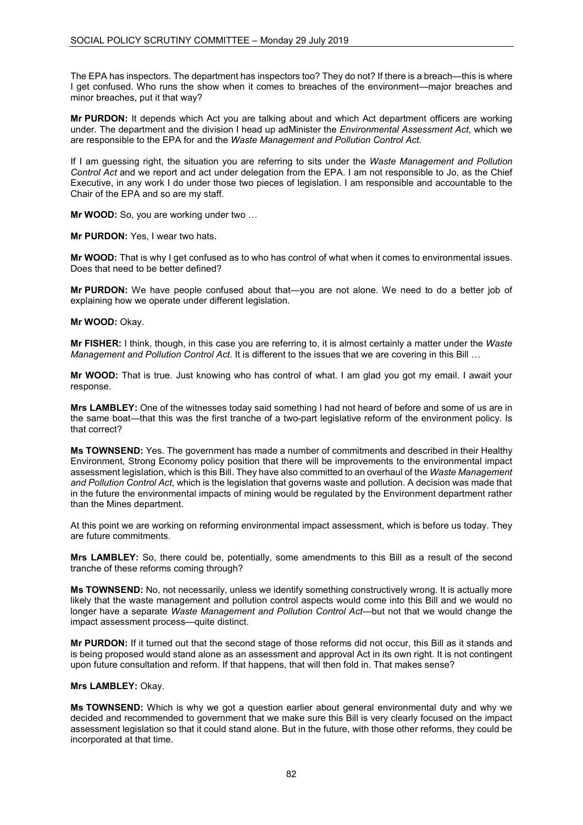The EPA has inspectors. The department has inspectors too? They do not? If there is a breach—this is where I get confused. Who runs the show when it comes to breaches of the environment—major breaches and minor breaches, put it that way?

**Mr PURDON:** It depends which Act you are talking about and which Act department officers are working under. The department and the division I head up adMinister the *Environmental Assessment Act*, which we are responsible to the EPA for and the *Waste Management and Pollution Control Act*.

If I am guessing right, the situation you are referring to sits under the *Waste Management and Pollution Control Act* and we report and act under delegation from the EPA. I am not responsible to Jo, as the Chief Executive, in any work I do under those two pieces of legislation. I am responsible and accountable to the Chair of the EPA and so are my staff.

**Mr WOOD:** So, you are working under two …

**Mr PURDON:** Yes, I wear two hats.

**Mr WOOD:** That is why I get confused as to who has control of what when it comes to environmental issues. Does that need to be better defined?

**Mr PURDON:** We have people confused about that—you are not alone. We need to do a better job of explaining how we operate under different legislation.

**Mr WOOD:** Okay.

**Mr FISHER:** I think, though, in this case you are referring to, it is almost certainly a matter under the *Waste Management and Pollution Control Act*. It is different to the issues that we are covering in this Bill …

**Mr WOOD:** That is true. Just knowing who has control of what. I am glad you got my email. I await your response.

**Mrs LAMBLEY:** One of the witnesses today said something I had not heard of before and some of us are in the same boat—that this was the first tranche of a two-part legislative reform of the environment policy. Is that correct?

**Ms TOWNSEND:** Yes. The government has made a number of commitments and described in their Healthy Environment, Strong Economy policy position that there will be improvements to the environmental impact assessment legislation, which is this Bill. They have also committed to an overhaul of the *Waste Management and Pollution Control Act*, which is the legislation that governs waste and pollution. A decision was made that in the future the environmental impacts of mining would be regulated by the Environment department rather than the Mines department.

At this point we are working on reforming environmental impact assessment, which is before us today. They are future commitments.

**Mrs LAMBLEY:** So, there could be, potentially, some amendments to this Bill as a result of the second tranche of these reforms coming through?

**Ms TOWNSEND:** No, not necessarily, unless we identify something constructively wrong. It is actually more likely that the waste management and pollution control aspects would come into this Bill and we would no longer have a separate *Waste Management and Pollution Control Act*—but not that we would change the impact assessment process—quite distinct.

**Mr PURDON:** If it turned out that the second stage of those reforms did not occur, this Bill as it stands and is being proposed would stand alone as an assessment and approval Act in its own right. It is not contingent upon future consultation and reform. If that happens, that will then fold in. That makes sense?

### **Mrs LAMBLEY:** Okay.

**Ms TOWNSEND:** Which is why we got a question earlier about general environmental duty and why we decided and recommended to government that we make sure this Bill is very clearly focused on the impact assessment legislation so that it could stand alone. But in the future, with those other reforms, they could be incorporated at that time.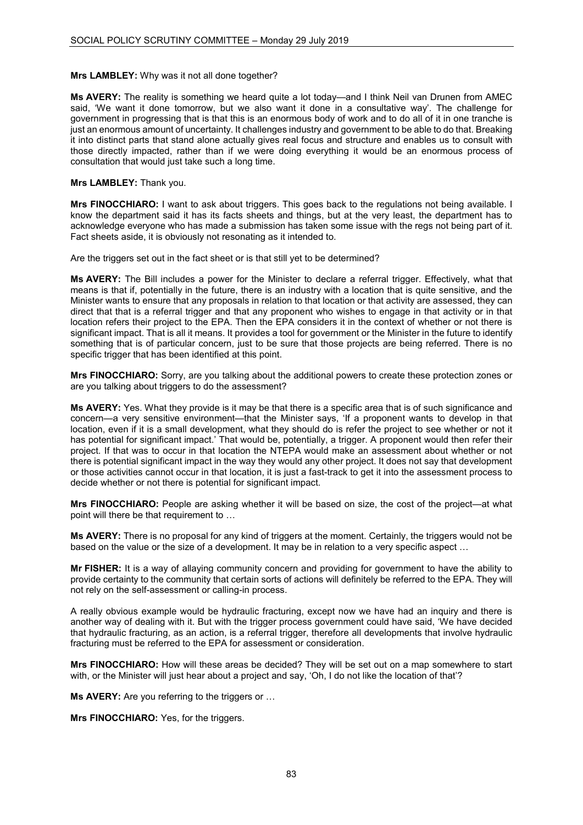## **Mrs LAMBLEY:** Why was it not all done together?

**Ms AVERY:** The reality is something we heard quite a lot today—and I think Neil van Drunen from AMEC said, 'We want it done tomorrow, but we also want it done in a consultative way'. The challenge for government in progressing that is that this is an enormous body of work and to do all of it in one tranche is just an enormous amount of uncertainty. It challenges industry and government to be able to do that. Breaking it into distinct parts that stand alone actually gives real focus and structure and enables us to consult with those directly impacted, rather than if we were doing everything it would be an enormous process of consultation that would just take such a long time.

## **Mrs LAMBLEY:** Thank you.

**Mrs FINOCCHIARO:** I want to ask about triggers. This goes back to the regulations not being available. I know the department said it has its facts sheets and things, but at the very least, the department has to acknowledge everyone who has made a submission has taken some issue with the regs not being part of it. Fact sheets aside, it is obviously not resonating as it intended to.

Are the triggers set out in the fact sheet or is that still yet to be determined?

**Ms AVERY:** The Bill includes a power for the Minister to declare a referral trigger. Effectively, what that means is that if, potentially in the future, there is an industry with a location that is quite sensitive, and the Minister wants to ensure that any proposals in relation to that location or that activity are assessed, they can direct that that is a referral trigger and that any proponent who wishes to engage in that activity or in that location refers their project to the EPA. Then the EPA considers it in the context of whether or not there is significant impact. That is all it means. It provides a tool for government or the Minister in the future to identify something that is of particular concern, just to be sure that those projects are being referred. There is no specific trigger that has been identified at this point.

**Mrs FINOCCHIARO:** Sorry, are you talking about the additional powers to create these protection zones or are you talking about triggers to do the assessment?

**Ms AVERY:** Yes. What they provide is it may be that there is a specific area that is of such significance and concern—a very sensitive environment—that the Minister says, 'If a proponent wants to develop in that location, even if it is a small development, what they should do is refer the project to see whether or not it has potential for significant impact.' That would be, potentially, a trigger. A proponent would then refer their project. If that was to occur in that location the NTEPA would make an assessment about whether or not there is potential significant impact in the way they would any other project. It does not say that development or those activities cannot occur in that location, it is just a fast-track to get it into the assessment process to decide whether or not there is potential for significant impact.

**Mrs FINOCCHIARO:** People are asking whether it will be based on size, the cost of the project—at what point will there be that requirement to …

**Ms AVERY:** There is no proposal for any kind of triggers at the moment. Certainly, the triggers would not be based on the value or the size of a development. It may be in relation to a very specific aspect …

**Mr FISHER:** It is a way of allaying community concern and providing for government to have the ability to provide certainty to the community that certain sorts of actions will definitely be referred to the EPA. They will not rely on the self-assessment or calling-in process.

A really obvious example would be hydraulic fracturing, except now we have had an inquiry and there is another way of dealing with it. But with the trigger process government could have said, 'We have decided that hydraulic fracturing, as an action, is a referral trigger, therefore all developments that involve hydraulic fracturing must be referred to the EPA for assessment or consideration.

**Mrs FINOCCHIARO:** How will these areas be decided? They will be set out on a map somewhere to start with, or the Minister will just hear about a project and say, 'Oh, I do not like the location of that'?

**Ms AVERY:** Are you referring to the triggers or …

**Mrs FINOCCHIARO:** Yes, for the triggers.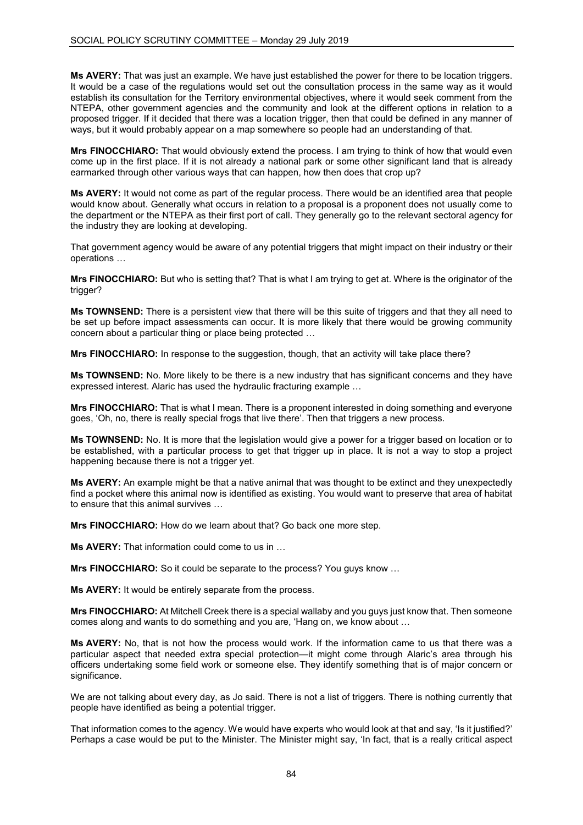**Ms AVERY:** That was just an example. We have just established the power for there to be location triggers. It would be a case of the regulations would set out the consultation process in the same way as it would establish its consultation for the Territory environmental objectives, where it would seek comment from the NTEPA, other government agencies and the community and look at the different options in relation to a proposed trigger. If it decided that there was a location trigger, then that could be defined in any manner of ways, but it would probably appear on a map somewhere so people had an understanding of that.

**Mrs FINOCCHIARO:** That would obviously extend the process. I am trying to think of how that would even come up in the first place. If it is not already a national park or some other significant land that is already earmarked through other various ways that can happen, how then does that crop up?

**Ms AVERY:** It would not come as part of the regular process. There would be an identified area that people would know about. Generally what occurs in relation to a proposal is a proponent does not usually come to the department or the NTEPA as their first port of call. They generally go to the relevant sectoral agency for the industry they are looking at developing.

That government agency would be aware of any potential triggers that might impact on their industry or their operations …

**Mrs FINOCCHIARO:** But who is setting that? That is what I am trying to get at. Where is the originator of the trigger?

**Ms TOWNSEND:** There is a persistent view that there will be this suite of triggers and that they all need to be set up before impact assessments can occur. It is more likely that there would be growing community concern about a particular thing or place being protected …

**Mrs FINOCCHIARO:** In response to the suggestion, though, that an activity will take place there?

**Ms TOWNSEND:** No. More likely to be there is a new industry that has significant concerns and they have expressed interest. Alaric has used the hydraulic fracturing example …

**Mrs FINOCCHIARO:** That is what I mean. There is a proponent interested in doing something and everyone goes, 'Oh, no, there is really special frogs that live there'. Then that triggers a new process.

**Ms TOWNSEND:** No. It is more that the legislation would give a power for a trigger based on location or to be established, with a particular process to get that trigger up in place. It is not a way to stop a project happening because there is not a trigger yet.

**Ms AVERY:** An example might be that a native animal that was thought to be extinct and they unexpectedly find a pocket where this animal now is identified as existing. You would want to preserve that area of habitat to ensure that this animal survives …

**Mrs FINOCCHIARO:** How do we learn about that? Go back one more step.

**Ms AVERY:** That information could come to us in …

**Mrs FINOCCHIARO:** So it could be separate to the process? You guys know ...

**Ms AVERY:** It would be entirely separate from the process.

**Mrs FINOCCHIARO:** At Mitchell Creek there is a special wallaby and you guys just know that. Then someone comes along and wants to do something and you are, 'Hang on, we know about …

**Ms AVERY:** No, that is not how the process would work. If the information came to us that there was a particular aspect that needed extra special protection—it might come through Alaric's area through his officers undertaking some field work or someone else. They identify something that is of major concern or significance.

We are not talking about every day, as Jo said. There is not a list of triggers. There is nothing currently that people have identified as being a potential trigger.

That information comes to the agency. We would have experts who would look at that and say, 'Is it justified?' Perhaps a case would be put to the Minister. The Minister might say, 'In fact, that is a really critical aspect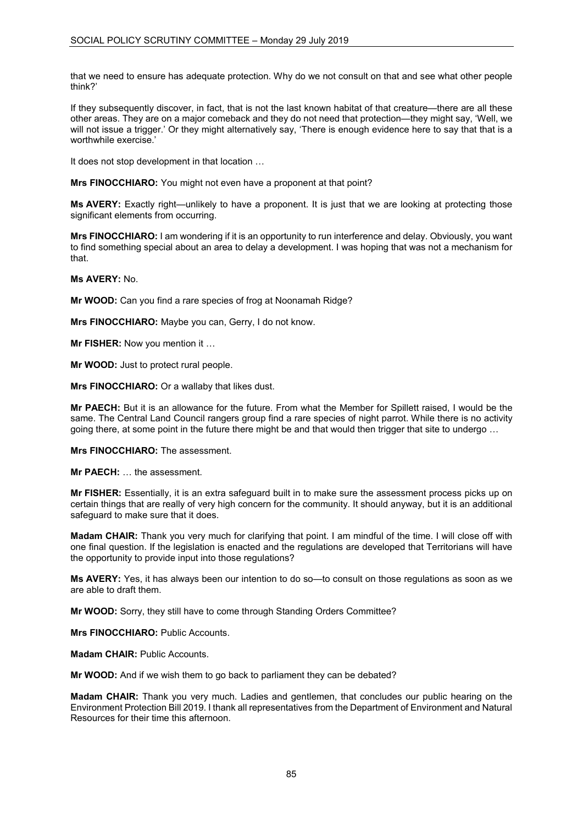that we need to ensure has adequate protection. Why do we not consult on that and see what other people think?'

If they subsequently discover, in fact, that is not the last known habitat of that creature—there are all these other areas. They are on a major comeback and they do not need that protection—they might say, 'Well, we will not issue a trigger.' Or they might alternatively say, 'There is enough evidence here to say that that is a worthwhile exercise.'

It does not stop development in that location …

**Mrs FINOCCHIARO:** You might not even have a proponent at that point?

**Ms AVERY:** Exactly right—unlikely to have a proponent. It is just that we are looking at protecting those significant elements from occurring.

**Mrs FINOCCHIARO:** I am wondering if it is an opportunity to run interference and delay. Obviously, you want to find something special about an area to delay a development. I was hoping that was not a mechanism for that.

**Ms AVERY:** No.

**Mr WOOD:** Can you find a rare species of frog at Noonamah Ridge?

**Mrs FINOCCHIARO:** Maybe you can, Gerry, I do not know.

**Mr FISHER:** Now you mention it …

**Mr WOOD:** Just to protect rural people.

**Mrs FINOCCHIARO:** Or a wallaby that likes dust.

**Mr PAECH:** But it is an allowance for the future. From what the Member for Spillett raised, I would be the same. The Central Land Council rangers group find a rare species of night parrot. While there is no activity going there, at some point in the future there might be and that would then trigger that site to undergo …

**Mrs FINOCCHIARO:** The assessment.

**Mr PAECH:** … the assessment.

**Mr FISHER:** Essentially, it is an extra safeguard built in to make sure the assessment process picks up on certain things that are really of very high concern for the community. It should anyway, but it is an additional safeguard to make sure that it does.

**Madam CHAIR:** Thank you very much for clarifying that point. I am mindful of the time. I will close off with one final question. If the legislation is enacted and the regulations are developed that Territorians will have the opportunity to provide input into those regulations?

**Ms AVERY:** Yes, it has always been our intention to do so—to consult on those regulations as soon as we are able to draft them.

**Mr WOOD:** Sorry, they still have to come through Standing Orders Committee?

**Mrs FINOCCHIARO:** Public Accounts.

**Madam CHAIR: Public Accounts.** 

**Mr WOOD:** And if we wish them to go back to parliament they can be debated?

**Madam CHAIR:** Thank you very much. Ladies and gentlemen, that concludes our public hearing on the Environment Protection Bill 2019. I thank all representatives from the Department of Environment and Natural Resources for their time this afternoon.